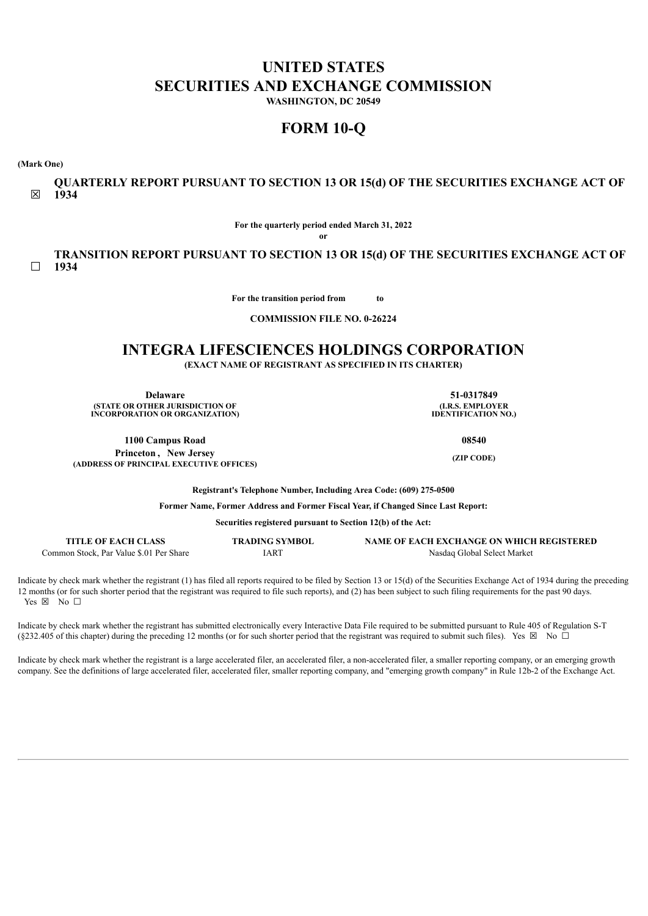# **UNITED STATES SECURITIES AND EXCHANGE COMMISSION**

**WASHINGTON, DC 20549**

# **FORM 10-Q**

**(Mark One)**

☒ **QUARTERLY REPORT PURSUANT TO SECTION 13 OR 15(d) OF THE SECURITIES EXCHANGE ACT OF 1934**

**For the quarterly period ended March 31, 2022**

**or**

 $\Box$ **TRANSITION REPORT PURSUANT TO SECTION 13 OR 15(d) OF THE SECURITIES EXCHANGE ACT OF 1934**

**For the transition period from to** 

**COMMISSION FILE NO. 0-26224**

# **INTEGRA LIFESCIENCES HOLDINGS CORPORATION**

**(EXACT NAME OF REGISTRANT AS SPECIFIED IN ITS CHARTER)**

**Delaware 51-0317849 (STATE OR OTHER JURISDICTION OF INCORPORATION OR ORGANIZATION)**

**(I.R.S. EMPLOYER IDENTIFICATION NO.)**

**(ZIP CODE)**

**1100 Campus Road 08540 Princeton , New Jersey (ADDRESS OF PRINCIPAL EXECUTIVE OFFICES)**

**Registrant's Telephone Number, Including Area Code: (609) 275-0500**

**Former Name, Former Address and Former Fiscal Year, if Changed Since Last Report:**

**Securities registered pursuant to Section 12(b) of the Act:**

| <b>TITLE OF EACH CLASS</b>              | <b>TRADING SYMBOL</b> | NAME OF EACH EXCHANGE ON WHICH REGISTERED |
|-----------------------------------------|-----------------------|-------------------------------------------|
| Common Stock. Par Value \$.01 Per Share | IART                  | Nasdag Global Select Market               |

Indicate by check mark whether the registrant (1) has filed all reports required to be filed by Section 13 or 15(d) of the Securities Exchange Act of 1934 during the preceding 12 months (or for such shorter period that the registrant was required to file such reports), and (2) has been subject to such filing requirements for the past 90 days. Yes  $\boxtimes$  No  $\square$ 

Indicate by check mark whether the registrant has submitted electronically every Interactive Data File required to be submitted pursuant to Rule 405 of Regulation S-T (§232.405 of this chapter) during the preceding 12 months (or for such shorter period that the registrant was required to submit such files). Yes ⊠ No □

Indicate by check mark whether the registrant is a large accelerated filer, an accelerated filer, a non-accelerated filer, a smaller reporting company, or an emerging growth company. See the definitions of large accelerated filer, accelerated filer, smaller reporting company, and "emerging growth company" in Rule 12b-2 of the Exchange Act.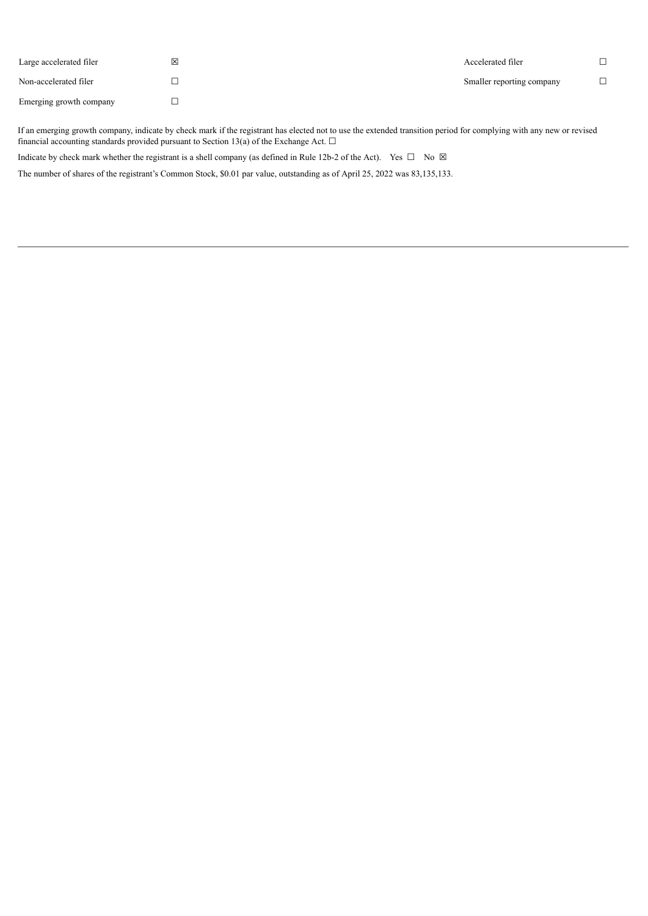| Large accelerated filer | ⊠ | Accelerated filer         |  |
|-------------------------|---|---------------------------|--|
| Non-accelerated filer   |   | Smaller reporting company |  |
| Emerging growth company |   |                           |  |

If an emerging growth company, indicate by check mark if the registrant has elected not to use the extended transition period for complying with any new or revised financial accounting standards provided pursuant to Section 13(a) of the Exchange Act.  $\Box$ 

Indicate by check mark whether the registrant is a shell company (as defined in Rule 12b-2 of the Act). Yes  $\Box$  No  $\boxtimes$ 

<span id="page-1-0"></span>The number of shares of the registrant's Common Stock, \$0.01 par value, outstanding as of April 25, 2022 was 83,135,133.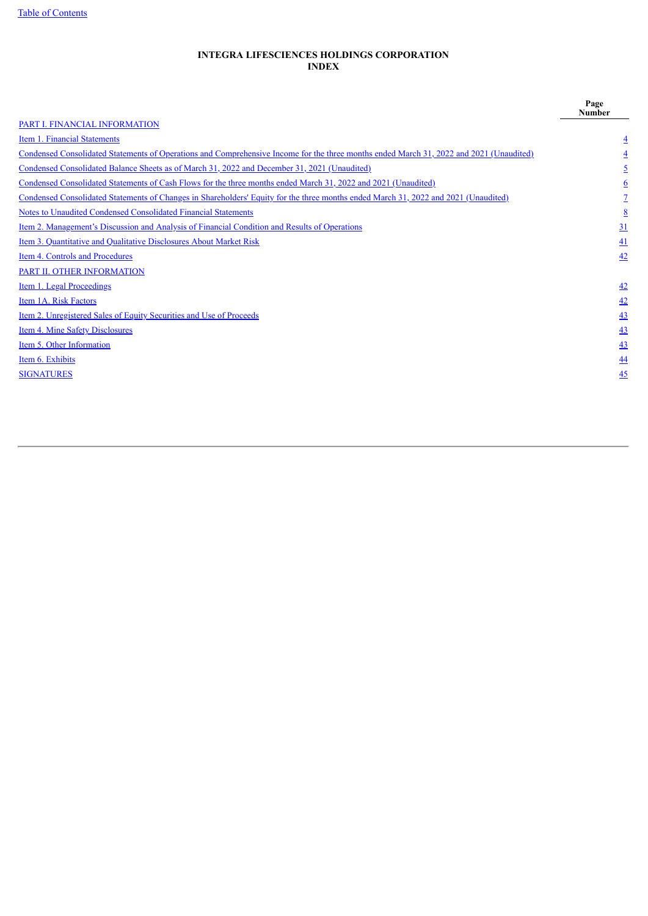Table of [Contents](#page-1-0)

# **INTEGRA LIFESCIENCES HOLDINGS CORPORATION INDEX**

<span id="page-2-0"></span>

|                                                                                                                                         | Page<br><b>Number</b> |
|-----------------------------------------------------------------------------------------------------------------------------------------|-----------------------|
| PART I. FINANCIAL INFORMATION                                                                                                           |                       |
| Item 1. Financial Statements                                                                                                            | 4                     |
| Condensed Consolidated Statements of Operations and Comprehensive Income for the three months ended March 31, 2022 and 2021 (Unaudited) |                       |
| Condensed Consolidated Balance Sheets as of March 31, 2022 and December 31, 2021 (Unaudited)                                            |                       |
| Condensed Consolidated Statements of Cash Flows for the three months ended March 31, 2022 and 2021 (Unaudited)                          | 6                     |
| Condensed Consolidated Statements of Changes in Shareholders' Equity for the three months ended March 31, 2022 and 2021 (Unaudited)     |                       |
| Notes to Unaudited Condensed Consolidated Financial Statements                                                                          | 8                     |
| Item 2. Management's Discussion and Analysis of Financial Condition and Results of Operations                                           | 31                    |
| Item 3. Quantitative and Qualitative Disclosures About Market Risk                                                                      | 41                    |
| Item 4. Controls and Procedures                                                                                                         | 42                    |
| PART II. OTHER INFORMATION                                                                                                              |                       |
| Item 1. Legal Proceedings                                                                                                               | $\frac{42}{5}$        |
| Item 1A. Risk Factors                                                                                                                   | 42                    |
| Item 2. Unregistered Sales of Equity Securities and Use of Proceeds                                                                     | 43                    |
| Item 4. Mine Safety Disclosures                                                                                                         | <u>43</u>             |
| Item 5. Other Information                                                                                                               | 43                    |
| Item 6. Exhibits                                                                                                                        | $\overline{44}$       |
| <b>SIGNATURES</b>                                                                                                                       | $\overline{45}$       |
|                                                                                                                                         |                       |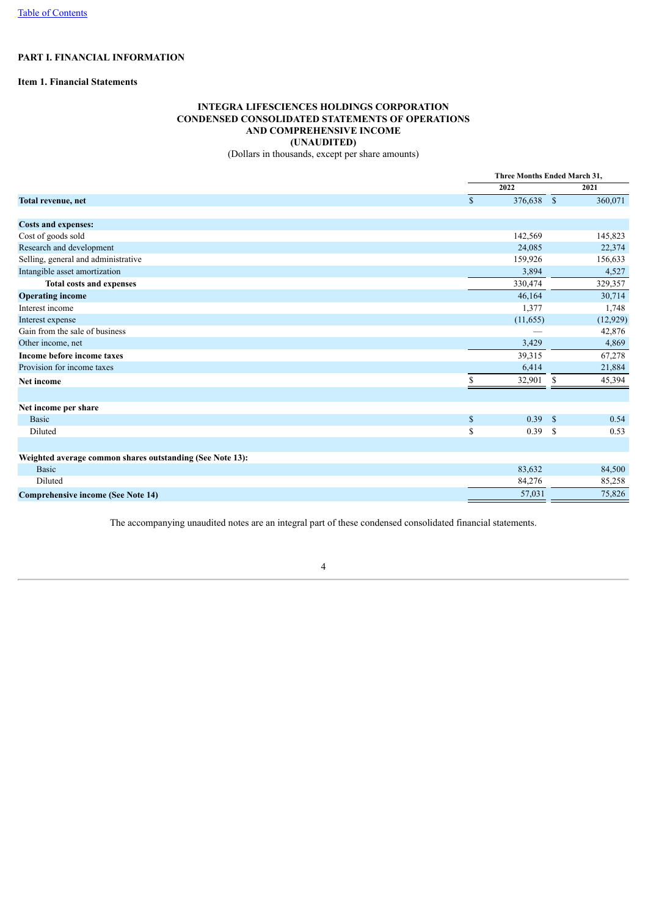# **PART I. FINANCIAL INFORMATION**

# <span id="page-3-1"></span><span id="page-3-0"></span>**Item 1. Financial Statements**

# **INTEGRA LIFESCIENCES HOLDINGS CORPORATION CONDENSED CONSOLIDATED STATEMENTS OF OPERATIONS AND COMPREHENSIVE INCOME (UNAUDITED)**

(Dollars in thousands, except per share amounts)

|                                                           |              | Three Months Ended March 31. |           |  |  |
|-----------------------------------------------------------|--------------|------------------------------|-----------|--|--|
|                                                           | 2022         |                              | 2021      |  |  |
| Total revenue, net                                        | $\mathbb{S}$ | 376,638 \$                   | 360,071   |  |  |
| <b>Costs and expenses:</b>                                |              |                              |           |  |  |
| Cost of goods sold                                        | 142,569      |                              | 145,823   |  |  |
| Research and development                                  | 24,085       |                              | 22,374    |  |  |
| Selling, general and administrative                       | 159,926      |                              | 156,633   |  |  |
| Intangible asset amortization                             |              | 3,894                        | 4,527     |  |  |
| <b>Total costs and expenses</b>                           | 330,474      |                              | 329,357   |  |  |
| <b>Operating income</b>                                   | 46,164       |                              | 30,714    |  |  |
| Interest income                                           |              | 1,377                        | 1,748     |  |  |
| Interest expense                                          | (11, 655)    |                              | (12, 929) |  |  |
| Gain from the sale of business                            |              |                              | 42,876    |  |  |
| Other income, net                                         |              | 3,429                        | 4,869     |  |  |
| Income before income taxes                                | 39,315       |                              | 67,278    |  |  |
| Provision for income taxes                                |              | 6,414                        | 21,884    |  |  |
| Net income                                                | 32,901<br>\$ | -S                           | 45,394    |  |  |
| Net income per share                                      |              |                              |           |  |  |
| <b>Basic</b>                                              | $\mathbb{S}$ | 0.39<br><sup>S</sup>         | 0.54      |  |  |
| Diluted                                                   | \$           | 0.39<br>-S                   | 0.53      |  |  |
| Weighted average common shares outstanding (See Note 13): |              |                              |           |  |  |
| <b>Basic</b>                                              | 83,632       |                              | 84,500    |  |  |
| Diluted                                                   | 84,276       |                              | 85,258    |  |  |
| <b>Comprehensive income (See Note 14)</b>                 |              | 57,031                       | 75,826    |  |  |

<span id="page-3-2"></span>The accompanying unaudited notes are an integral part of these condensed consolidated financial statements.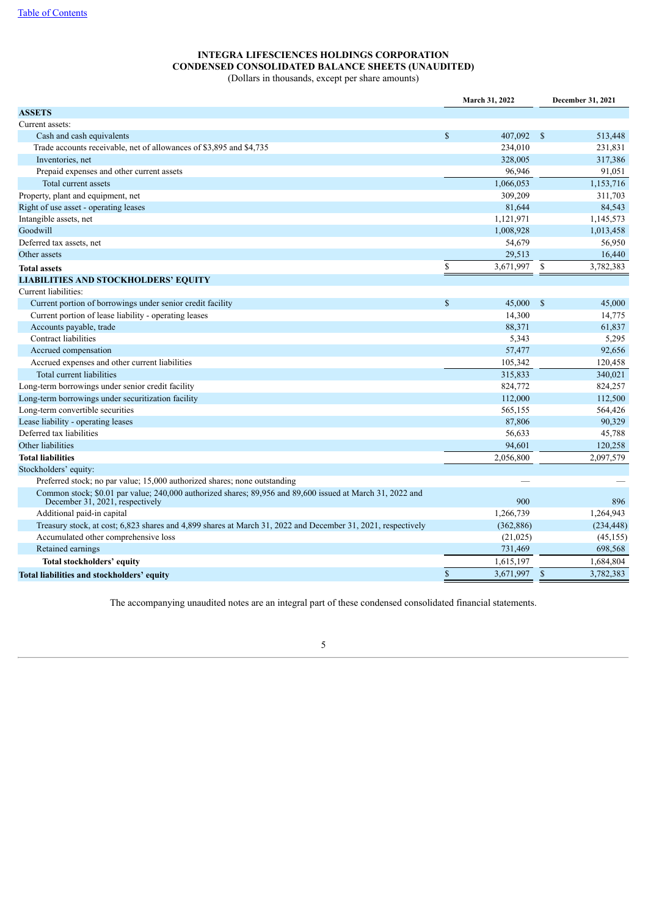# **INTEGRA LIFESCIENCES HOLDINGS CORPORATION CONDENSED CONSOLIDATED BALANCE SHEETS (UNAUDITED)** (Dollars in thousands, except per share amounts)

|                                                                                                                                              |               | <b>March 31, 2022</b> | December 31, 2021 |            |
|----------------------------------------------------------------------------------------------------------------------------------------------|---------------|-----------------------|-------------------|------------|
| <b>ASSETS</b>                                                                                                                                |               |                       |                   |            |
| Current assets:                                                                                                                              |               |                       |                   |            |
| Cash and cash equivalents                                                                                                                    | $\mathcal{S}$ | 407,092               | $^{\circ}$        | 513,448    |
| Trade accounts receivable, net of allowances of \$3,895 and \$4,735                                                                          |               | 234,010               |                   | 231,831    |
| Inventories, net                                                                                                                             |               | 328,005               |                   | 317,386    |
| Prepaid expenses and other current assets                                                                                                    |               | 96,946                |                   | 91,051     |
| Total current assets                                                                                                                         |               | 1,066,053             |                   | 1,153,716  |
| Property, plant and equipment, net                                                                                                           |               | 309,209               |                   | 311,703    |
| Right of use asset - operating leases                                                                                                        |               | 81,644                |                   | 84,543     |
| Intangible assets, net                                                                                                                       |               | 1,121,971             |                   | 1,145,573  |
| Goodwill                                                                                                                                     |               | 1,008,928             |                   | 1,013,458  |
| Deferred tax assets, net                                                                                                                     |               | 54,679                |                   | 56,950     |
| Other assets                                                                                                                                 |               | 29,513                |                   | 16,440     |
| <b>Total assets</b>                                                                                                                          | \$            | 3,671,997             | $\mathbb{S}$      | 3,782,383  |
| <b>LIABILITIES AND STOCKHOLDERS' EQUITY</b>                                                                                                  |               |                       |                   |            |
| Current liabilities:                                                                                                                         |               |                       |                   |            |
| Current portion of borrowings under senior credit facility                                                                                   | $\mathbf S$   | 45,000                | $\mathcal{S}$     | 45,000     |
| Current portion of lease liability - operating leases                                                                                        |               | 14,300                |                   | 14,775     |
| Accounts payable, trade                                                                                                                      |               | 88,371                |                   | 61,837     |
| Contract liabilities                                                                                                                         |               | 5,343                 |                   | 5,295      |
| Accrued compensation                                                                                                                         |               | 57,477                |                   | 92,656     |
| Accrued expenses and other current liabilities                                                                                               |               | 105,342               |                   | 120,458    |
| Total current liabilities                                                                                                                    |               | 315,833               |                   | 340,021    |
| Long-term borrowings under senior credit facility                                                                                            |               | 824,772               |                   | 824,257    |
| Long-term borrowings under securitization facility                                                                                           |               | 112,000               |                   | 112,500    |
| Long-term convertible securities                                                                                                             |               | 565,155               |                   | 564,426    |
| Lease liability - operating leases                                                                                                           |               | 87,806                |                   | 90,329     |
| Deferred tax liabilities                                                                                                                     |               | 56,633                |                   | 45,788     |
| Other liabilities                                                                                                                            |               | 94,601                |                   | 120,258    |
| <b>Total liabilities</b>                                                                                                                     |               | 2,056,800             |                   | 2,097,579  |
| Stockholders' equity:                                                                                                                        |               |                       |                   |            |
| Preferred stock; no par value; 15,000 authorized shares; none outstanding                                                                    |               |                       |                   |            |
| Common stock; \$0.01 par value; 240,000 authorized shares; 89,956 and 89,600 issued at March 31, 2022 and<br>December 31, 2021, respectively |               | 900                   |                   | 896        |
| Additional paid-in capital                                                                                                                   |               | 1,266,739             |                   | 1,264,943  |
| Treasury stock, at cost; 6,823 shares and 4,899 shares at March 31, 2022 and December 31, 2021, respectively                                 |               | (362, 886)            |                   | (234, 448) |
| Accumulated other comprehensive loss                                                                                                         |               | (21, 025)             |                   | (45, 155)  |
| Retained earnings                                                                                                                            |               | 731,469               |                   | 698,568    |
| Total stockholders' equity                                                                                                                   |               | 1,615,197             |                   | 1,684,804  |
| Total liabilities and stockholders' equity                                                                                                   | $\mathbf S$   | 3.671.997             | $\mathbf S$       | 3.782.383  |

<span id="page-4-0"></span>The accompanying unaudited notes are an integral part of these condensed consolidated financial statements.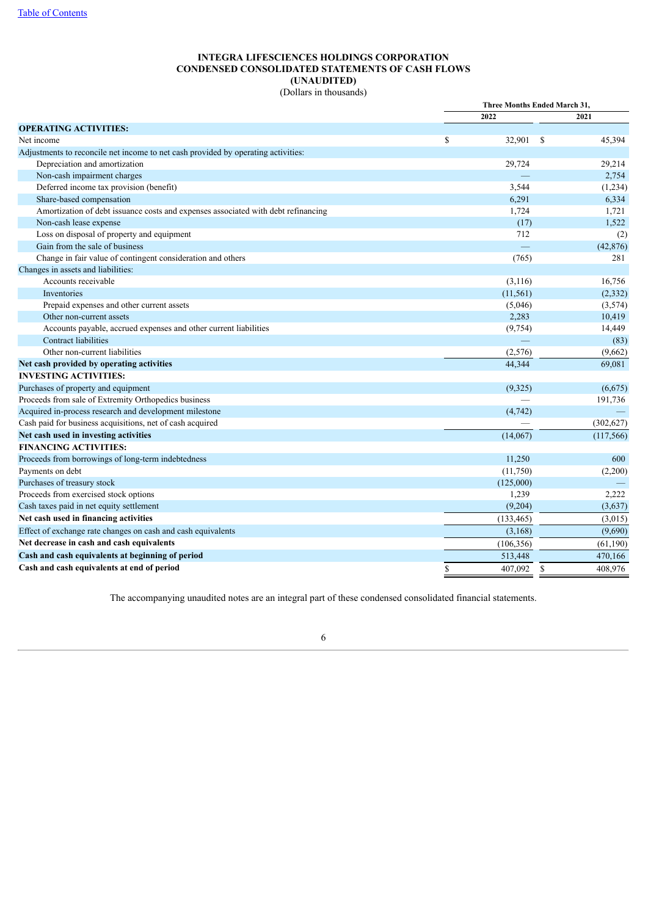# **INTEGRA LIFESCIENCES HOLDINGS CORPORATION CONDENSED CONSOLIDATED STATEMENTS OF CASH FLOWS (UNAUDITED)**

(Dollars in thousands)

| 2022<br>2021<br><b>OPERATING ACTIVITIES:</b><br><sup>\$</sup><br>32,901<br><sup>\$</sup><br>45,394<br>Net income<br>Adjustments to reconcile net income to net cash provided by operating activities:<br>Depreciation and amortization<br>29,724<br>29,214<br>Non-cash impairment charges<br>2,754<br>Deferred income tax provision (benefit)<br>3,544<br>(1,234)<br>Share-based compensation<br>6,291<br>6,334<br>Amortization of debt issuance costs and expenses associated with debt refinancing<br>1,724<br>1,721<br>1,522<br>Non-cash lease expense<br>(17)<br>Loss on disposal of property and equipment<br>712<br>(2)<br>Gain from the sale of business<br>(42, 876)<br>Change in fair value of contingent consideration and others<br>(765)<br>281<br>Changes in assets and liabilities:<br>Accounts receivable<br>(3,116)<br>16,756<br>(11, 561)<br>(2, 332)<br>Inventories<br>(5,046)<br>Prepaid expenses and other current assets<br>(3,574)<br>Other non-current assets<br>2,283<br>10,419<br>Accounts payable, accrued expenses and other current liabilities<br>(9, 754)<br>14,449<br>Contract liabilities<br>(83)<br>Other non-current liabilities<br>(2,576)<br>(9,662)<br>Net cash provided by operating activities<br>44,344<br>69,081<br><b>INVESTING ACTIVITIES:</b><br>Purchases of property and equipment<br>(9,325)<br>(6,675)<br>Proceeds from sale of Extremity Orthopedics business<br>191,736<br>Acquired in-process research and development milestone<br>(4, 742)<br>Cash paid for business acquisitions, net of cash acquired<br>(302, 627)<br>Net cash used in investing activities<br>(14,067)<br>(117,566)<br><b>FINANCING ACTIVITIES:</b><br>Proceeds from borrowings of long-term indebtedness<br>11,250<br>600<br>(11,750)<br>Payments on debt<br>(2,200)<br>Purchases of treasury stock<br>(125,000)<br>Proceeds from exercised stock options<br>1,239<br>2,222<br>Cash taxes paid in net equity settlement<br>(3,637)<br>(9,204)<br>Net cash used in financing activities<br>(133, 465)<br>(3,015)<br>Effect of exchange rate changes on cash and cash equivalents<br>(3,168)<br>(9,690)<br>Net decrease in cash and cash equivalents<br>(61, 190)<br>(106, 356)<br>Cash and cash equivalents at beginning of period<br>513,448<br>470,166<br>Cash and cash equivalents at end of period<br>\$<br>407,092<br>\$<br>408,976 |  | Three Months Ended March 31, |  |  |
|-------------------------------------------------------------------------------------------------------------------------------------------------------------------------------------------------------------------------------------------------------------------------------------------------------------------------------------------------------------------------------------------------------------------------------------------------------------------------------------------------------------------------------------------------------------------------------------------------------------------------------------------------------------------------------------------------------------------------------------------------------------------------------------------------------------------------------------------------------------------------------------------------------------------------------------------------------------------------------------------------------------------------------------------------------------------------------------------------------------------------------------------------------------------------------------------------------------------------------------------------------------------------------------------------------------------------------------------------------------------------------------------------------------------------------------------------------------------------------------------------------------------------------------------------------------------------------------------------------------------------------------------------------------------------------------------------------------------------------------------------------------------------------------------------------------------------------------------------------------------------------------------------------------------------------------------------------------------------------------------------------------------------------------------------------------------------------------------------------------------------------------------------------------------------------------------------------------------------------------------------------------------------------------------------------------------------------------------------------------------|--|------------------------------|--|--|
|                                                                                                                                                                                                                                                                                                                                                                                                                                                                                                                                                                                                                                                                                                                                                                                                                                                                                                                                                                                                                                                                                                                                                                                                                                                                                                                                                                                                                                                                                                                                                                                                                                                                                                                                                                                                                                                                                                                                                                                                                                                                                                                                                                                                                                                                                                                                                                   |  |                              |  |  |
|                                                                                                                                                                                                                                                                                                                                                                                                                                                                                                                                                                                                                                                                                                                                                                                                                                                                                                                                                                                                                                                                                                                                                                                                                                                                                                                                                                                                                                                                                                                                                                                                                                                                                                                                                                                                                                                                                                                                                                                                                                                                                                                                                                                                                                                                                                                                                                   |  |                              |  |  |
|                                                                                                                                                                                                                                                                                                                                                                                                                                                                                                                                                                                                                                                                                                                                                                                                                                                                                                                                                                                                                                                                                                                                                                                                                                                                                                                                                                                                                                                                                                                                                                                                                                                                                                                                                                                                                                                                                                                                                                                                                                                                                                                                                                                                                                                                                                                                                                   |  |                              |  |  |
|                                                                                                                                                                                                                                                                                                                                                                                                                                                                                                                                                                                                                                                                                                                                                                                                                                                                                                                                                                                                                                                                                                                                                                                                                                                                                                                                                                                                                                                                                                                                                                                                                                                                                                                                                                                                                                                                                                                                                                                                                                                                                                                                                                                                                                                                                                                                                                   |  |                              |  |  |
|                                                                                                                                                                                                                                                                                                                                                                                                                                                                                                                                                                                                                                                                                                                                                                                                                                                                                                                                                                                                                                                                                                                                                                                                                                                                                                                                                                                                                                                                                                                                                                                                                                                                                                                                                                                                                                                                                                                                                                                                                                                                                                                                                                                                                                                                                                                                                                   |  |                              |  |  |
|                                                                                                                                                                                                                                                                                                                                                                                                                                                                                                                                                                                                                                                                                                                                                                                                                                                                                                                                                                                                                                                                                                                                                                                                                                                                                                                                                                                                                                                                                                                                                                                                                                                                                                                                                                                                                                                                                                                                                                                                                                                                                                                                                                                                                                                                                                                                                                   |  |                              |  |  |
|                                                                                                                                                                                                                                                                                                                                                                                                                                                                                                                                                                                                                                                                                                                                                                                                                                                                                                                                                                                                                                                                                                                                                                                                                                                                                                                                                                                                                                                                                                                                                                                                                                                                                                                                                                                                                                                                                                                                                                                                                                                                                                                                                                                                                                                                                                                                                                   |  |                              |  |  |
|                                                                                                                                                                                                                                                                                                                                                                                                                                                                                                                                                                                                                                                                                                                                                                                                                                                                                                                                                                                                                                                                                                                                                                                                                                                                                                                                                                                                                                                                                                                                                                                                                                                                                                                                                                                                                                                                                                                                                                                                                                                                                                                                                                                                                                                                                                                                                                   |  |                              |  |  |
|                                                                                                                                                                                                                                                                                                                                                                                                                                                                                                                                                                                                                                                                                                                                                                                                                                                                                                                                                                                                                                                                                                                                                                                                                                                                                                                                                                                                                                                                                                                                                                                                                                                                                                                                                                                                                                                                                                                                                                                                                                                                                                                                                                                                                                                                                                                                                                   |  |                              |  |  |
|                                                                                                                                                                                                                                                                                                                                                                                                                                                                                                                                                                                                                                                                                                                                                                                                                                                                                                                                                                                                                                                                                                                                                                                                                                                                                                                                                                                                                                                                                                                                                                                                                                                                                                                                                                                                                                                                                                                                                                                                                                                                                                                                                                                                                                                                                                                                                                   |  |                              |  |  |
|                                                                                                                                                                                                                                                                                                                                                                                                                                                                                                                                                                                                                                                                                                                                                                                                                                                                                                                                                                                                                                                                                                                                                                                                                                                                                                                                                                                                                                                                                                                                                                                                                                                                                                                                                                                                                                                                                                                                                                                                                                                                                                                                                                                                                                                                                                                                                                   |  |                              |  |  |
|                                                                                                                                                                                                                                                                                                                                                                                                                                                                                                                                                                                                                                                                                                                                                                                                                                                                                                                                                                                                                                                                                                                                                                                                                                                                                                                                                                                                                                                                                                                                                                                                                                                                                                                                                                                                                                                                                                                                                                                                                                                                                                                                                                                                                                                                                                                                                                   |  |                              |  |  |
|                                                                                                                                                                                                                                                                                                                                                                                                                                                                                                                                                                                                                                                                                                                                                                                                                                                                                                                                                                                                                                                                                                                                                                                                                                                                                                                                                                                                                                                                                                                                                                                                                                                                                                                                                                                                                                                                                                                                                                                                                                                                                                                                                                                                                                                                                                                                                                   |  |                              |  |  |
|                                                                                                                                                                                                                                                                                                                                                                                                                                                                                                                                                                                                                                                                                                                                                                                                                                                                                                                                                                                                                                                                                                                                                                                                                                                                                                                                                                                                                                                                                                                                                                                                                                                                                                                                                                                                                                                                                                                                                                                                                                                                                                                                                                                                                                                                                                                                                                   |  |                              |  |  |
|                                                                                                                                                                                                                                                                                                                                                                                                                                                                                                                                                                                                                                                                                                                                                                                                                                                                                                                                                                                                                                                                                                                                                                                                                                                                                                                                                                                                                                                                                                                                                                                                                                                                                                                                                                                                                                                                                                                                                                                                                                                                                                                                                                                                                                                                                                                                                                   |  |                              |  |  |
|                                                                                                                                                                                                                                                                                                                                                                                                                                                                                                                                                                                                                                                                                                                                                                                                                                                                                                                                                                                                                                                                                                                                                                                                                                                                                                                                                                                                                                                                                                                                                                                                                                                                                                                                                                                                                                                                                                                                                                                                                                                                                                                                                                                                                                                                                                                                                                   |  |                              |  |  |
|                                                                                                                                                                                                                                                                                                                                                                                                                                                                                                                                                                                                                                                                                                                                                                                                                                                                                                                                                                                                                                                                                                                                                                                                                                                                                                                                                                                                                                                                                                                                                                                                                                                                                                                                                                                                                                                                                                                                                                                                                                                                                                                                                                                                                                                                                                                                                                   |  |                              |  |  |
|                                                                                                                                                                                                                                                                                                                                                                                                                                                                                                                                                                                                                                                                                                                                                                                                                                                                                                                                                                                                                                                                                                                                                                                                                                                                                                                                                                                                                                                                                                                                                                                                                                                                                                                                                                                                                                                                                                                                                                                                                                                                                                                                                                                                                                                                                                                                                                   |  |                              |  |  |
|                                                                                                                                                                                                                                                                                                                                                                                                                                                                                                                                                                                                                                                                                                                                                                                                                                                                                                                                                                                                                                                                                                                                                                                                                                                                                                                                                                                                                                                                                                                                                                                                                                                                                                                                                                                                                                                                                                                                                                                                                                                                                                                                                                                                                                                                                                                                                                   |  |                              |  |  |
|                                                                                                                                                                                                                                                                                                                                                                                                                                                                                                                                                                                                                                                                                                                                                                                                                                                                                                                                                                                                                                                                                                                                                                                                                                                                                                                                                                                                                                                                                                                                                                                                                                                                                                                                                                                                                                                                                                                                                                                                                                                                                                                                                                                                                                                                                                                                                                   |  |                              |  |  |
|                                                                                                                                                                                                                                                                                                                                                                                                                                                                                                                                                                                                                                                                                                                                                                                                                                                                                                                                                                                                                                                                                                                                                                                                                                                                                                                                                                                                                                                                                                                                                                                                                                                                                                                                                                                                                                                                                                                                                                                                                                                                                                                                                                                                                                                                                                                                                                   |  |                              |  |  |
|                                                                                                                                                                                                                                                                                                                                                                                                                                                                                                                                                                                                                                                                                                                                                                                                                                                                                                                                                                                                                                                                                                                                                                                                                                                                                                                                                                                                                                                                                                                                                                                                                                                                                                                                                                                                                                                                                                                                                                                                                                                                                                                                                                                                                                                                                                                                                                   |  |                              |  |  |
|                                                                                                                                                                                                                                                                                                                                                                                                                                                                                                                                                                                                                                                                                                                                                                                                                                                                                                                                                                                                                                                                                                                                                                                                                                                                                                                                                                                                                                                                                                                                                                                                                                                                                                                                                                                                                                                                                                                                                                                                                                                                                                                                                                                                                                                                                                                                                                   |  |                              |  |  |
|                                                                                                                                                                                                                                                                                                                                                                                                                                                                                                                                                                                                                                                                                                                                                                                                                                                                                                                                                                                                                                                                                                                                                                                                                                                                                                                                                                                                                                                                                                                                                                                                                                                                                                                                                                                                                                                                                                                                                                                                                                                                                                                                                                                                                                                                                                                                                                   |  |                              |  |  |
|                                                                                                                                                                                                                                                                                                                                                                                                                                                                                                                                                                                                                                                                                                                                                                                                                                                                                                                                                                                                                                                                                                                                                                                                                                                                                                                                                                                                                                                                                                                                                                                                                                                                                                                                                                                                                                                                                                                                                                                                                                                                                                                                                                                                                                                                                                                                                                   |  |                              |  |  |
|                                                                                                                                                                                                                                                                                                                                                                                                                                                                                                                                                                                                                                                                                                                                                                                                                                                                                                                                                                                                                                                                                                                                                                                                                                                                                                                                                                                                                                                                                                                                                                                                                                                                                                                                                                                                                                                                                                                                                                                                                                                                                                                                                                                                                                                                                                                                                                   |  |                              |  |  |
|                                                                                                                                                                                                                                                                                                                                                                                                                                                                                                                                                                                                                                                                                                                                                                                                                                                                                                                                                                                                                                                                                                                                                                                                                                                                                                                                                                                                                                                                                                                                                                                                                                                                                                                                                                                                                                                                                                                                                                                                                                                                                                                                                                                                                                                                                                                                                                   |  |                              |  |  |
|                                                                                                                                                                                                                                                                                                                                                                                                                                                                                                                                                                                                                                                                                                                                                                                                                                                                                                                                                                                                                                                                                                                                                                                                                                                                                                                                                                                                                                                                                                                                                                                                                                                                                                                                                                                                                                                                                                                                                                                                                                                                                                                                                                                                                                                                                                                                                                   |  |                              |  |  |
|                                                                                                                                                                                                                                                                                                                                                                                                                                                                                                                                                                                                                                                                                                                                                                                                                                                                                                                                                                                                                                                                                                                                                                                                                                                                                                                                                                                                                                                                                                                                                                                                                                                                                                                                                                                                                                                                                                                                                                                                                                                                                                                                                                                                                                                                                                                                                                   |  |                              |  |  |
|                                                                                                                                                                                                                                                                                                                                                                                                                                                                                                                                                                                                                                                                                                                                                                                                                                                                                                                                                                                                                                                                                                                                                                                                                                                                                                                                                                                                                                                                                                                                                                                                                                                                                                                                                                                                                                                                                                                                                                                                                                                                                                                                                                                                                                                                                                                                                                   |  |                              |  |  |
|                                                                                                                                                                                                                                                                                                                                                                                                                                                                                                                                                                                                                                                                                                                                                                                                                                                                                                                                                                                                                                                                                                                                                                                                                                                                                                                                                                                                                                                                                                                                                                                                                                                                                                                                                                                                                                                                                                                                                                                                                                                                                                                                                                                                                                                                                                                                                                   |  |                              |  |  |
|                                                                                                                                                                                                                                                                                                                                                                                                                                                                                                                                                                                                                                                                                                                                                                                                                                                                                                                                                                                                                                                                                                                                                                                                                                                                                                                                                                                                                                                                                                                                                                                                                                                                                                                                                                                                                                                                                                                                                                                                                                                                                                                                                                                                                                                                                                                                                                   |  |                              |  |  |
|                                                                                                                                                                                                                                                                                                                                                                                                                                                                                                                                                                                                                                                                                                                                                                                                                                                                                                                                                                                                                                                                                                                                                                                                                                                                                                                                                                                                                                                                                                                                                                                                                                                                                                                                                                                                                                                                                                                                                                                                                                                                                                                                                                                                                                                                                                                                                                   |  |                              |  |  |
|                                                                                                                                                                                                                                                                                                                                                                                                                                                                                                                                                                                                                                                                                                                                                                                                                                                                                                                                                                                                                                                                                                                                                                                                                                                                                                                                                                                                                                                                                                                                                                                                                                                                                                                                                                                                                                                                                                                                                                                                                                                                                                                                                                                                                                                                                                                                                                   |  |                              |  |  |
|                                                                                                                                                                                                                                                                                                                                                                                                                                                                                                                                                                                                                                                                                                                                                                                                                                                                                                                                                                                                                                                                                                                                                                                                                                                                                                                                                                                                                                                                                                                                                                                                                                                                                                                                                                                                                                                                                                                                                                                                                                                                                                                                                                                                                                                                                                                                                                   |  |                              |  |  |
|                                                                                                                                                                                                                                                                                                                                                                                                                                                                                                                                                                                                                                                                                                                                                                                                                                                                                                                                                                                                                                                                                                                                                                                                                                                                                                                                                                                                                                                                                                                                                                                                                                                                                                                                                                                                                                                                                                                                                                                                                                                                                                                                                                                                                                                                                                                                                                   |  |                              |  |  |
|                                                                                                                                                                                                                                                                                                                                                                                                                                                                                                                                                                                                                                                                                                                                                                                                                                                                                                                                                                                                                                                                                                                                                                                                                                                                                                                                                                                                                                                                                                                                                                                                                                                                                                                                                                                                                                                                                                                                                                                                                                                                                                                                                                                                                                                                                                                                                                   |  |                              |  |  |
|                                                                                                                                                                                                                                                                                                                                                                                                                                                                                                                                                                                                                                                                                                                                                                                                                                                                                                                                                                                                                                                                                                                                                                                                                                                                                                                                                                                                                                                                                                                                                                                                                                                                                                                                                                                                                                                                                                                                                                                                                                                                                                                                                                                                                                                                                                                                                                   |  |                              |  |  |
|                                                                                                                                                                                                                                                                                                                                                                                                                                                                                                                                                                                                                                                                                                                                                                                                                                                                                                                                                                                                                                                                                                                                                                                                                                                                                                                                                                                                                                                                                                                                                                                                                                                                                                                                                                                                                                                                                                                                                                                                                                                                                                                                                                                                                                                                                                                                                                   |  |                              |  |  |

<span id="page-5-0"></span>The accompanying unaudited notes are an integral part of these condensed consolidated financial statements.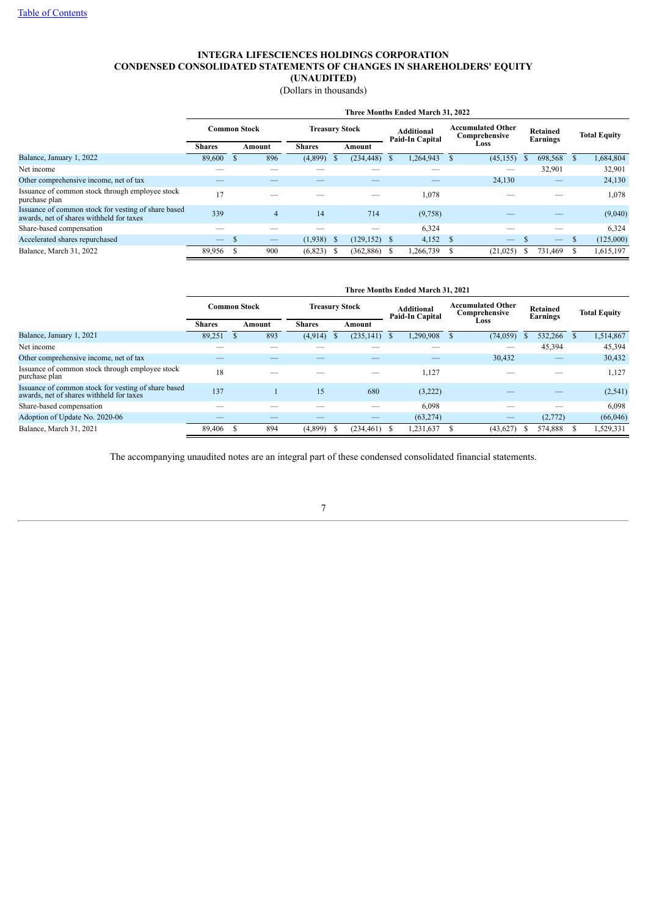# **INTEGRA LIFESCIENCES HOLDINGS CORPORATION CONDENSED CONSOLIDATED STATEMENTS OF CHANGES IN SHAREHOLDERS' EQUITY (UNAUDITED)**

(Dollars in thousands)

|                                                                                                 | Three Months Ended March 31, 2022 |      |                          |                         |    |                 |                                      |           |                                           |                          |                             |         |                     |           |  |  |  |  |  |  |  |  |  |  |  |  |  |  |
|-------------------------------------------------------------------------------------------------|-----------------------------------|------|--------------------------|-------------------------|----|-----------------|--------------------------------------|-----------|-------------------------------------------|--------------------------|-----------------------------|---------|---------------------|-----------|--|--|--|--|--|--|--|--|--|--|--|--|--|--|
|                                                                                                 | <b>Common Stock</b>               |      | <b>Treasury Stock</b>    |                         |    |                 | <b>Additional</b><br>Paid-In Capital |           | <b>Accumulated Other</b><br>Comprehensive |                          | <b>Retained</b><br>Earnings |         | <b>Total Equity</b> |           |  |  |  |  |  |  |  |  |  |  |  |  |  |  |
|                                                                                                 | <b>Shares</b>                     |      | Amount                   | <b>Shares</b><br>Amount |    |                 |                                      | Loss      |                                           |                          |                             |         |                     |           |  |  |  |  |  |  |  |  |  |  |  |  |  |  |
| Balance, January 1, 2022                                                                        | 89,600                            |      | 896                      | (4,899)                 |    | $(234, 448)$ \$ |                                      | 1,264,943 |                                           | (45, 155)                |                             | 698,568 |                     | 1,684,804 |  |  |  |  |  |  |  |  |  |  |  |  |  |  |
| Net income                                                                                      |                                   |      |                          |                         |    |                 |                                      |           |                                           |                          |                             | 32,901  |                     | 32,901    |  |  |  |  |  |  |  |  |  |  |  |  |  |  |
| Other comprehensive income, net of tax                                                          |                                   |      |                          |                         |    |                 |                                      |           |                                           | 24,130                   |                             |         |                     | 24,130    |  |  |  |  |  |  |  |  |  |  |  |  |  |  |
| Issuance of common stock through employee stock<br>purchase plan                                | 17                                |      |                          |                         |    |                 |                                      | 1,078     |                                           |                          |                             |         |                     | 1,078     |  |  |  |  |  |  |  |  |  |  |  |  |  |  |
| Issuance of common stock for vesting of share based<br>awards, net of shares withheld for taxes | 339                               |      | 4                        | 14                      |    | 714             |                                      | (9,758)   |                                           |                          |                             |         |                     | (9,040)   |  |  |  |  |  |  |  |  |  |  |  |  |  |  |
| Share-based compensation                                                                        |                                   |      |                          |                         |    |                 |                                      | 6,324     |                                           |                          |                             |         |                     | 6,324     |  |  |  |  |  |  |  |  |  |  |  |  |  |  |
| Accelerated shares repurchased                                                                  | $\qquad \qquad -$                 | - 35 | $\overline{\phantom{m}}$ | (1,938)                 | -S | $(129, 152)$ \$ |                                      | 4,152     | - \$                                      | $\overline{\phantom{m}}$ |                             |         | л.                  | (125,000) |  |  |  |  |  |  |  |  |  |  |  |  |  |  |
| Balance, March 31, 2022                                                                         | 89,956                            |      | 900                      | (6,823)                 |    | $(362,886)$ \$  |                                      | .266,739  |                                           | (21, 025)                |                             | 731,469 |                     | 1,615,197 |  |  |  |  |  |  |  |  |  |  |  |  |  |  |

|                                                                                                 | Three Months Ended March 31, 2021 |  |        |                       |  |                          |                                      |           |                                           |           |                      |         |  |                     |
|-------------------------------------------------------------------------------------------------|-----------------------------------|--|--------|-----------------------|--|--------------------------|--------------------------------------|-----------|-------------------------------------------|-----------|----------------------|---------|--|---------------------|
|                                                                                                 | <b>Common Stock</b>               |  |        | <b>Treasury Stock</b> |  |                          | <b>Additional</b><br>Paid-In Capital |           | <b>Accumulated Other</b><br>Comprehensive |           | Retained<br>Earnings |         |  | <b>Total Equity</b> |
|                                                                                                 | <b>Shares</b>                     |  | Amount | <b>Shares</b>         |  | Amount                   |                                      |           |                                           | Loss      |                      |         |  |                     |
| Balance, January 1, 2021                                                                        | 89,251                            |  | 893    | (4,914)               |  | $(235, 141)$ \$          |                                      | 1,290,908 |                                           | (74, 059) |                      | 532,266 |  | 1,514,867           |
| Net income                                                                                      |                                   |  |        |                       |  |                          |                                      |           |                                           | —         |                      | 45,394  |  | 45,394              |
| Other comprehensive income, net of tax                                                          |                                   |  |        |                       |  |                          |                                      |           |                                           | 30,432    |                      |         |  | 30,432              |
| Issuance of common stock through employee stock<br>purchase plan                                | 18                                |  |        |                       |  |                          |                                      | 1,127     |                                           |           |                      |         |  | 1,127               |
| Issuance of common stock for vesting of share based<br>awards, net of shares withheld for taxes | 137                               |  |        | 15                    |  | 680                      |                                      | (3,222)   |                                           |           |                      |         |  | (2, 541)            |
| Share-based compensation                                                                        |                                   |  |        |                       |  | $\overline{\phantom{a}}$ |                                      | 6,098     |                                           |           |                      |         |  | 6,098               |
| Adoption of Update No. 2020-06                                                                  |                                   |  |        |                       |  |                          |                                      | (63, 274) |                                           | __        |                      | (2,772) |  | (66,046)            |
| Balance, March 31, 2021                                                                         | 89.406                            |  | 894    | (4,899)               |  | $(234, 461)$ \$          |                                      | .231,637  |                                           | (43, 627) |                      | 574,888 |  | 1,529,331           |

<span id="page-6-0"></span>The accompanying unaudited notes are an integral part of these condensed consolidated financial statements.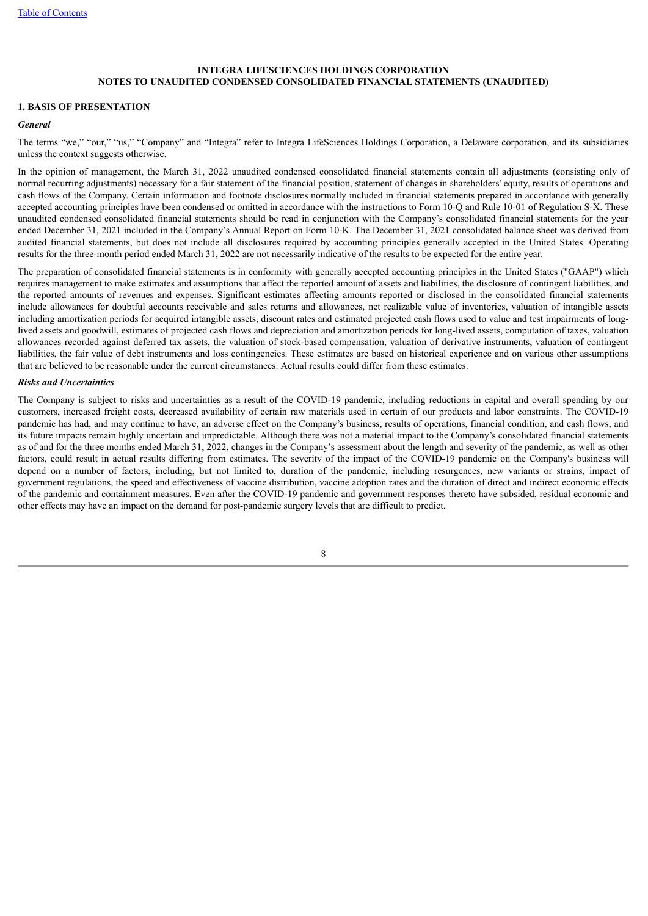#### **1. BASIS OF PRESENTATION**

### *General*

The terms "we," "our," "us," "Company" and "Integra" refer to Integra LifeSciences Holdings Corporation, a Delaware corporation, and its subsidiaries unless the context suggests otherwise.

In the opinion of management, the March 31, 2022 unaudited condensed consolidated financial statements contain all adjustments (consisting only of normal recurring adjustments) necessary for a fair statement of the financial position, statement of changes in shareholders' equity, results of operations and cash flows of the Company. Certain information and footnote disclosures normally included in financial statements prepared in accordance with generally accepted accounting principles have been condensed or omitted in accordance with the instructions to Form 10-Q and Rule 10-01 of Regulation S-X. These unaudited condensed consolidated financial statements should be read in conjunction with the Company's consolidated financial statements for the year ended December 31, 2021 included in the Company's Annual Report on Form 10-K. The December 31, 2021 consolidated balance sheet was derived from audited financial statements, but does not include all disclosures required by accounting principles generally accepted in the United States. Operating results for the three-month period ended March 31, 2022 are not necessarily indicative of the results to be expected for the entire year.

The preparation of consolidated financial statements is in conformity with generally accepted accounting principles in the United States ("GAAP") which requires management to make estimates and assumptions that affect the reported amount of assets and liabilities, the disclosure of contingent liabilities, and the reported amounts of revenues and expenses. Significant estimates affecting amounts reported or disclosed in the consolidated financial statements include allowances for doubtful accounts receivable and sales returns and allowances, net realizable value of inventories, valuation of intangible assets including amortization periods for acquired intangible assets, discount rates and estimated projected cash flows used to value and test impairments of longlived assets and goodwill, estimates of projected cash flows and depreciation and amortization periods for long-lived assets, computation of taxes, valuation allowances recorded against deferred tax assets, the valuation of stock-based compensation, valuation of derivative instruments, valuation of contingent liabilities, the fair value of debt instruments and loss contingencies. These estimates are based on historical experience and on various other assumptions that are believed to be reasonable under the current circumstances. Actual results could differ from these estimates.

### *Risks and Uncertainties*

The Company is subject to risks and uncertainties as a result of the COVID-19 pandemic, including reductions in capital and overall spending by our customers, increased freight costs, decreased availability of certain raw materials used in certain of our products and labor constraints. The COVID-19 pandemic has had, and may continue to have, an adverse effect on the Company's business, results of operations, financial condition, and cash flows, and its future impacts remain highly uncertain and unpredictable. Although there was not a material impact to the Company's consolidated financial statements as of and for the three months ended March 31, 2022, changes in the Company's assessment about the length and severity of the pandemic, as well as other factors, could result in actual results differing from estimates. The severity of the impact of the COVID-19 pandemic on the Company's business will depend on a number of factors, including, but not limited to, duration of the pandemic, including resurgences, new variants or strains, impact of government regulations, the speed and effectiveness of vaccine distribution, vaccine adoption rates and the duration of direct and indirect economic effects of the pandemic and containment measures. Even after the COVID-19 pandemic and government responses thereto have subsided, residual economic and other effects may have an impact on the demand for post-pandemic surgery levels that are difficult to predict.

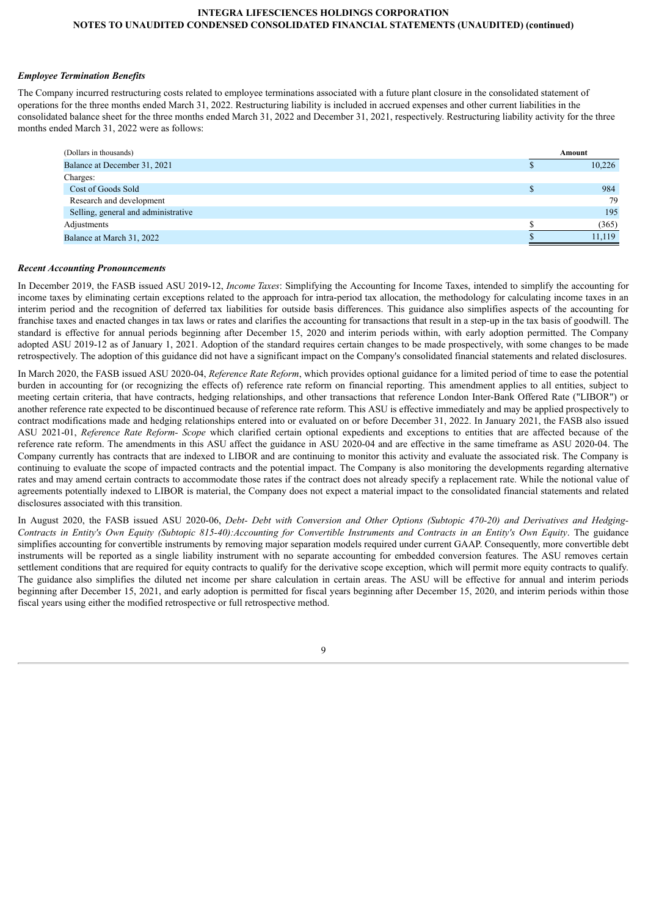### *Employee Termination Benefits*

The Company incurred restructuring costs related to employee terminations associated with a future plant closure in the consolidated statement of operations for the three months ended March 31, 2022. Restructuring liability is included in accrued expenses and other current liabilities in the consolidated balance sheet for the three months ended March 31, 2022 and December 31, 2021, respectively. Restructuring liability activity for the three months ended March 31, 2022 were as follows:

| (Dollars in thousands)              | Amount |
|-------------------------------------|--------|
| Balance at December 31, 2021        | 10,226 |
| Charges:                            |        |
| Cost of Goods Sold                  | 984    |
| Research and development            | 79     |
| Selling, general and administrative | 195    |
| Adjustments                         | (365)  |
| Balance at March 31, 2022           | 11,119 |

#### *Recent Accounting Pronouncements*

In December 2019, the FASB issued ASU 2019-12, *Income Taxes*: Simplifying the Accounting for Income Taxes, intended to simplify the accounting for income taxes by eliminating certain exceptions related to the approach for intra-period tax allocation, the methodology for calculating income taxes in an interim period and the recognition of deferred tax liabilities for outside basis differences. This guidance also simplifies aspects of the accounting for franchise taxes and enacted changes in tax laws or rates and clarifies the accounting for transactions that result in a step-up in the tax basis of goodwill. The standard is effective for annual periods beginning after December 15, 2020 and interim periods within, with early adoption permitted. The Company adopted ASU 2019-12 as of January 1, 2021. Adoption of the standard requires certain changes to be made prospectively, with some changes to be made retrospectively. The adoption of this guidance did not have a significant impact on the Company's consolidated financial statements and related disclosures.

In March 2020, the FASB issued ASU 2020-04, *Reference Rate Reform*, which provides optional guidance for a limited period of time to ease the potential burden in accounting for (or recognizing the effects of) reference rate reform on financial reporting. This amendment applies to all entities, subject to meeting certain criteria, that have contracts, hedging relationships, and other transactions that reference London Inter-Bank Offered Rate ("LIBOR") or another reference rate expected to be discontinued because of reference rate reform. This ASU is effective immediately and may be applied prospectively to contract modifications made and hedging relationships entered into or evaluated on or before December 31, 2022. In January 2021, the FASB also issued ASU 2021-01, *Reference Rate Reform- Scope* which clarified certain optional expedients and exceptions to entities that are affected because of the reference rate reform. The amendments in this ASU affect the guidance in ASU 2020-04 and are effective in the same timeframe as ASU 2020-04. The Company currently has contracts that are indexed to LIBOR and are continuing to monitor this activity and evaluate the associated risk. The Company is continuing to evaluate the scope of impacted contracts and the potential impact. The Company is also monitoring the developments regarding alternative rates and may amend certain contracts to accommodate those rates if the contract does not already specify a replacement rate. While the notional value of agreements potentially indexed to LIBOR is material, the Company does not expect a material impact to the consolidated financial statements and related disclosures associated with this transition.

In August 2020, the FASB issued ASU 2020-06, Debt- Debt with Conversion and Other Options (Subtopic 470-20) and Derivatives and Hedging-Contracts in Entity's Own Equity (Subtopic 815-40): Accounting for Convertible Instruments and Contracts in an Entity's Own Equity. The guidance simplifies accounting for convertible instruments by removing major separation models required under current GAAP. Consequently, more convertible debt instruments will be reported as a single liability instrument with no separate accounting for embedded conversion features. The ASU removes certain settlement conditions that are required for equity contracts to qualify for the derivative scope exception, which will permit more equity contracts to qualify. The guidance also simplifies the diluted net income per share calculation in certain areas. The ASU will be effective for annual and interim periods beginning after December 15, 2021, and early adoption is permitted for fiscal years beginning after December 15, 2020, and interim periods within those fiscal years using either the modified retrospective or full retrospective method.

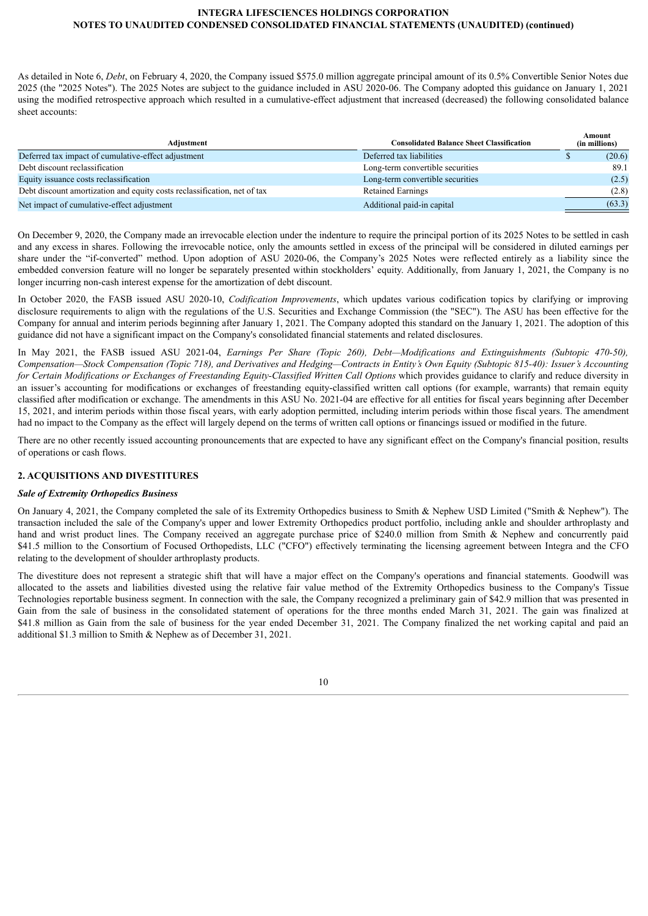As detailed in Note 6, *Debt*, on February 4, 2020, the Company issued \$575.0 million aggregate principal amount of its 0.5% Convertible Senior Notes due 2025 (the "2025 Notes"). The 2025 Notes are subject to the guidance included in ASU 2020-06. The Company adopted this guidance on January 1, 2021 using the modified retrospective approach which resulted in a cumulative-effect adjustment that increased (decreased) the following consolidated balance sheet accounts:

| Adjustment                                                               | <b>Consolidated Balance Sheet Classification</b> | Amount<br>(in millions) |  |  |
|--------------------------------------------------------------------------|--------------------------------------------------|-------------------------|--|--|
| Deferred tax impact of cumulative-effect adjustment                      | Deferred tax liabilities                         | (20.6)                  |  |  |
| Debt discount reclassification                                           | Long-term convertible securities                 | 89.1                    |  |  |
| Equity issuance costs reclassification                                   | Long-term convertible securities                 | (2.5)                   |  |  |
| Debt discount amortization and equity costs reclassification, net of tax | <b>Retained Earnings</b>                         | (2.8)                   |  |  |
| Net impact of cumulative-effect adjustment                               | Additional paid-in capital                       | (63.3)                  |  |  |

On December 9, 2020, the Company made an irrevocable election under the indenture to require the principal portion of its 2025 Notes to be settled in cash and any excess in shares. Following the irrevocable notice, only the amounts settled in excess of the principal will be considered in diluted earnings per share under the "if-converted" method. Upon adoption of ASU 2020-06, the Company's 2025 Notes were reflected entirely as a liability since the embedded conversion feature will no longer be separately presented within stockholders' equity. Additionally, from January 1, 2021, the Company is no longer incurring non-cash interest expense for the amortization of debt discount.

In October 2020, the FASB issued ASU 2020-10, *Codification Improvements*, which updates various codification topics by clarifying or improving disclosure requirements to align with the regulations of the U.S. Securities and Exchange Commission (the "SEC"). The ASU has been effective for the Company for annual and interim periods beginning after January 1, 2021. The Company adopted this standard on the January 1, 2021. The adoption of this guidance did not have a significant impact on the Company's consolidated financial statements and related disclosures.

In May 2021, the FASB issued ASU 2021-04, *Earnings Per Share (Topic 260), Debt—Modifications and Extinguishments (Subtopic 470-50),* Compensation—Stock Compensation (Topic 718), and Derivatives and Hedging—Contracts in Entity's Own Equity (Subtopic 815-40): Issuer's Accounting for Certain Modifications or Exchanges of Freestanding Equity-Classified Written Call Options which provides guidance to clarify and reduce diversity in an issuer's accounting for modifications or exchanges of freestanding equity-classified written call options (for example, warrants) that remain equity classified after modification or exchange. The amendments in this ASU No. 2021-04 are effective for all entities for fiscal years beginning after December 15, 2021, and interim periods within those fiscal years, with early adoption permitted, including interim periods within those fiscal years. The amendment had no impact to the Company as the effect will largely depend on the terms of written call options or financings issued or modified in the future.

There are no other recently issued accounting pronouncements that are expected to have any significant effect on the Company's financial position, results of operations or cash flows.

## **2. ACQUISITIONS AND DIVESTITURES**

## *Sale of Extremity Orthopedics Business*

On January 4, 2021, the Company completed the sale of its Extremity Orthopedics business to Smith & Nephew USD Limited ("Smith & Nephew"). The transaction included the sale of the Company's upper and lower Extremity Orthopedics product portfolio, including ankle and shoulder arthroplasty and hand and wrist product lines. The Company received an aggregate purchase price of \$240.0 million from Smith & Nephew and concurrently paid \$41.5 million to the Consortium of Focused Orthopedists, LLC ("CFO") effectively terminating the licensing agreement between Integra and the CFO relating to the development of shoulder arthroplasty products.

The divestiture does not represent a strategic shift that will have a major effect on the Company's operations and financial statements. Goodwill was allocated to the assets and liabilities divested using the relative fair value method of the Extremity Orthopedics business to the Company's Tissue Technologies reportable business segment. In connection with the sale, the Company recognized a preliminary gain of \$42.9 million that was presented in Gain from the sale of business in the consolidated statement of operations for the three months ended March 31, 2021. The gain was finalized at \$41.8 million as Gain from the sale of business for the year ended December 31, 2021. The Company finalized the net working capital and paid an additional \$1.3 million to Smith & Nephew as of December 31, 2021.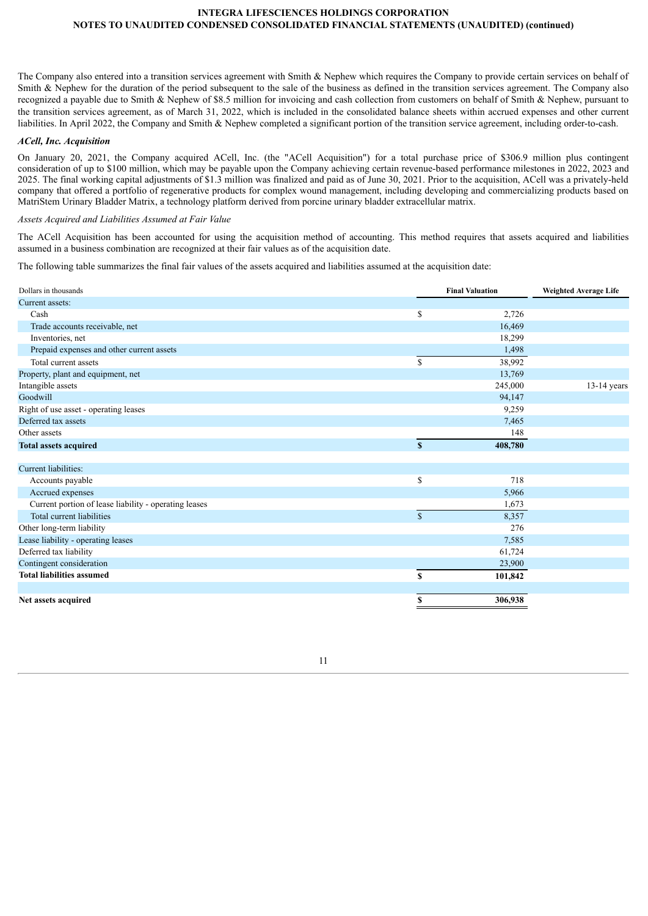The Company also entered into a transition services agreement with Smith & Nephew which requires the Company to provide certain services on behalf of Smith & Nephew for the duration of the period subsequent to the sale of the business as defined in the transition services agreement. The Company also recognized a payable due to Smith & Nephew of \$8.5 million for invoicing and cash collection from customers on behalf of Smith & Nephew, pursuant to the transition services agreement, as of March 31, 2022, which is included in the consolidated balance sheets within accrued expenses and other current liabilities. In April 2022, the Company and Smith & Nephew completed a significant portion of the transition service agreement, including order-to-cash.

#### *ACell, Inc. Acquisition*

On January 20, 2021, the Company acquired ACell, Inc. (the "ACell Acquisition") for a total purchase price of \$306.9 million plus contingent consideration of up to \$100 million, which may be payable upon the Company achieving certain revenue-based performance milestones in 2022, 2023 and 2025. The final working capital adjustments of \$1.3 million was finalized and paid as of June 30, 2021. Prior to the acquisition, ACell was a privately-held company that offered a portfolio of regenerative products for complex wound management, including developing and commercializing products based on MatriStem Urinary Bladder Matrix, a technology platform derived from porcine urinary bladder extracellular matrix.

#### *Assets Acquired and Liabilities Assumed at Fair Value*

The ACell Acquisition has been accounted for using the acquisition method of accounting. This method requires that assets acquired and liabilities assumed in a business combination are recognized at their fair values as of the acquisition date.

The following table summarizes the final fair values of the assets acquired and liabilities assumed at the acquisition date:

| Dollars in thousands                                  |             | <b>Final Valuation</b> | <b>Weighted Average Life</b> |
|-------------------------------------------------------|-------------|------------------------|------------------------------|
| Current assets:                                       |             |                        |                              |
| Cash                                                  | \$          | 2,726                  |                              |
| Trade accounts receivable, net                        |             | 16,469                 |                              |
| Inventories, net                                      |             | 18,299                 |                              |
| Prepaid expenses and other current assets             |             | 1,498                  |                              |
| Total current assets                                  | \$          | 38,992                 |                              |
| Property, plant and equipment, net                    |             | 13,769                 |                              |
| Intangible assets                                     |             | 245,000                | $13-14$ years                |
| Goodwill                                              |             | 94,147                 |                              |
| Right of use asset - operating leases                 |             | 9,259                  |                              |
| Deferred tax assets                                   |             | 7,465                  |                              |
| Other assets                                          |             | 148                    |                              |
| <b>Total assets acquired</b>                          | S           | 408,780                |                              |
|                                                       |             |                        |                              |
| Current liabilities:                                  |             |                        |                              |
| Accounts payable                                      | \$          | 718                    |                              |
| Accrued expenses                                      |             | 5,966                  |                              |
| Current portion of lease liability - operating leases |             | 1,673                  |                              |
| Total current liabilities                             | $\mathbf S$ | 8,357                  |                              |
| Other long-term liability                             |             | 276                    |                              |
| Lease liability - operating leases                    |             | 7,585                  |                              |
| Deferred tax liability                                |             | 61,724                 |                              |
| Contingent consideration                              |             | 23,900                 |                              |
| <b>Total liabilities assumed</b>                      | \$          | 101,842                |                              |
|                                                       |             |                        |                              |
| Net assets acquired                                   | S           | 306,938                |                              |

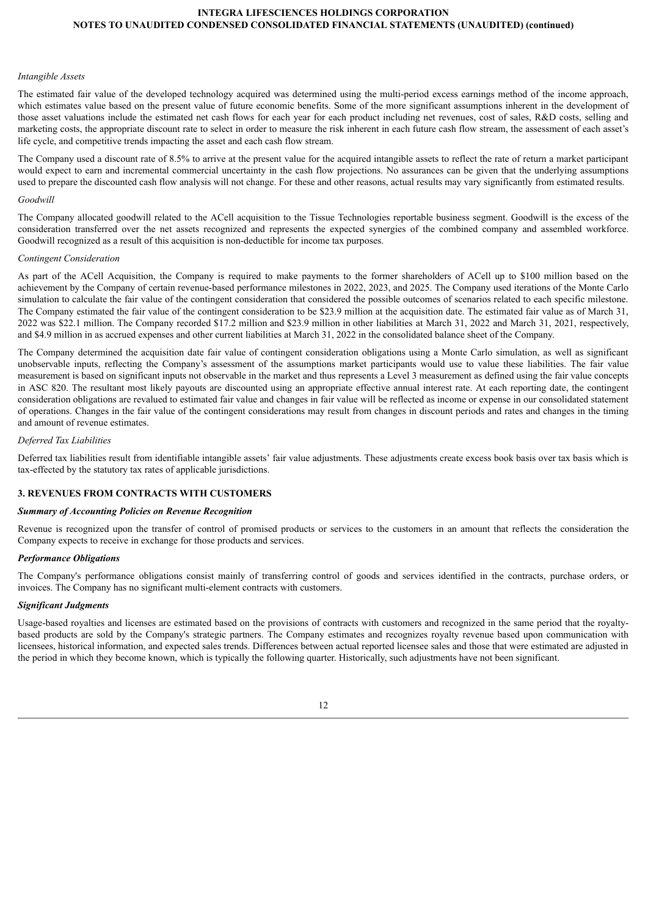#### *Intangible Assets*

The estimated fair value of the developed technology acquired was determined using the multi-period excess earnings method of the income approach, which estimates value based on the present value of future economic benefits. Some of the more significant assumptions inherent in the development of those asset valuations include the estimated net cash flows for each year for each product including net revenues, cost of sales, R&D costs, selling and marketing costs, the appropriate discount rate to select in order to measure the risk inherent in each future cash flow stream, the assessment of each asset's life cycle, and competitive trends impacting the asset and each cash flow stream.

The Company used a discount rate of 8.5% to arrive at the present value for the acquired intangible assets to reflect the rate of return a market participant would expect to earn and incremental commercial uncertainty in the cash flow projections. No assurances can be given that the underlying assumptions used to prepare the discounted cash flow analysis will not change. For these and other reasons, actual results may vary significantly from estimated results.

#### *Goodwill*

The Company allocated goodwill related to the ACell acquisition to the Tissue Technologies reportable business segment. Goodwill is the excess of the consideration transferred over the net assets recognized and represents the expected synergies of the combined company and assembled workforce. Goodwill recognized as a result of this acquisition is non-deductible for income tax purposes.

#### *Contingent Consideration*

As part of the ACell Acquisition, the Company is required to make payments to the former shareholders of ACell up to \$100 million based on the achievement by the Company of certain revenue-based performance milestones in 2022, 2023, and 2025. The Company used iterations of the Monte Carlo simulation to calculate the fair value of the contingent consideration that considered the possible outcomes of scenarios related to each specific milestone. The Company estimated the fair value of the contingent consideration to be \$23.9 million at the acquisition date. The estimated fair value as of March 31, 2022 was \$22.1 million. The Company recorded \$17.2 million and \$23.9 million in other liabilities at March 31, 2022 and March 31, 2021, respectively, and \$4.9 million in as accrued expenses and other current liabilities at March 31, 2022 in the consolidated balance sheet of the Company.

The Company determined the acquisition date fair value of contingent consideration obligations using a Monte Carlo simulation, as well as significant unobservable inputs, reflecting the Company's assessment of the assumptions market participants would use to value these liabilities. The fair value measurement is based on significant inputs not observable in the market and thus represents a Level 3 measurement as defined using the fair value concepts in ASC 820. The resultant most likely payouts are discounted using an appropriate effective annual interest rate. At each reporting date, the contingent consideration obligations are revalued to estimated fair value and changes in fair value will be reflected as income or expense in our consolidated statement of operations. Changes in the fair value of the contingent considerations may result from changes in discount periods and rates and changes in the timing and amount of revenue estimates.

#### *Deferred Tax Liabilities*

Deferred tax liabilities result from identifiable intangible assets' fair value adjustments. These adjustments create excess book basis over tax basis which is tax-effected by the statutory tax rates of applicable jurisdictions.

# **3. REVENUES FROM CONTRACTS WITH CUSTOMERS**

#### *Summary of Accounting Policies on Revenue Recognition*

Revenue is recognized upon the transfer of control of promised products or services to the customers in an amount that reflects the consideration the Company expects to receive in exchange for those products and services.

#### *Performance Obligations*

The Company's performance obligations consist mainly of transferring control of goods and services identified in the contracts, purchase orders, or invoices. The Company has no significant multi-element contracts with customers.

#### *Significant Judgments*

Usage-based royalties and licenses are estimated based on the provisions of contracts with customers and recognized in the same period that the royaltybased products are sold by the Company's strategic partners. The Company estimates and recognizes royalty revenue based upon communication with licensees, historical information, and expected sales trends. Differences between actual reported licensee sales and those that were estimated are adjusted in the period in which they become known, which is typically the following quarter. Historically, such adjustments have not been significant.

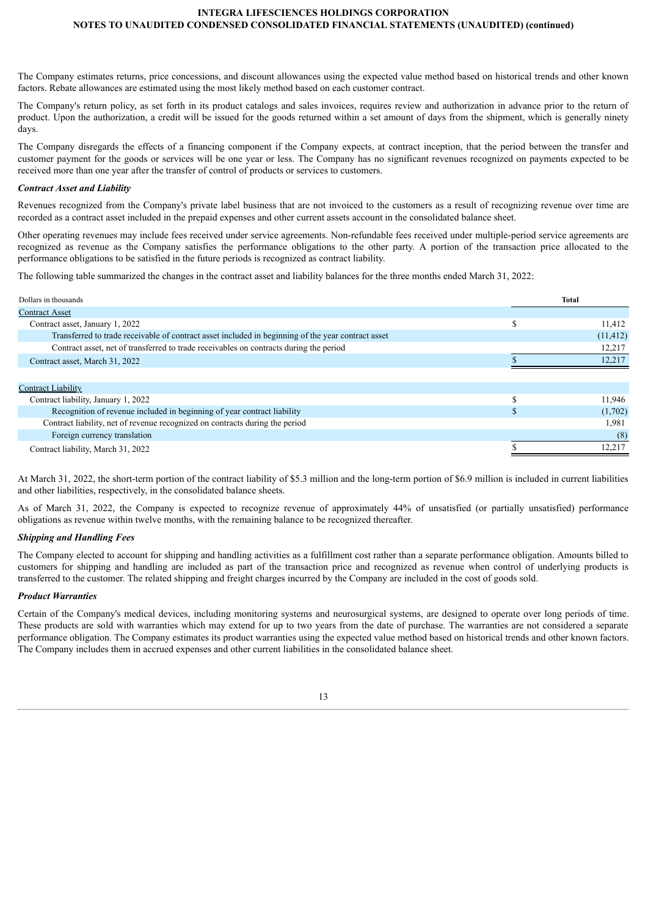The Company estimates returns, price concessions, and discount allowances using the expected value method based on historical trends and other known factors. Rebate allowances are estimated using the most likely method based on each customer contract.

The Company's return policy, as set forth in its product catalogs and sales invoices, requires review and authorization in advance prior to the return of product. Upon the authorization, a credit will be issued for the goods returned within a set amount of days from the shipment, which is generally ninety days.

The Company disregards the effects of a financing component if the Company expects, at contract inception, that the period between the transfer and customer payment for the goods or services will be one year or less. The Company has no significant revenues recognized on payments expected to be received more than one year after the transfer of control of products or services to customers.

#### *Contract Asset and Liability*

Revenues recognized from the Company's private label business that are not invoiced to the customers as a result of recognizing revenue over time are recorded as a contract asset included in the prepaid expenses and other current assets account in the consolidated balance sheet.

Other operating revenues may include fees received under service agreements. Non-refundable fees received under multiple-period service agreements are recognized as revenue as the Company satisfies the performance obligations to the other party. A portion of the transaction price allocated to the performance obligations to be satisfied in the future periods is recognized as contract liability.

The following table summarized the changes in the contract asset and liability balances for the three months ended March 31, 2022:

| Dollars in thousands                                                                               |   | Total     |
|----------------------------------------------------------------------------------------------------|---|-----------|
| <b>Contract Asset</b>                                                                              |   |           |
| Contract asset, January 1, 2022                                                                    | S | 11,412    |
| Transferred to trade receivable of contract asset included in beginning of the year contract asset |   | (11, 412) |
| Contract asset, net of transferred to trade receivables on contracts during the period             |   | 12,217    |
| Contract asset, March 31, 2022                                                                     |   | 12,217    |
|                                                                                                    |   |           |
| <b>Contract Liability</b>                                                                          |   |           |
| Contract liability, January 1, 2022                                                                |   | 11.946    |
| Recognition of revenue included in beginning of year contract liability                            |   | (1,702)   |
| Contract liability, net of revenue recognized on contracts during the period                       |   | 1,981     |
| Foreign currency translation                                                                       |   | (8)       |
| Contract liability, March 31, 2022                                                                 |   | 12,217    |
|                                                                                                    |   |           |

At March 31, 2022, the short-term portion of the contract liability of \$5.3 million and the long-term portion of \$6.9 million is included in current liabilities and other liabilities, respectively, in the consolidated balance sheets.

As of March 31, 2022, the Company is expected to recognize revenue of approximately 44% of unsatisfied (or partially unsatisfied) performance obligations as revenue within twelve months, with the remaining balance to be recognized thereafter.

## *Shipping and Handling Fees*

The Company elected to account for shipping and handling activities as a fulfillment cost rather than a separate performance obligation. Amounts billed to customers for shipping and handling are included as part of the transaction price and recognized as revenue when control of underlying products is transferred to the customer. The related shipping and freight charges incurred by the Company are included in the cost of goods sold.

### *Product Warranties*

Certain of the Company's medical devices, including monitoring systems and neurosurgical systems, are designed to operate over long periods of time. These products are sold with warranties which may extend for up to two years from the date of purchase. The warranties are not considered a separate performance obligation. The Company estimates its product warranties using the expected value method based on historical trends and other known factors. The Company includes them in accrued expenses and other current liabilities in the consolidated balance sheet.

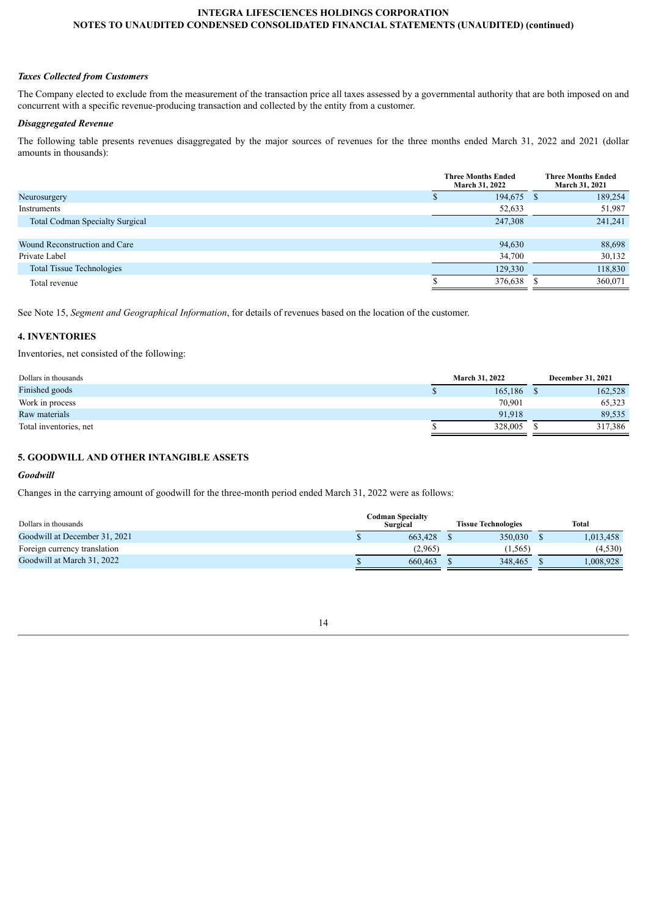# *Taxes Collected from Customers*

The Company elected to exclude from the measurement of the transaction price all taxes assessed by a governmental authority that are both imposed on and concurrent with a specific revenue-producing transaction and collected by the entity from a customer.

# *Disaggregated Revenue*

The following table presents revenues disaggregated by the major sources of revenues for the three months ended March 31, 2022 and 2021 (dollar amounts in thousands):

|                                        | <b>Three Months Ended</b><br>March 31, 2022 |     | <b>Three Months Ended</b><br>March 31, 2021 |
|----------------------------------------|---------------------------------------------|-----|---------------------------------------------|
| Neurosurgery                           | 194,675                                     | - S | 189,254                                     |
| Instruments                            | 52,633                                      |     | 51,987                                      |
| <b>Total Codman Specialty Surgical</b> | 247,308                                     |     | 241,241                                     |
|                                        |                                             |     |                                             |
| Wound Reconstruction and Care          | 94,630                                      |     | 88,698                                      |
| Private Label                          | 34,700                                      |     | 30,132                                      |
| <b>Total Tissue Technologies</b>       | 129,330                                     |     | 118,830                                     |
| Total revenue                          | 376,638                                     |     | 360,071                                     |
|                                        |                                             |     |                                             |

See Note 15, *Segment and Geographical Information*, for details of revenues based on the location of the customer.

# **4. INVENTORIES**

Inventories, net consisted of the following:

| Dollars in thousands   | <b>March 31, 2022</b> | <b>December 31, 2021</b> |
|------------------------|-----------------------|--------------------------|
| Finished goods         | 165.186               | 162,528                  |
| Work in process        | 70,901                | 65,323                   |
| Raw materials          | 91.918                | 89,535                   |
| Total inventories, net | 328,005               | 317,386                  |

# **5. GOODWILL AND OTHER INTANGIBLE ASSETS**

# *Goodwill*

Changes in the carrying amount of goodwill for the three-month period ended March 31, 2022 were as follows:

| Dollars in thousands          | Codman Specialtv<br>Surgical | <b>Tissue Technologies</b> | Total     |
|-------------------------------|------------------------------|----------------------------|-----------|
| Goodwill at December 31, 2021 | 663.428                      | 350.030                    | 1,013,458 |
| Foreign currency translation  | (2.965)                      | (1.565)                    | (4,530)   |
| Goodwill at March 31, 2022    | 660.463                      | 348,465                    | .008.928  |

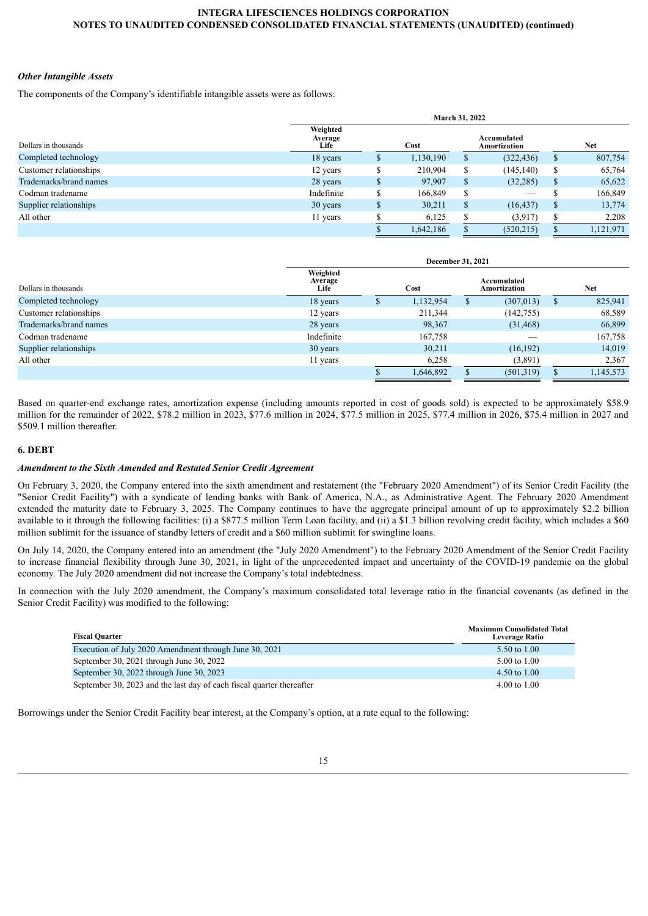### *Other Intangible Assets*

The components of the Company's identifiable intangible assets were as follows:

|                        | <b>March 31, 2022</b>       |              |           |   |                             |               |           |  |  |  |
|------------------------|-----------------------------|--------------|-----------|---|-----------------------------|---------------|-----------|--|--|--|
| Dollars in thousands   | Weighted<br>Average<br>Life |              | Cost      |   | Accumulated<br>Amortization |               | Net       |  |  |  |
| Completed technology   | 18 years                    | $\mathbf{D}$ | 1,130,190 |   | (322, 436)                  | S             | 807,754   |  |  |  |
| Customer relationships | 12 years                    | ـــ<br>D     | 210,904   | D | (145, 140)                  | \$            | 65,764    |  |  |  |
| Trademarks/brand names | 28 years                    | \$           | 97,907    | S | (32, 285)                   | \$            | 65,622    |  |  |  |
| Codman tradename       | Indefinite                  | \$           | 166,849   |   |                             |               | 166,849   |  |  |  |
| Supplier relationships | 30 years                    | \$           | 30,211    | S | (16, 437)                   | <sup>\$</sup> | 13,774    |  |  |  |
| All other              | 11 years                    |              | 6,125     |   | (3,917)                     |               | 2,208     |  |  |  |
|                        |                             |              | 1,642,186 |   | (520, 215)                  |               | 1,121,971 |  |  |  |

|                        |                             | December 31, 2021 |                             |            |
|------------------------|-----------------------------|-------------------|-----------------------------|------------|
| Dollars in thousands   | Weighted<br>Average<br>Life | Cost              | Accumulated<br>Amortization | <b>Net</b> |
| Completed technology   | 18 years                    | 1,132,954         | (307, 013)                  | 825,941    |
| Customer relationships | 12 years                    | 211,344           | (142, 755)                  | 68,589     |
| Trademarks/brand names | 28 years                    | 98,367            | (31, 468)                   | 66,899     |
| Codman tradename       | Indefinite                  | 167,758           |                             | 167,758    |
| Supplier relationships | 30 years                    | 30,211            | (16, 192)                   | 14,019     |
| All other              | 11 years                    | 6,258             | (3,891)                     | 2,367      |
|                        |                             | 1,646,892         | (501, 319)                  | 1,145,573  |

Based on quarter-end exchange rates, amortization expense (including amounts reported in cost of goods sold) is expected to be approximately \$58.9 million for the remainder of 2022, \$78.2 million in 2023, \$77.6 million in 2024, \$77.5 million in 2025, \$77.4 million in 2026, \$75.4 million in 2027 and \$509.1 million thereafter.

# **6. DEBT**

#### *Amendment to the Sixth Amended and Restated Senior Credit Agreement*

On February 3, 2020, the Company entered into the sixth amendment and restatement (the "February 2020 Amendment") of its Senior Credit Facility (the "Senior Credit Facility") with a syndicate of lending banks with Bank of America, N.A., as Administrative Agent. The February 2020 Amendment extended the maturity date to February 3, 2025. The Company continues to have the aggregate principal amount of up to approximately \$2.2 billion available to it through the following facilities: (i) a \$877.5 million Term Loan facility, and (ii) a \$1.3 billion revolving credit facility, which includes a \$60 million sublimit for the issuance of standby letters of credit and a \$60 million sublimit for swingline loans.

On July 14, 2020, the Company entered into an amendment (the "July 2020 Amendment") to the February 2020 Amendment of the Senior Credit Facility to increase financial flexibility through June 30, 2021, in light of the unprecedented impact and uncertainty of the COVID-19 pandemic on the global economy. The July 2020 amendment did not increase the Company's total indebtedness.

In connection with the July 2020 amendment, the Company's maximum consolidated total leverage ratio in the financial covenants (as defined in the Senior Credit Facility) was modified to the following:

| <b>Fiscal Quarter</b>                                                 | <b>Maximum Consolidated Total</b><br><b>Leverage Ratio</b> |
|-----------------------------------------------------------------------|------------------------------------------------------------|
| Execution of July 2020 Amendment through June 30, 2021                | 5.50 to 1.00                                               |
| September 30, 2021 through June 30, 2022                              | $5.00 \text{ to } 1.00$                                    |
| September 30, 2022 through June 30, 2023                              | 4.50 to $1.00$                                             |
| September 30, 2023 and the last day of each fiscal quarter thereafter | $4.00 \text{ to } 1.00$                                    |

Borrowings under the Senior Credit Facility bear interest, at the Company's option, at a rate equal to the following: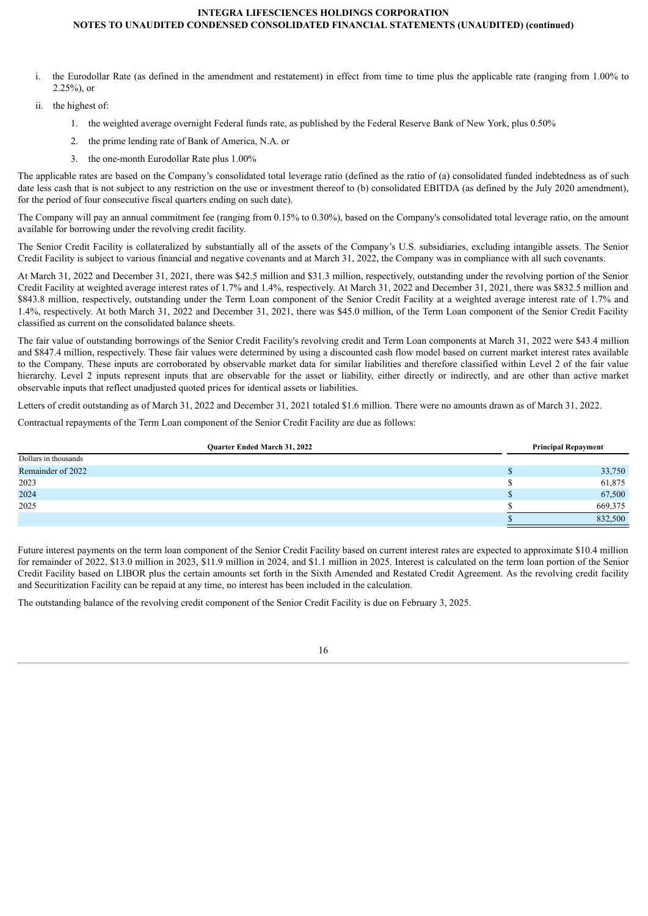- i. the Eurodollar Rate (as defined in the amendment and restatement) in effect from time to time plus the applicable rate (ranging from 1.00% to 2.25%), or
- ii. the highest of:
	- 1. the weighted average overnight Federal funds rate, as published by the Federal Reserve Bank of New York, plus 0.50%
	- 2. the prime lending rate of Bank of America, N.A. or
	- 3. the one-month Eurodollar Rate plus 1.00%

The applicable rates are based on the Company's consolidated total leverage ratio (defined as the ratio of (a) consolidated funded indebtedness as of such date less cash that is not subject to any restriction on the use or investment thereof to (b) consolidated EBITDA (as defined by the July 2020 amendment), for the period of four consecutive fiscal quarters ending on such date).

The Company will pay an annual commitment fee (ranging from 0.15% to 0.30%), based on the Company's consolidated total leverage ratio, on the amount available for borrowing under the revolving credit facility.

The Senior Credit Facility is collateralized by substantially all of the assets of the Company's U.S. subsidiaries, excluding intangible assets. The Senior Credit Facility is subject to various financial and negative covenants and at March 31, 2022, the Company was in compliance with all such covenants.

At March 31, 2022 and December 31, 2021, there was \$42.5 million and \$31.3 million, respectively, outstanding under the revolving portion of the Senior Credit Facility at weighted average interest rates of 1.7% and 1.4%, respectively. At March 31, 2022 and December 31, 2021, there was \$832.5 million and \$843.8 million, respectively, outstanding under the Term Loan component of the Senior Credit Facility at a weighted average interest rate of 1.7% and 1.4%, respectively. At both March 31, 2022 and December 31, 2021, there was \$45.0 million, of the Term Loan component of the Senior Credit Facility classified as current on the consolidated balance sheets.

The fair value of outstanding borrowings of the Senior Credit Facility's revolving credit and Term Loan components at March 31, 2022 were \$43.4 million and \$847.4 million, respectively. These fair values were determined by using a discounted cash flow model based on current market interest rates available to the Company. These inputs are corroborated by observable market data for similar liabilities and therefore classified within Level 2 of the fair value hierarchy. Level 2 inputs represent inputs that are observable for the asset or liability, either directly or indirectly, and are other than active market observable inputs that reflect unadjusted quoted prices for identical assets or liabilities.

Letters of credit outstanding as of March 31, 2022 and December 31, 2021 totaled \$1.6 million. There were no amounts drawn as of March 31, 2022.

Contractual repayments of the Term Loan component of the Senior Credit Facility are due as follows:

| <b>Ouarter Ended March 31, 2022</b> | <b>Principal Repayment</b> |
|-------------------------------------|----------------------------|
| Dollars in thousands                |                            |
| Remainder of 2022                   | 33,750                     |
| 2023                                | 61,875                     |
| 2024                                | 67,500                     |
| 2025                                | 669,375                    |
|                                     | 832,500                    |

Future interest payments on the term loan component of the Senior Credit Facility based on current interest rates are expected to approximate \$10.4 million for remainder of 2022, \$13.0 million in 2023, \$11.9 million in 2024, and \$1.1 million in 2025. Interest is calculated on the term loan portion of the Senior Credit Facility based on LIBOR plus the certain amounts set forth in the Sixth Amended and Restated Credit Agreement. As the revolving credit facility and Securitization Facility can be repaid at any time, no interest has been included in the calculation.

The outstanding balance of the revolving credit component of the Senior Credit Facility is due on February 3, 2025.

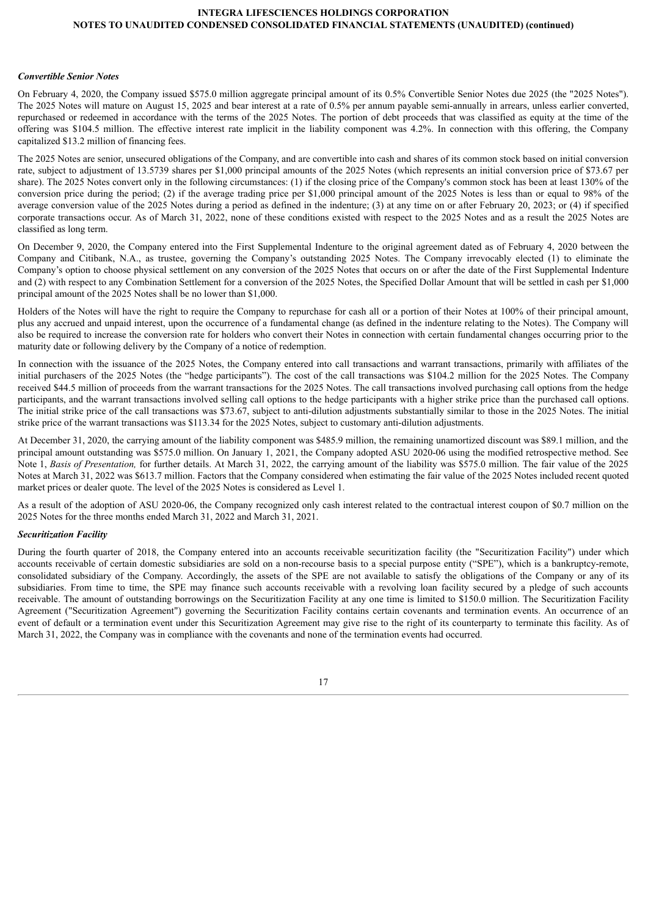#### *Convertible Senior Notes*

On February 4, 2020, the Company issued \$575.0 million aggregate principal amount of its 0.5% Convertible Senior Notes due 2025 (the "2025 Notes"). The 2025 Notes will mature on August 15, 2025 and bear interest at a rate of 0.5% per annum payable semi-annually in arrears, unless earlier converted, repurchased or redeemed in accordance with the terms of the 2025 Notes. The portion of debt proceeds that was classified as equity at the time of the offering was \$104.5 million. The effective interest rate implicit in the liability component was 4.2%. In connection with this offering, the Company capitalized \$13.2 million of financing fees.

The 2025 Notes are senior, unsecured obligations of the Company, and are convertible into cash and shares of its common stock based on initial conversion rate, subject to adjustment of 13.5739 shares per \$1,000 principal amounts of the 2025 Notes (which represents an initial conversion price of \$73.67 per share). The 2025 Notes convert only in the following circumstances: (1) if the closing price of the Company's common stock has been at least 130% of the conversion price during the period; (2) if the average trading price per \$1,000 principal amount of the 2025 Notes is less than or equal to 98% of the average conversion value of the 2025 Notes during a period as defined in the indenture; (3) at any time on or after February 20, 2023; or (4) if specified corporate transactions occur. As of March 31, 2022, none of these conditions existed with respect to the 2025 Notes and as a result the 2025 Notes are classified as long term.

On December 9, 2020, the Company entered into the First Supplemental Indenture to the original agreement dated as of February 4, 2020 between the Company and Citibank, N.A., as trustee, governing the Company's outstanding 2025 Notes. The Company irrevocably elected (1) to eliminate the Company's option to choose physical settlement on any conversion of the 2025 Notes that occurs on or after the date of the First Supplemental Indenture and (2) with respect to any Combination Settlement for a conversion of the 2025 Notes, the Specified Dollar Amount that will be settled in cash per \$1,000 principal amount of the 2025 Notes shall be no lower than \$1,000.

Holders of the Notes will have the right to require the Company to repurchase for cash all or a portion of their Notes at 100% of their principal amount, plus any accrued and unpaid interest, upon the occurrence of a fundamental change (as defined in the indenture relating to the Notes). The Company will also be required to increase the conversion rate for holders who convert their Notes in connection with certain fundamental changes occurring prior to the maturity date or following delivery by the Company of a notice of redemption.

In connection with the issuance of the 2025 Notes, the Company entered into call transactions and warrant transactions, primarily with affiliates of the initial purchasers of the 2025 Notes (the "hedge participants"). The cost of the call transactions was \$104.2 million for the 2025 Notes. The Company received \$44.5 million of proceeds from the warrant transactions for the 2025 Notes. The call transactions involved purchasing call options from the hedge participants, and the warrant transactions involved selling call options to the hedge participants with a higher strike price than the purchased call options. The initial strike price of the call transactions was \$73.67, subject to anti-dilution adjustments substantially similar to those in the 2025 Notes. The initial strike price of the warrant transactions was \$113.34 for the 2025 Notes, subject to customary anti-dilution adjustments.

At December 31, 2020, the carrying amount of the liability component was \$485.9 million, the remaining unamortized discount was \$89.1 million, and the principal amount outstanding was \$575.0 million. On January 1, 2021, the Company adopted ASU 2020-06 using the modified retrospective method. See Note 1, *Basis of Presentation,* for further details. At March 31, 2022, the carrying amount of the liability was \$575.0 million. The fair value of the 2025 Notes at March 31, 2022 was \$613.7 million. Factors that the Company considered when estimating the fair value of the 2025 Notes included recent quoted market prices or dealer quote. The level of the 2025 Notes is considered as Level 1.

As a result of the adoption of ASU 2020-06, the Company recognized only cash interest related to the contractual interest coupon of \$0.7 million on the 2025 Notes for the three months ended March 31, 2022 and March 31, 2021.

#### *Securitization Facility*

During the fourth quarter of 2018, the Company entered into an accounts receivable securitization facility (the "Securitization Facility") under which accounts receivable of certain domestic subsidiaries are sold on a non-recourse basis to a special purpose entity ("SPE"), which is a bankruptcy-remote, consolidated subsidiary of the Company. Accordingly, the assets of the SPE are not available to satisfy the obligations of the Company or any of its subsidiaries. From time to time, the SPE may finance such accounts receivable with a revolving loan facility secured by a pledge of such accounts receivable. The amount of outstanding borrowings on the Securitization Facility at any one time is limited to \$150.0 million. The Securitization Facility Agreement ("Securitization Agreement") governing the Securitization Facility contains certain covenants and termination events. An occurrence of an event of default or a termination event under this Securitization Agreement may give rise to the right of its counterparty to terminate this facility. As of March 31, 2022, the Company was in compliance with the covenants and none of the termination events had occurred.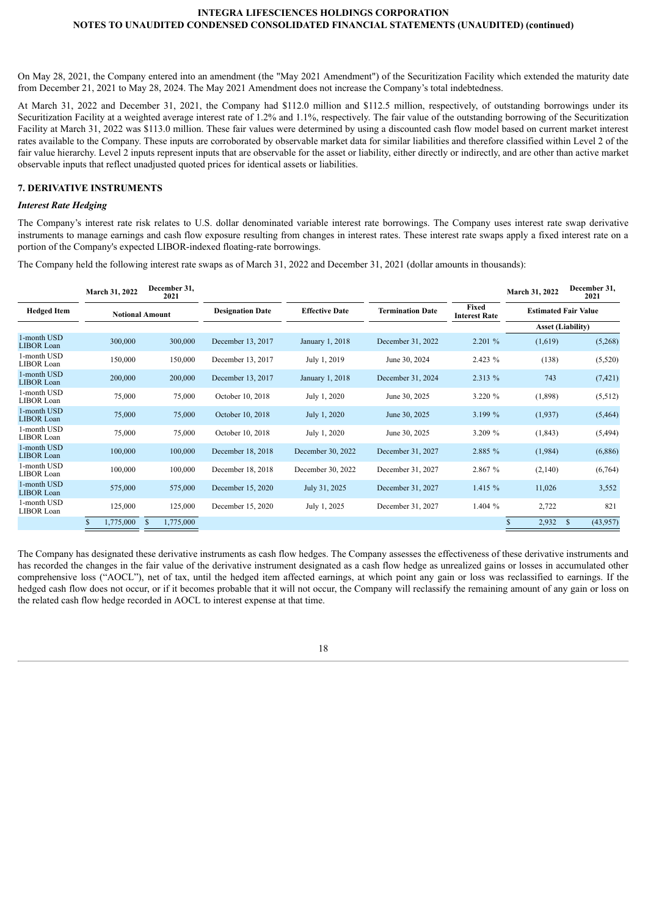On May 28, 2021, the Company entered into an amendment (the "May 2021 Amendment") of the Securitization Facility which extended the maturity date from December 21, 2021 to May 28, 2024. The May 2021 Amendment does not increase the Company's total indebtedness.

At March 31, 2022 and December 31, 2021, the Company had \$112.0 million and \$112.5 million, respectively, of outstanding borrowings under its Securitization Facility at a weighted average interest rate of 1.2% and 1.1%, respectively. The fair value of the outstanding borrowing of the Securitization Facility at March 31, 2022 was \$113.0 million. These fair values were determined by using a discounted cash flow model based on current market interest rates available to the Company. These inputs are corroborated by observable market data for similar liabilities and therefore classified within Level 2 of the fair value hierarchy. Level 2 inputs represent inputs that are observable for the asset or liability, either directly or indirectly, and are other than active market observable inputs that reflect unadjusted quoted prices for identical assets or liabilities.

# **7. DERIVATIVE INSTRUMENTS**

#### *Interest Rate Hedging*

The Company's interest rate risk relates to U.S. dollar denominated variable interest rate borrowings. The Company uses interest rate swap derivative instruments to manage earnings and cash flow exposure resulting from changes in interest rates. These interest rate swaps apply a fixed interest rate on a portion of the Company's expected LIBOR-indexed floating-rate borrowings.

The Company held the following interest rate swaps as of March 31, 2022 and December 31, 2021 (dollar amounts in thousands):

|                                  | March 31, 2022         | December 31,<br>2021 |                         |                       |                         |                               | March 31, 2022              | December 31,<br>2021      |
|----------------------------------|------------------------|----------------------|-------------------------|-----------------------|-------------------------|-------------------------------|-----------------------------|---------------------------|
| <b>Hedged Item</b>               | <b>Notional Amount</b> |                      | <b>Designation Date</b> | <b>Effective Date</b> | <b>Termination Date</b> | Fixed<br><b>Interest Rate</b> | <b>Estimated Fair Value</b> |                           |
|                                  |                        |                      |                         |                       |                         |                               | <b>Asset (Liability)</b>    |                           |
| 1-month USD<br>LIBOR Loan        | 300,000                | 300,000              | December 13, 2017       | January 1, 2018       | December 31, 2022       | 2.201 %                       | (1,619)                     | (5,268)                   |
| 1-month USD<br>LIBOR Loan        | 150,000                | 150,000              | December 13, 2017       | July 1, 2019          | June 30, 2024           | 2.423 %                       | (138)                       | (5,520)                   |
| 1-month USD<br><b>LIBOR</b> Loan | 200,000                | 200,000              | December 13, 2017       | January 1, 2018       | December 31, 2024       | 2.313 %                       | 743                         | (7, 421)                  |
| 1-month USD<br>LIBOR Loan        | 75,000                 | 75,000               | October 10, 2018        | July 1, 2020          | June 30, 2025           | 3.220 %                       | (1,898)                     | (5,512)                   |
| 1-month USD<br>LIBOR Loan        | 75,000                 | 75,000               | October 10, 2018        | July 1, 2020          | June 30, 2025           | 3.199 %                       | (1,937)                     | (5, 464)                  |
| 1-month USD<br>LIBOR Loan        | 75,000                 | 75,000               | October 10, 2018        | July 1, 2020          | June 30, 2025           | 3.209 %                       | (1, 843)                    | (5, 494)                  |
| 1-month USD<br><b>LIBOR</b> Loan | 100,000                | 100,000              | December 18, 2018       | December 30, 2022     | December 31, 2027       | 2.885 %                       | (1,984)                     | (6,886)                   |
| 1-month USD<br>LIBOR Loan        | 100,000                | 100,000              | December 18, 2018       | December 30, 2022     | December 31, 2027       | 2.867 %                       | (2,140)                     | (6,764)                   |
| 1-month USD<br>LIBOR Loan        | 575,000                | 575,000              | December 15, 2020       | July 31, 2025         | December 31, 2027       | 1.415%                        | 11,026                      | 3,552                     |
| 1-month USD<br>LIBOR Loan        | 125,000                | 125,000              | December 15, 2020       | July 1, 2025          | December 31, 2027       | 1.404%                        | 2,722                       | 821                       |
|                                  | 1,775,000<br>\$.       | 1,775,000<br>S       |                         |                       |                         |                               | 2,932                       | <sup>\$</sup><br>(43,957) |

The Company has designated these derivative instruments as cash flow hedges. The Company assesses the effectiveness of these derivative instruments and has recorded the changes in the fair value of the derivative instrument designated as a cash flow hedge as unrealized gains or losses in accumulated other comprehensive loss ("AOCL"), net of tax, until the hedged item affected earnings, at which point any gain or loss was reclassified to earnings. If the hedged cash flow does not occur, or if it becomes probable that it will not occur, the Company will reclassify the remaining amount of any gain or loss on the related cash flow hedge recorded in AOCL to interest expense at that time.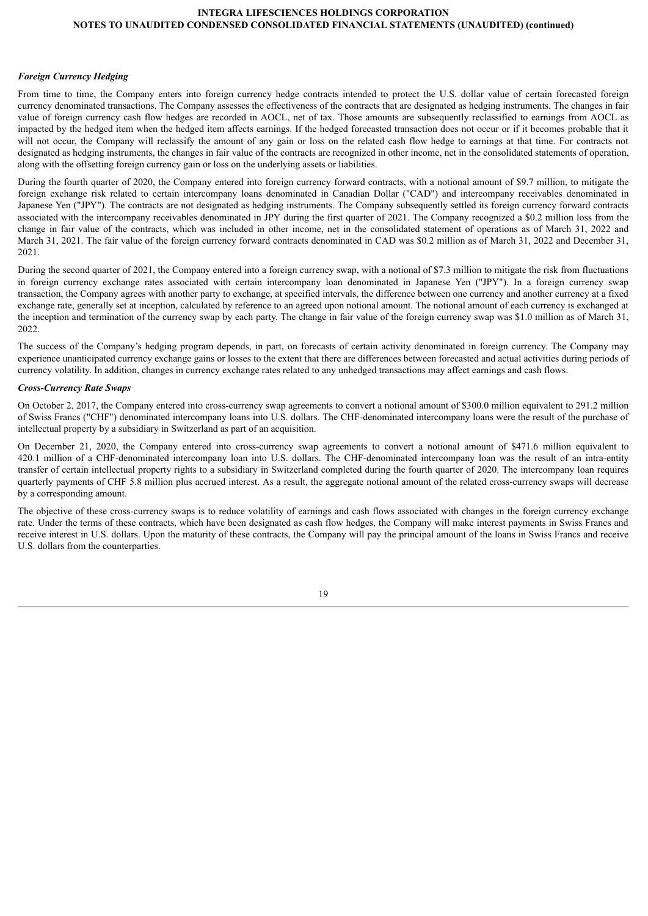### *Foreign Currency Hedging*

From time to time, the Company enters into foreign currency hedge contracts intended to protect the U.S. dollar value of certain forecasted foreign currency denominated transactions. The Company assesses the effectiveness of the contracts that are designated as hedging instruments. The changes in fair value of foreign currency cash flow hedges are recorded in AOCL, net of tax. Those amounts are subsequently reclassified to earnings from AOCL as impacted by the hedged item when the hedged item affects earnings. If the hedged forecasted transaction does not occur or if it becomes probable that it will not occur, the Company will reclassify the amount of any gain or loss on the related cash flow hedge to earnings at that time. For contracts not designated as hedging instruments, the changes in fair value of the contracts are recognized in other income, net in the consolidated statements of operation, along with the offsetting foreign currency gain or loss on the underlying assets or liabilities.

During the fourth quarter of 2020, the Company entered into foreign currency forward contracts, with a notional amount of \$9.7 million, to mitigate the foreign exchange risk related to certain intercompany loans denominated in Canadian Dollar ("CAD") and intercompany receivables denominated in Japanese Yen ("JPY"). The contracts are not designated as hedging instruments. The Company subsequently settled its foreign currency forward contracts associated with the intercompany receivables denominated in JPY during the first quarter of 2021. The Company recognized a \$0.2 million loss from the change in fair value of the contracts, which was included in other income, net in the consolidated statement of operations as of March 31, 2022 and March 31, 2021. The fair value of the foreign currency forward contracts denominated in CAD was \$0.2 million as of March 31, 2022 and December 31, 2021.

During the second quarter of 2021, the Company entered into a foreign currency swap, with a notional of \$7.3 million to mitigate the risk from fluctuations in foreign currency exchange rates associated with certain intercompany loan denominated in Japanese Yen ("JPY"). In a foreign currency swap transaction, the Company agrees with another party to exchange, at specified intervals, the difference between one currency and another currency at a fixed exchange rate, generally set at inception, calculated by reference to an agreed upon notional amount. The notional amount of each currency is exchanged at the inception and termination of the currency swap by each party. The change in fair value of the foreign currency swap was \$1.0 million as of March 31, 2022

The success of the Company's hedging program depends, in part, on forecasts of certain activity denominated in foreign currency. The Company may experience unanticipated currency exchange gains or losses to the extent that there are differences between forecasted and actual activities during periods of currency volatility. In addition, changes in currency exchange rates related to any unhedged transactions may affect earnings and cash flows.

#### *Cross-Currency Rate Swaps*

On October 2, 2017, the Company entered into cross-currency swap agreements to convert a notional amount of \$300.0 million equivalent to 291.2 million of Swiss Francs ("CHF") denominated intercompany loans into U.S. dollars. The CHF-denominated intercompany loans were the result of the purchase of intellectual property by a subsidiary in Switzerland as part of an acquisition.

On December 21, 2020, the Company entered into cross-currency swap agreements to convert a notional amount of \$471.6 million equivalent to 420.1 million of a CHF-denominated intercompany loan into U.S. dollars. The CHF-denominated intercompany loan was the result of an intra-entity transfer of certain intellectual property rights to a subsidiary in Switzerland completed during the fourth quarter of 2020. The intercompany loan requires quarterly payments of CHF 5.8 million plus accrued interest. As a result, the aggregate notional amount of the related cross-currency swaps will decrease by a corresponding amount.

The objective of these cross-currency swaps is to reduce volatility of earnings and cash flows associated with changes in the foreign currency exchange rate. Under the terms of these contracts, which have been designated as cash flow hedges, the Company will make interest payments in Swiss Francs and receive interest in U.S. dollars. Upon the maturity of these contracts, the Company will pay the principal amount of the loans in Swiss Francs and receive U.S. dollars from the counterparties.

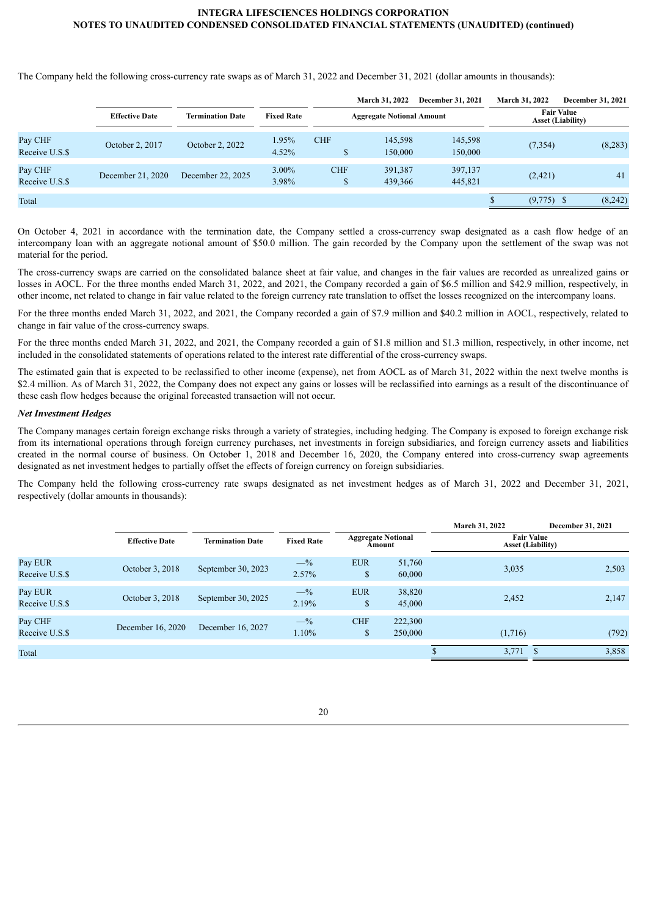The Company held the following cross-currency rate swaps as of March 31, 2022 and December 31, 2021 (dollar amounts in thousands):

|                           |                       |                         |                   |            | <b>March 31, 2022</b>            | <b>December 31, 2021</b> | <b>March 31, 2022</b> | December 31, 2021                             |
|---------------------------|-----------------------|-------------------------|-------------------|------------|----------------------------------|--------------------------|-----------------------|-----------------------------------------------|
|                           | <b>Effective Date</b> | <b>Termination Date</b> | <b>Fixed Rate</b> |            | <b>Aggregate Notional Amount</b> |                          |                       | <b>Fair Value</b><br><b>Asset (Liability)</b> |
| Pay CHF<br>Receive U.S.\$ | October 2, 2017       | October 2, 2022         | 1.95%<br>4.52%    | <b>CHF</b> | 145,598<br>150,000               | 145,598<br>150,000       | (7, 354)              | (8,283)                                       |
| Pay CHF<br>Receive U.S.\$ | December 21, 2020     | December 22, 2025       | 3.00%<br>3.98%    | <b>CHF</b> | 391,387<br>439,366               | 397,137<br>445,821       | (2,421)               | 41                                            |
| Total                     |                       |                         |                   |            |                                  |                          | $(9,775)$ \$          | (8,242)                                       |

On October 4, 2021 in accordance with the termination date, the Company settled a cross-currency swap designated as a cash flow hedge of an intercompany loan with an aggregate notional amount of \$50.0 million. The gain recorded by the Company upon the settlement of the swap was not material for the period.

The cross-currency swaps are carried on the consolidated balance sheet at fair value, and changes in the fair values are recorded as unrealized gains or losses in AOCL. For the three months ended March 31, 2022, and 2021, the Company recorded a gain of \$6.5 million and \$42.9 million, respectively, in other income, net related to change in fair value related to the foreign currency rate translation to offset the losses recognized on the intercompany loans.

For the three months ended March 31, 2022, and 2021, the Company recorded a gain of \$7.9 million and \$40.2 million in AOCL, respectively, related to change in fair value of the cross-currency swaps.

For the three months ended March 31, 2022, and 2021, the Company recorded a gain of \$1.8 million and \$1.3 million, respectively, in other income, net included in the consolidated statements of operations related to the interest rate differential of the cross-currency swaps.

The estimated gain that is expected to be reclassified to other income (expense), net from AOCL as of March 31, 2022 within the next twelve months is \$2.4 million. As of March 31, 2022, the Company does not expect any gains or losses will be reclassified into earnings as a result of the discontinuance of these cash flow hedges because the original forecasted transaction will not occur.

## *Net Investment Hedges*

The Company manages certain foreign exchange risks through a variety of strategies, including hedging. The Company is exposed to foreign exchange risk from its international operations through foreign currency purchases, net investments in foreign subsidiaries, and foreign currency assets and liabilities created in the normal course of business. On October 1, 2018 and December 16, 2020, the Company entered into cross-currency swap agreements designated as net investment hedges to partially offset the effects of foreign currency on foreign subsidiaries.

The Company held the following cross-currency rate swaps designated as net investment hedges as of March 31, 2022 and December 31, 2021, respectively (dollar amounts in thousands):

|                           |                       |                         |                   |                                     |                    | March 31, 2022 |                                               | December 31, 2021 |
|---------------------------|-----------------------|-------------------------|-------------------|-------------------------------------|--------------------|----------------|-----------------------------------------------|-------------------|
|                           | <b>Effective Date</b> | <b>Termination Date</b> | <b>Fixed Rate</b> | <b>Aggregate Notional</b><br>Amount |                    |                | <b>Fair Value</b><br><b>Asset (Liability)</b> |                   |
| Pay EUR<br>Receive U.S.\$ | October 3, 2018       | September 30, 2023      | $-$ %<br>2.57%    | <b>EUR</b><br>$\mathbb{S}$          | 51,760<br>60,000   | 3,035          |                                               | 2,503             |
| Pay EUR<br>Receive U.S.\$ | October 3, 2018       | September 30, 2025      | $-$ %<br>2.19%    | <b>EUR</b><br><sup>\$</sup>         | 38,820<br>45,000   | 2,452          |                                               | 2,147             |
| Pay CHF<br>Receive U.S.\$ | December 16, 2020     | December 16, 2027       | $-$ %<br>1.10%    | <b>CHF</b><br>$\mathbb{S}$          | 222,300<br>250,000 | (1,716)        |                                               | (792)             |
| Total                     |                       |                         |                   |                                     |                    | 3,771          |                                               | 3,858             |

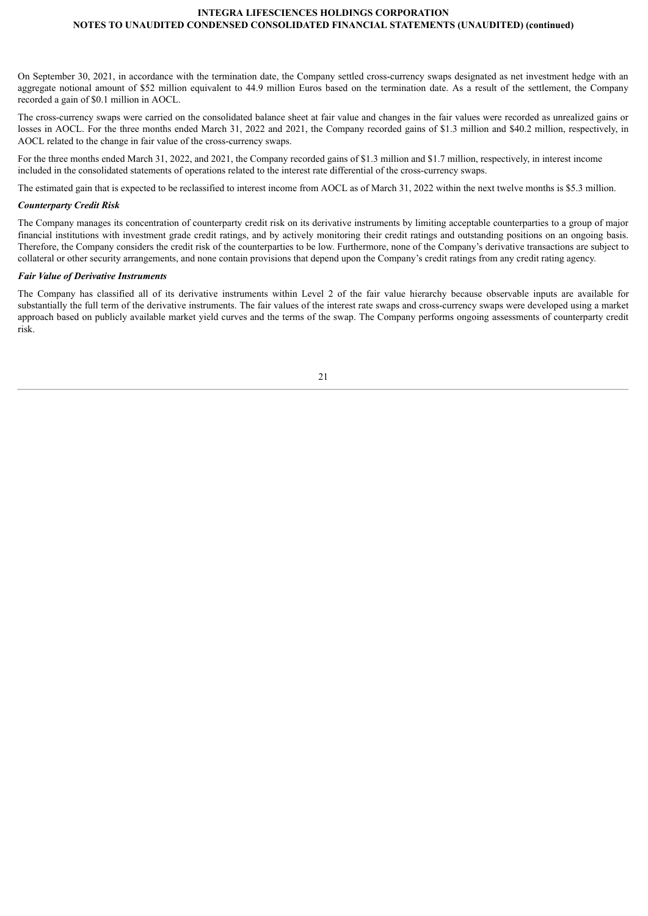On September 30, 2021, in accordance with the termination date, the Company settled cross-currency swaps designated as net investment hedge with an aggregate notional amount of \$52 million equivalent to 44.9 million Euros based on the termination date. As a result of the settlement, the Company recorded a gain of \$0.1 million in AOCL.

The cross-currency swaps were carried on the consolidated balance sheet at fair value and changes in the fair values were recorded as unrealized gains or losses in AOCL. For the three months ended March 31, 2022 and 2021, the Company recorded gains of \$1.3 million and \$40.2 million, respectively, in AOCL related to the change in fair value of the cross-currency swaps.

For the three months ended March 31, 2022, and 2021, the Company recorded gains of \$1.3 million and \$1.7 million, respectively, in interest income included in the consolidated statements of operations related to the interest rate differential of the cross-currency swaps.

The estimated gain that is expected to be reclassified to interest income from AOCL as of March 31, 2022 within the next twelve months is \$5.3 million.

### *Counterparty Credit Risk*

The Company manages its concentration of counterparty credit risk on its derivative instruments by limiting acceptable counterparties to a group of major financial institutions with investment grade credit ratings, and by actively monitoring their credit ratings and outstanding positions on an ongoing basis. Therefore, the Company considers the credit risk of the counterparties to be low. Furthermore, none of the Company's derivative transactions are subject to collateral or other security arrangements, and none contain provisions that depend upon the Company's credit ratings from any credit rating agency.

### *Fair Value of Derivative Instruments*

The Company has classified all of its derivative instruments within Level 2 of the fair value hierarchy because observable inputs are available for substantially the full term of the derivative instruments. The fair values of the interest rate swaps and cross-currency swaps were developed using a market approach based on publicly available market yield curves and the terms of the swap. The Company performs ongoing assessments of counterparty credit risk.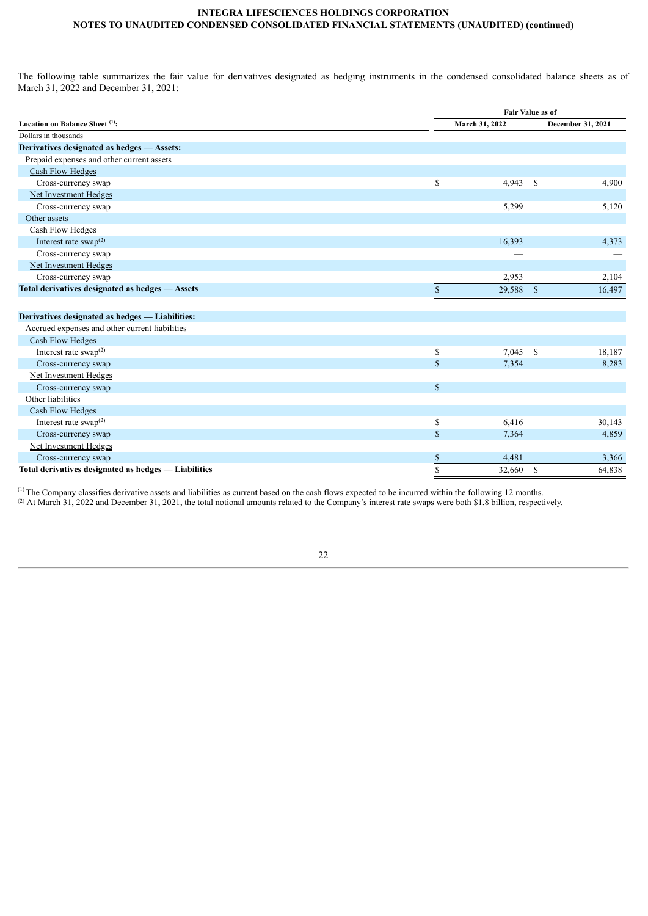The following table summarizes the fair value for derivatives designated as hedging instruments in the condensed consolidated balance sheets as of March 31, 2022 and December 31, 2021:

| March 31, 2022<br>December 31, 2021<br>Prepaid expenses and other current assets<br><b>Cash Flow Hedges</b><br>\$<br>Cross-currency swap<br>$4,943$ \$<br>4,900<br>Net Investment Hedges<br>5,299<br>5,120<br>Cross-currency swap<br>Other assets<br>Cash Flow Hedges<br>Interest rate swap $^{(2)}$<br>16,393<br>4,373<br>Cross-currency swap<br>Net Investment Hedges<br>Cross-currency swap<br>2,953<br>2,104<br>Total derivatives designated as hedges - Assets<br>$\mathbf{\hat{s}}$<br>\$<br>29,588<br>16,497<br>Accrued expenses and other current liabilities<br><b>Cash Flow Hedges</b><br>Interest rate swap $^{(2)}$<br>\$<br>$7,045$ \$<br>18,187<br>\$<br>Cross-currency swap<br>7,354<br>8,283<br>Net Investment Hedges<br>$\mathbb{S}$<br>Cross-currency swap<br>Other liabilities<br><b>Cash Flow Hedges</b><br>Interest rate swap $^{(2)}$<br>\$<br>6,416<br>30,143<br>\$<br>Cross-currency swap<br>7,364<br>4,859<br>Net Investment Hedges<br>\$<br>4,481<br>3,366<br>Cross-currency swap<br>\$<br>Total derivatives designated as hedges - Liabilities<br>- \$<br>32,660<br>64,838 |                                                 | Fair Value as of |  |  |  |  |  |
|-------------------------------------------------------------------------------------------------------------------------------------------------------------------------------------------------------------------------------------------------------------------------------------------------------------------------------------------------------------------------------------------------------------------------------------------------------------------------------------------------------------------------------------------------------------------------------------------------------------------------------------------------------------------------------------------------------------------------------------------------------------------------------------------------------------------------------------------------------------------------------------------------------------------------------------------------------------------------------------------------------------------------------------------------------------------------------------------------------|-------------------------------------------------|------------------|--|--|--|--|--|
|                                                                                                                                                                                                                                                                                                                                                                                                                                                                                                                                                                                                                                                                                                                                                                                                                                                                                                                                                                                                                                                                                                       | Location on Balance Sheet (1):                  |                  |  |  |  |  |  |
|                                                                                                                                                                                                                                                                                                                                                                                                                                                                                                                                                                                                                                                                                                                                                                                                                                                                                                                                                                                                                                                                                                       | Dollars in thousands                            |                  |  |  |  |  |  |
|                                                                                                                                                                                                                                                                                                                                                                                                                                                                                                                                                                                                                                                                                                                                                                                                                                                                                                                                                                                                                                                                                                       | Derivatives designated as hedges - Assets:      |                  |  |  |  |  |  |
|                                                                                                                                                                                                                                                                                                                                                                                                                                                                                                                                                                                                                                                                                                                                                                                                                                                                                                                                                                                                                                                                                                       |                                                 |                  |  |  |  |  |  |
|                                                                                                                                                                                                                                                                                                                                                                                                                                                                                                                                                                                                                                                                                                                                                                                                                                                                                                                                                                                                                                                                                                       |                                                 |                  |  |  |  |  |  |
|                                                                                                                                                                                                                                                                                                                                                                                                                                                                                                                                                                                                                                                                                                                                                                                                                                                                                                                                                                                                                                                                                                       |                                                 |                  |  |  |  |  |  |
|                                                                                                                                                                                                                                                                                                                                                                                                                                                                                                                                                                                                                                                                                                                                                                                                                                                                                                                                                                                                                                                                                                       |                                                 |                  |  |  |  |  |  |
|                                                                                                                                                                                                                                                                                                                                                                                                                                                                                                                                                                                                                                                                                                                                                                                                                                                                                                                                                                                                                                                                                                       |                                                 |                  |  |  |  |  |  |
|                                                                                                                                                                                                                                                                                                                                                                                                                                                                                                                                                                                                                                                                                                                                                                                                                                                                                                                                                                                                                                                                                                       |                                                 |                  |  |  |  |  |  |
|                                                                                                                                                                                                                                                                                                                                                                                                                                                                                                                                                                                                                                                                                                                                                                                                                                                                                                                                                                                                                                                                                                       |                                                 |                  |  |  |  |  |  |
|                                                                                                                                                                                                                                                                                                                                                                                                                                                                                                                                                                                                                                                                                                                                                                                                                                                                                                                                                                                                                                                                                                       |                                                 |                  |  |  |  |  |  |
|                                                                                                                                                                                                                                                                                                                                                                                                                                                                                                                                                                                                                                                                                                                                                                                                                                                                                                                                                                                                                                                                                                       |                                                 |                  |  |  |  |  |  |
|                                                                                                                                                                                                                                                                                                                                                                                                                                                                                                                                                                                                                                                                                                                                                                                                                                                                                                                                                                                                                                                                                                       |                                                 |                  |  |  |  |  |  |
|                                                                                                                                                                                                                                                                                                                                                                                                                                                                                                                                                                                                                                                                                                                                                                                                                                                                                                                                                                                                                                                                                                       |                                                 |                  |  |  |  |  |  |
|                                                                                                                                                                                                                                                                                                                                                                                                                                                                                                                                                                                                                                                                                                                                                                                                                                                                                                                                                                                                                                                                                                       |                                                 |                  |  |  |  |  |  |
|                                                                                                                                                                                                                                                                                                                                                                                                                                                                                                                                                                                                                                                                                                                                                                                                                                                                                                                                                                                                                                                                                                       |                                                 |                  |  |  |  |  |  |
|                                                                                                                                                                                                                                                                                                                                                                                                                                                                                                                                                                                                                                                                                                                                                                                                                                                                                                                                                                                                                                                                                                       | Derivatives designated as hedges — Liabilities: |                  |  |  |  |  |  |
|                                                                                                                                                                                                                                                                                                                                                                                                                                                                                                                                                                                                                                                                                                                                                                                                                                                                                                                                                                                                                                                                                                       |                                                 |                  |  |  |  |  |  |
|                                                                                                                                                                                                                                                                                                                                                                                                                                                                                                                                                                                                                                                                                                                                                                                                                                                                                                                                                                                                                                                                                                       |                                                 |                  |  |  |  |  |  |
|                                                                                                                                                                                                                                                                                                                                                                                                                                                                                                                                                                                                                                                                                                                                                                                                                                                                                                                                                                                                                                                                                                       |                                                 |                  |  |  |  |  |  |
|                                                                                                                                                                                                                                                                                                                                                                                                                                                                                                                                                                                                                                                                                                                                                                                                                                                                                                                                                                                                                                                                                                       |                                                 |                  |  |  |  |  |  |
|                                                                                                                                                                                                                                                                                                                                                                                                                                                                                                                                                                                                                                                                                                                                                                                                                                                                                                                                                                                                                                                                                                       |                                                 |                  |  |  |  |  |  |
|                                                                                                                                                                                                                                                                                                                                                                                                                                                                                                                                                                                                                                                                                                                                                                                                                                                                                                                                                                                                                                                                                                       |                                                 |                  |  |  |  |  |  |
|                                                                                                                                                                                                                                                                                                                                                                                                                                                                                                                                                                                                                                                                                                                                                                                                                                                                                                                                                                                                                                                                                                       |                                                 |                  |  |  |  |  |  |
|                                                                                                                                                                                                                                                                                                                                                                                                                                                                                                                                                                                                                                                                                                                                                                                                                                                                                                                                                                                                                                                                                                       |                                                 |                  |  |  |  |  |  |
|                                                                                                                                                                                                                                                                                                                                                                                                                                                                                                                                                                                                                                                                                                                                                                                                                                                                                                                                                                                                                                                                                                       |                                                 |                  |  |  |  |  |  |
|                                                                                                                                                                                                                                                                                                                                                                                                                                                                                                                                                                                                                                                                                                                                                                                                                                                                                                                                                                                                                                                                                                       |                                                 |                  |  |  |  |  |  |
|                                                                                                                                                                                                                                                                                                                                                                                                                                                                                                                                                                                                                                                                                                                                                                                                                                                                                                                                                                                                                                                                                                       |                                                 |                  |  |  |  |  |  |
|                                                                                                                                                                                                                                                                                                                                                                                                                                                                                                                                                                                                                                                                                                                                                                                                                                                                                                                                                                                                                                                                                                       |                                                 |                  |  |  |  |  |  |
|                                                                                                                                                                                                                                                                                                                                                                                                                                                                                                                                                                                                                                                                                                                                                                                                                                                                                                                                                                                                                                                                                                       |                                                 |                  |  |  |  |  |  |

 $<sup>(1)</sup>$  The Company classifies derivative assets and liabilities as current based on the cash flows expected to be incurred within the following 12 months.</sup>

<sup>(2)</sup> At March 31, 2022 and December 31, 2021, the total notional amounts related to the Company's interest rate swaps were both \$1.8 billion, respectively.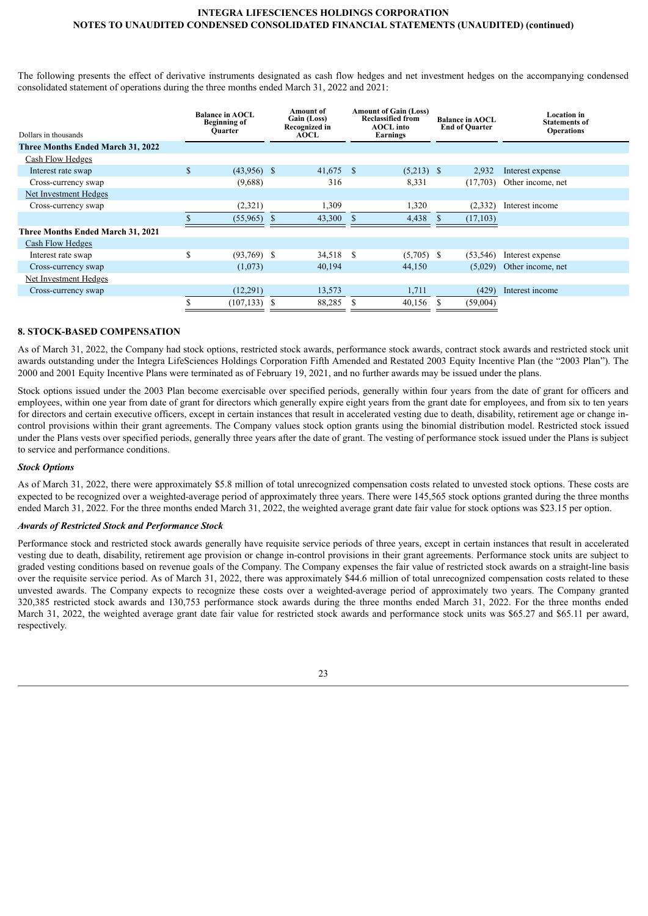The following presents the effect of derivative instruments designated as cash flow hedges and net investment hedges on the accompanying condensed consolidated statement of operations during the three months ended March 31, 2022 and 2021:

| Dollars in thousands              |              | <b>Balance in AOCL</b><br><b>Beginning of</b><br><b>Ouarter</b> |    | Amount of<br>Gain (Loss)<br>Recognized in<br><b>AOCL</b> |    | <b>Amount of Gain (Loss)</b><br><b>Reclassified from</b><br><b>AOCL</b> into<br>Earnings |    | <b>Balance in AOCL</b><br><b>End of Quarter</b> | <b>Location</b> in<br><b>Statements of</b><br><b>Operations</b> |
|-----------------------------------|--------------|-----------------------------------------------------------------|----|----------------------------------------------------------|----|------------------------------------------------------------------------------------------|----|-------------------------------------------------|-----------------------------------------------------------------|
| Three Months Ended March 31, 2022 |              |                                                                 |    |                                                          |    |                                                                                          |    |                                                 |                                                                 |
| Cash Flow Hedges                  |              |                                                                 |    |                                                          |    |                                                                                          |    |                                                 |                                                                 |
| Interest rate swap                | $\mathbf{s}$ | $(43,956)$ \$                                                   |    | $41,675$ \$                                              |    | $(5,213)$ \$                                                                             |    | 2,932                                           | Interest expense                                                |
| Cross-currency swap               |              | (9,688)                                                         |    | 316                                                      |    | 8,331                                                                                    |    | (17,703)                                        | Other income, net                                               |
| Net Investment Hedges             |              |                                                                 |    |                                                          |    |                                                                                          |    |                                                 |                                                                 |
| Cross-currency swap               |              | (2,321)                                                         |    | 1.309                                                    |    | 1,320                                                                                    |    | (2, 332)                                        | Interest income                                                 |
|                                   |              | (55,965)                                                        | -S | 43,300                                                   |    | 4,438                                                                                    | -S | (17, 103)                                       |                                                                 |
| Three Months Ended March 31, 2021 |              |                                                                 |    |                                                          |    |                                                                                          |    |                                                 |                                                                 |
| Cash Flow Hedges                  |              |                                                                 |    |                                                          |    |                                                                                          |    |                                                 |                                                                 |
| Interest rate swap                | S            | $(93,769)$ \$                                                   |    | 34,518                                                   | -S | $(5,705)$ \$                                                                             |    | (53, 546)                                       | Interest expense                                                |
| Cross-currency swap               |              | (1,073)                                                         |    | 40,194                                                   |    | 44,150                                                                                   |    | (5,029)                                         | Other income, net                                               |
| Net Investment Hedges             |              |                                                                 |    |                                                          |    |                                                                                          |    |                                                 |                                                                 |
| Cross-currency swap               |              | (12,291)                                                        |    | 13,573                                                   |    | 1,711                                                                                    |    | (429)                                           | Interest income                                                 |
|                                   |              | (107, 133)                                                      | S  | 88,285                                                   | Ъ  | 40,156                                                                                   |    | (59,004)                                        |                                                                 |

# **8. STOCK-BASED COMPENSATION**

As of March 31, 2022, the Company had stock options, restricted stock awards, performance stock awards, contract stock awards and restricted stock unit awards outstanding under the Integra LifeSciences Holdings Corporation Fifth Amended and Restated 2003 Equity Incentive Plan (the "2003 Plan"). The 2000 and 2001 Equity Incentive Plans were terminated as of February 19, 2021, and no further awards may be issued under the plans.

Stock options issued under the 2003 Plan become exercisable over specified periods, generally within four years from the date of grant for officers and employees, within one year from date of grant for directors which generally expire eight years from the grant date for employees, and from six to ten years for directors and certain executive officers, except in certain instances that result in accelerated vesting due to death, disability, retirement age or change incontrol provisions within their grant agreements. The Company values stock option grants using the binomial distribution model. Restricted stock issued under the Plans vests over specified periods, generally three years after the date of grant. The vesting of performance stock issued under the Plans is subject to service and performance conditions.

#### *Stock Options*

As of March 31, 2022, there were approximately \$5.8 million of total unrecognized compensation costs related to unvested stock options. These costs are expected to be recognized over a weighted-average period of approximately three years. There were 145,565 stock options granted during the three months ended March 31, 2022. For the three months ended March 31, 2022, the weighted average grant date fair value for stock options was \$23.15 per option.

### *Awards of Restricted Stock and Performance Stock*

Performance stock and restricted stock awards generally have requisite service periods of three years, except in certain instances that result in accelerated vesting due to death, disability, retirement age provision or change in-control provisions in their grant agreements. Performance stock units are subject to graded vesting conditions based on revenue goals of the Company. The Company expenses the fair value of restricted stock awards on a straight-line basis over the requisite service period. As of March 31, 2022, there was approximately \$44.6 million of total unrecognized compensation costs related to these unvested awards. The Company expects to recognize these costs over a weighted-average period of approximately two years. The Company granted 320,385 restricted stock awards and 130,753 performance stock awards during the three months ended March 31, 2022. For the three months ended March 31, 2022, the weighted average grant date fair value for restricted stock awards and performance stock units was \$65.27 and \$65.11 per award, respectively.

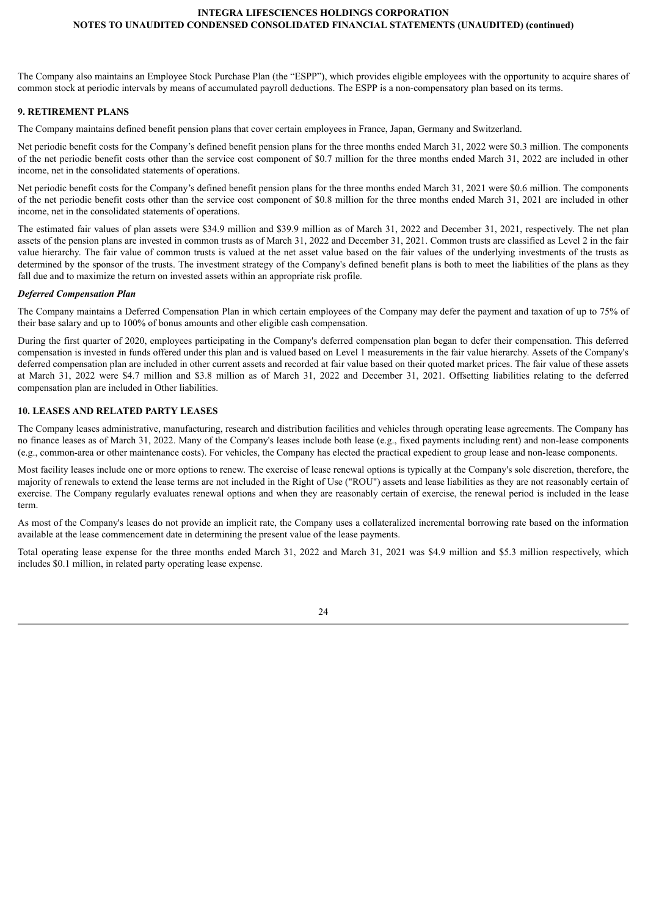The Company also maintains an Employee Stock Purchase Plan (the "ESPP"), which provides eligible employees with the opportunity to acquire shares of common stock at periodic intervals by means of accumulated payroll deductions. The ESPP is a non-compensatory plan based on its terms.

# **9. RETIREMENT PLANS**

The Company maintains defined benefit pension plans that cover certain employees in France, Japan, Germany and Switzerland.

Net periodic benefit costs for the Company's defined benefit pension plans for the three months ended March 31, 2022 were \$0.3 million. The components of the net periodic benefit costs other than the service cost component of \$0.7 million for the three months ended March 31, 2022 are included in other income, net in the consolidated statements of operations.

Net periodic benefit costs for the Company's defined benefit pension plans for the three months ended March 31, 2021 were \$0.6 million. The components of the net periodic benefit costs other than the service cost component of \$0.8 million for the three months ended March 31, 2021 are included in other income, net in the consolidated statements of operations.

The estimated fair values of plan assets were \$34.9 million and \$39.9 million as of March 31, 2022 and December 31, 2021, respectively. The net plan assets of the pension plans are invested in common trusts as of March 31, 2022 and December 31, 2021. Common trusts are classified as Level 2 in the fair value hierarchy. The fair value of common trusts is valued at the net asset value based on the fair values of the underlying investments of the trusts as determined by the sponsor of the trusts. The investment strategy of the Company's defined benefit plans is both to meet the liabilities of the plans as they fall due and to maximize the return on invested assets within an appropriate risk profile.

## *Deferred Compensation Plan*

The Company maintains a Deferred Compensation Plan in which certain employees of the Company may defer the payment and taxation of up to 75% of their base salary and up to 100% of bonus amounts and other eligible cash compensation.

During the first quarter of 2020, employees participating in the Company's deferred compensation plan began to defer their compensation. This deferred compensation is invested in funds offered under this plan and is valued based on Level 1 measurements in the fair value hierarchy. Assets of the Company's deferred compensation plan are included in other current assets and recorded at fair value based on their quoted market prices. The fair value of these assets at March 31, 2022 were \$4.7 million and \$3.8 million as of March 31, 2022 and December 31, 2021. Offsetting liabilities relating to the deferred compensation plan are included in Other liabilities.

# **10. LEASES AND RELATED PARTY LEASES**

The Company leases administrative, manufacturing, research and distribution facilities and vehicles through operating lease agreements. The Company has no finance leases as of March 31, 2022. Many of the Company's leases include both lease (e.g., fixed payments including rent) and non-lease components (e.g., common-area or other maintenance costs). For vehicles, the Company has elected the practical expedient to group lease and non-lease components.

Most facility leases include one or more options to renew. The exercise of lease renewal options is typically at the Company's sole discretion, therefore, the majority of renewals to extend the lease terms are not included in the Right of Use ("ROU") assets and lease liabilities as they are not reasonably certain of exercise. The Company regularly evaluates renewal options and when they are reasonably certain of exercise, the renewal period is included in the lease term.

As most of the Company's leases do not provide an implicit rate, the Company uses a collateralized incremental borrowing rate based on the information available at the lease commencement date in determining the present value of the lease payments.

Total operating lease expense for the three months ended March 31, 2022 and March 31, 2021 was \$4.9 million and \$5.3 million respectively, which includes \$0.1 million, in related party operating lease expense.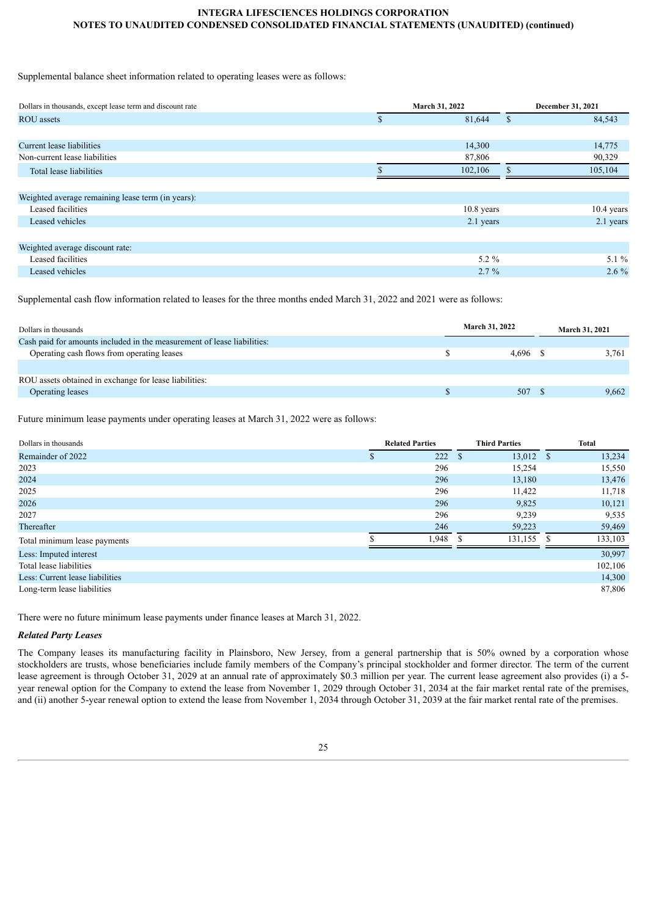Supplemental balance sheet information related to operating leases were as follows:

| Dollars in thousands, except lease term and discount rate | March 31, 2022 |               |              |  |
|-----------------------------------------------------------|----------------|---------------|--------------|--|
| <b>ROU</b> assets                                         | \$<br>81,644   | $\mathcal{S}$ | 84,543       |  |
|                                                           |                |               |              |  |
| Current lease liabilities                                 | 14,300         |               | 14,775       |  |
| Non-current lease liabilities                             | 87,806         |               | 90,329       |  |
| Total lease liabilities                                   | 102,106        | ж             | 105,104      |  |
|                                                           |                |               |              |  |
| Weighted average remaining lease term (in years):         |                |               |              |  |
| Leased facilities                                         | $10.8$ years   |               | $10.4$ years |  |
| Leased vehicles                                           | 2.1 years      |               | 2.1 years    |  |
|                                                           |                |               |              |  |
| Weighted average discount rate:                           |                |               |              |  |
| Leased facilities                                         | $5.2\%$        |               | 5.1 $%$      |  |
| Leased vehicles                                           | $2.7\%$        |               | $2.6\%$      |  |

Supplemental cash flow information related to leases for the three months ended March 31, 2022 and 2021 were as follows:

| Dollars in thousands                                                    | March 31, 2022 | March 31, 2021 |  |  |
|-------------------------------------------------------------------------|----------------|----------------|--|--|
| Cash paid for amounts included in the measurement of lease liabilities: |                |                |  |  |
| Operating cash flows from operating leases                              | 4.696          | 3.761          |  |  |
|                                                                         |                |                |  |  |
| ROU assets obtained in exchange for lease liabilities:                  |                |                |  |  |
| Operating leases                                                        | 507            | 9,662          |  |  |
|                                                                         |                |                |  |  |

Future minimum lease payments under operating leases at March 31, 2022 were as follows:

| Dollars in thousands            | <b>Related Parties</b> | <b>Third Parties</b>        | <b>Total</b>  |
|---------------------------------|------------------------|-----------------------------|---------------|
| Remainder of 2022               | 222                    | $13,012$ \$<br><sup>S</sup> | 13,234        |
| 2023                            | 296                    | 15,254                      | 15,550        |
| 2024                            | 296                    | 13,180                      | 13,476        |
| 2025                            | 296                    | 11,422                      | 11,718        |
| 2026                            | 296                    | 9,825                       | 10,121        |
| 2027                            | 296                    | 9,239                       | 9,535         |
| Thereafter                      | 246                    | 59,223                      | 59,469        |
| Total minimum lease payments    | .948                   | 131,155<br>-S               | 133,103<br>-S |
| Less: Imputed interest          |                        |                             | 30,997        |
| Total lease liabilities         |                        |                             | 102,106       |
| Less: Current lease liabilities |                        |                             | 14,300        |
| Long-term lease liabilities     |                        |                             | 87,806        |

There were no future minimum lease payments under finance leases at March 31, 2022.

# *Related Party Leases*

The Company leases its manufacturing facility in Plainsboro, New Jersey, from a general partnership that is 50% owned by a corporation whose stockholders are trusts, whose beneficiaries include family members of the Company's principal stockholder and former director. The term of the current lease agreement is through October 31, 2029 at an annual rate of approximately \$0.3 million per year. The current lease agreement also provides (i) a 5 year renewal option for the Company to extend the lease from November 1, 2029 through October 31, 2034 at the fair market rental rate of the premises, and (ii) another 5-year renewal option to extend the lease from November 1, 2034 through October 31, 2039 at the fair market rental rate of the premises.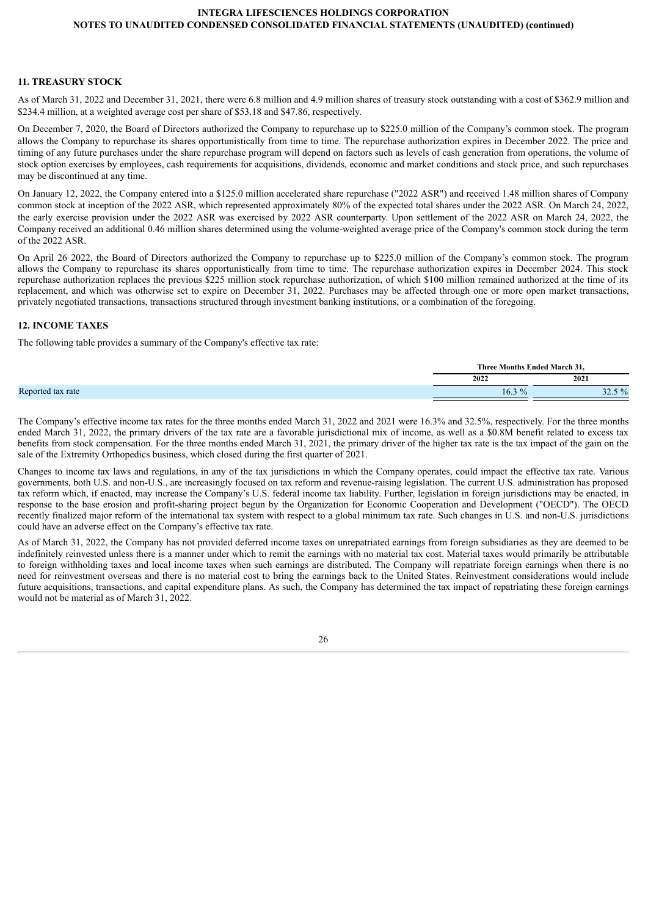# **11. TREASURY STOCK**

As of March 31, 2022 and December 31, 2021, there were 6.8 million and 4.9 million shares of treasury stock outstanding with a cost of \$362.9 million and \$234.4 million, at a weighted average cost per share of \$53.18 and \$47.86, respectively.

On December 7, 2020, the Board of Directors authorized the Company to repurchase up to \$225.0 million of the Company's common stock. The program allows the Company to repurchase its shares opportunistically from time to time. The repurchase authorization expires in December 2022. The price and timing of any future purchases under the share repurchase program will depend on factors such as levels of cash generation from operations, the volume of stock option exercises by employees, cash requirements for acquisitions, dividends, economic and market conditions and stock price, and such repurchases may be discontinued at any time.

On January 12, 2022, the Company entered into a \$125.0 million accelerated share repurchase ("2022 ASR") and received 1.48 million shares of Company common stock at inception of the 2022 ASR, which represented approximately 80% of the expected total shares under the 2022 ASR. On March 24, 2022, the early exercise provision under the 2022 ASR was exercised by 2022 ASR counterparty. Upon settlement of the 2022 ASR on March 24, 2022, the Company received an additional 0.46 million shares determined using the volume-weighted average price of the Company's common stock during the term of the 2022 ASR.

On April 26 2022, the Board of Directors authorized the Company to repurchase up to \$225.0 million of the Company's common stock. The program allows the Company to repurchase its shares opportunistically from time to time. The repurchase authorization expires in December 2024. This stock repurchase authorization replaces the previous \$225 million stock repurchase authorization, of which \$100 million remained authorized at the time of its replacement, and which was otherwise set to expire on December 31, 2022. Purchases may be affected through one or more open market transactions, privately negotiated transactions, transactions structured through investment banking institutions, or a combination of the foregoing.

## **12. INCOME TAXES**

The following table provides a summary of the Company's effective tax rate:

|                   |                       | Three Months Ended March 31. |
|-------------------|-----------------------|------------------------------|
|                   | 2022                  | 2021                         |
| Reported tax rate | $\frac{0}{t}$<br>16.3 | 50/2<br>ن. عاد<br>- - - -    |

The Company's effective income tax rates for the three months ended March 31, 2022 and 2021 were 16.3% and 32.5%, respectively. For the three months ended March 31, 2022, the primary drivers of the tax rate are a favorable jurisdictional mix of income, as well as a \$0.8M benefit related to excess tax benefits from stock compensation. For the three months ended March 31, 2021, the primary driver of the higher tax rate is the tax impact of the gain on the sale of the Extremity Orthopedics business, which closed during the first quarter of 2021.

Changes to income tax laws and regulations, in any of the tax jurisdictions in which the Company operates, could impact the effective tax rate. Various governments, both U.S. and non-U.S., are increasingly focused on tax reform and revenue-raising legislation. The current U.S. administration has proposed tax reform which, if enacted, may increase the Company's U.S. federal income tax liability. Further, legislation in foreign jurisdictions may be enacted, in response to the base erosion and profit-sharing project begun by the Organization for Economic Cooperation and Development ("OECD"). The OECD recently finalized major reform of the international tax system with respect to a global minimum tax rate. Such changes in U.S. and non-U.S. jurisdictions could have an adverse effect on the Company's effective tax rate.

As of March 31, 2022, the Company has not provided deferred income taxes on unrepatriated earnings from foreign subsidiaries as they are deemed to be indefinitely reinvested unless there is a manner under which to remit the earnings with no material tax cost. Material taxes would primarily be attributable to foreign withholding taxes and local income taxes when such earnings are distributed. The Company will repatriate foreign earnings when there is no need for reinvestment overseas and there is no material cost to bring the earnings back to the United States. Reinvestment considerations would include future acquisitions, transactions, and capital expenditure plans. As such, the Company has determined the tax impact of repatriating these foreign earnings would not be material as of March 31, 2022.

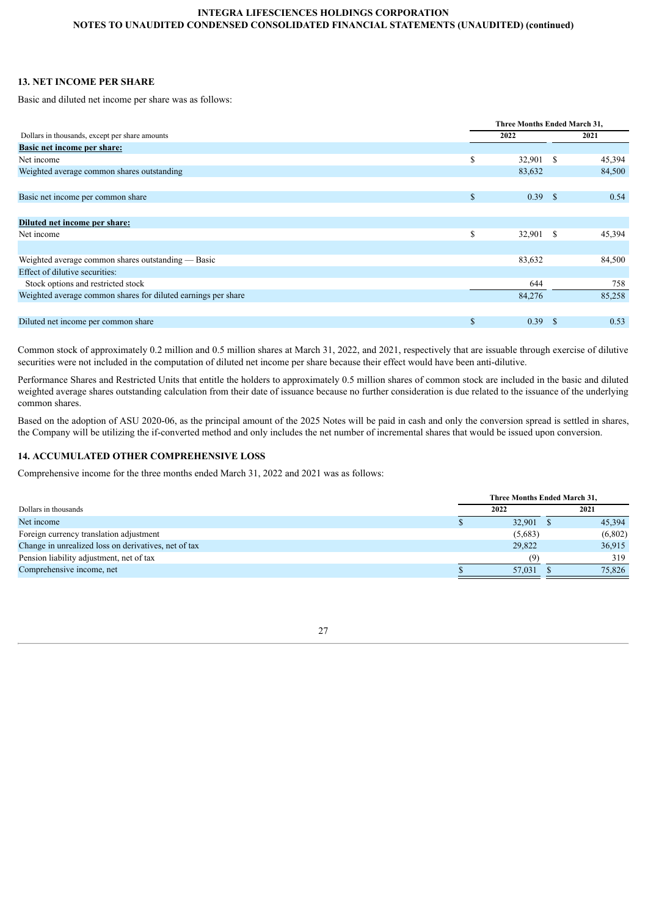# **13. NET INCOME PER SHARE**

Basic and diluted net income per share was as follows:

|                                                               |               |           | Three Months Ended March 31, |        |  |  |
|---------------------------------------------------------------|---------------|-----------|------------------------------|--------|--|--|
| Dollars in thousands, except per share amounts                |               | 2022      |                              | 2021   |  |  |
| Basic net income per share:                                   |               |           |                              |        |  |  |
| Net income                                                    | \$            | 32,901 \$ |                              | 45,394 |  |  |
| Weighted average common shares outstanding                    |               | 83,632    |                              | 84,500 |  |  |
|                                                               |               |           |                              |        |  |  |
| Basic net income per common share                             | $\mathbb{S}$  | 0.39 S    |                              | 0.54   |  |  |
|                                                               |               |           |                              |        |  |  |
| Diluted net income per share:                                 |               |           |                              |        |  |  |
| Net income                                                    | <sup>\$</sup> | 32,901 \$ |                              | 45,394 |  |  |
|                                                               |               |           |                              |        |  |  |
| Weighted average common shares outstanding — Basic            |               | 83,632    |                              | 84,500 |  |  |
| Effect of dilutive securities:                                |               |           |                              |        |  |  |
| Stock options and restricted stock                            |               | 644       |                              | 758    |  |  |
| Weighted average common shares for diluted earnings per share |               | 84,276    |                              | 85,258 |  |  |
|                                                               |               |           |                              |        |  |  |
| Diluted net income per common share                           | $\mathbb{S}$  | 0.39 S    |                              | 0.53   |  |  |

Common stock of approximately 0.2 million and 0.5 million shares at March 31, 2022, and 2021, respectively that are issuable through exercise of dilutive securities were not included in the computation of diluted net income per share because their effect would have been anti-dilutive.

Performance Shares and Restricted Units that entitle the holders to approximately 0.5 million shares of common stock are included in the basic and diluted weighted average shares outstanding calculation from their date of issuance because no further consideration is due related to the issuance of the underlying common shares.

Based on the adoption of ASU 2020-06, as the principal amount of the 2025 Notes will be paid in cash and only the conversion spread is settled in shares, the Company will be utilizing the if-converted method and only includes the net number of incremental shares that would be issued upon conversion.

# **14. ACCUMULATED OTHER COMPREHENSIVE LOSS**

Comprehensive income for the three months ended March 31, 2022 and 2021 was as follows:

|                                                      | Three Months Ended March 31, |         |  |  |  |  |  |  |
|------------------------------------------------------|------------------------------|---------|--|--|--|--|--|--|
| Dollars in thousands                                 | 2022                         | 2021    |  |  |  |  |  |  |
| Net income                                           | 32,901                       | 45,394  |  |  |  |  |  |  |
| Foreign currency translation adjustment              | (5,683)                      | (6,802) |  |  |  |  |  |  |
| Change in unrealized loss on derivatives, net of tax | 29,822                       | 36,915  |  |  |  |  |  |  |
| Pension liability adjustment, net of tax             | (9)                          | 319     |  |  |  |  |  |  |
| Comprehensive income, net                            | 57.031                       | 75,826  |  |  |  |  |  |  |

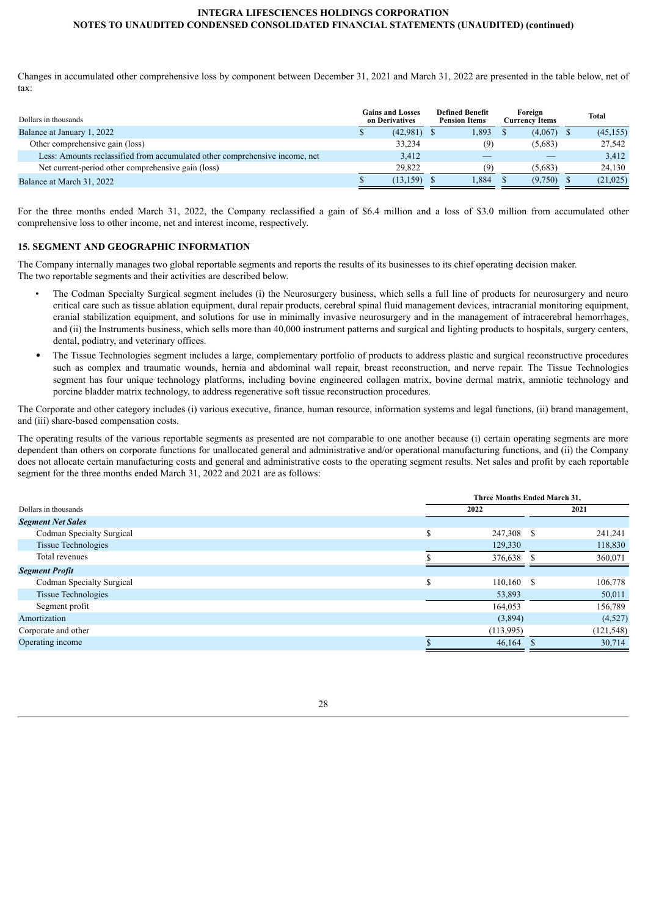Changes in accumulated other comprehensive loss by component between December 31, 2021 and March 31, 2022 are presented in the table below, net of tax:

| Dollars in thousands                                                        | <b>Gains and Losses</b><br>on Derivatives | <b>Defined Benefit</b><br><b>Pension Items</b> |       | Foreign<br>Currency Items | <b>Total</b> |
|-----------------------------------------------------------------------------|-------------------------------------------|------------------------------------------------|-------|---------------------------|--------------|
| Balance at January 1, 2022                                                  | $(42,981)$ \$                             |                                                | 1,893 | (4,067)                   | (45, 155)    |
| Other comprehensive gain (loss)                                             | 33,234                                    |                                                | (9)   | (5,683)                   | 27,542       |
| Less: Amounts reclassified from accumulated other comprehensive income, net | 3,412                                     |                                                |       |                           | 3,412        |
| Net current-period other comprehensive gain (loss)                          | 29.822                                    |                                                | (9)   | (5,683)                   | 24,130       |
| Balance at March 31, 2022                                                   | (13, 159)                                 |                                                | 1.884 | (9,750)                   | (21,025)     |

For the three months ended March 31, 2022, the Company reclassified a gain of \$6.4 million and a loss of \$3.0 million from accumulated other comprehensive loss to other income, net and interest income, respectively.

#### **15. SEGMENT AND GEOGRAPHIC INFORMATION**

The Company internally manages two global reportable segments and reports the results of its businesses to its chief operating decision maker. The two reportable segments and their activities are described below.

- The Codman Specialty Surgical segment includes (i) the Neurosurgery business, which sells a full line of products for neurosurgery and neuro critical care such as tissue ablation equipment, dural repair products, cerebral spinal fluid management devices, intracranial monitoring equipment, cranial stabilization equipment, and solutions for use in minimally invasive neurosurgery and in the management of intracerebral hemorrhages, and (ii) the Instruments business, which sells more than 40,000 instrument patterns and surgical and lighting products to hospitals, surgery centers, dental, podiatry, and veterinary offices.
- The Tissue Technologies segment includes a large, complementary portfolio of products to address plastic and surgical reconstructive procedures such as complex and traumatic wounds, hernia and abdominal wall repair, breast reconstruction, and nerve repair. The Tissue Technologies segment has four unique technology platforms, including bovine engineered collagen matrix, bovine dermal matrix, amniotic technology and porcine bladder matrix technology, to address regenerative soft tissue reconstruction procedures.

The Corporate and other category includes (i) various executive, finance, human resource, information systems and legal functions, (ii) brand management, and (iii) share-based compensation costs.

The operating results of the various reportable segments as presented are not comparable to one another because (i) certain operating segments are more dependent than others on corporate functions for unallocated general and administrative and/or operational manufacturing functions, and (ii) the Company does not allocate certain manufacturing costs and general and administrative costs to the operating segment results. Net sales and profit by each reportable segment for the three months ended March 31, 2022 and 2021 are as follows:

| Three Months Ended March 31, |           |    |            |  |  |  |  |
|------------------------------|-----------|----|------------|--|--|--|--|
|                              | 2022      |    | 2021       |  |  |  |  |
|                              |           |    |            |  |  |  |  |
| S                            |           | -S | 241,241    |  |  |  |  |
|                              | 129,330   |    | 118,830    |  |  |  |  |
|                              | 376,638   |    | 360,071    |  |  |  |  |
|                              |           |    |            |  |  |  |  |
| S                            | 110,160   | -S | 106,778    |  |  |  |  |
|                              | 53,893    |    | 50,011     |  |  |  |  |
|                              | 164,053   |    | 156,789    |  |  |  |  |
|                              | (3,894)   |    | (4,527)    |  |  |  |  |
|                              | (113,995) |    | (121, 548) |  |  |  |  |
|                              | 46,164    |    | 30,714     |  |  |  |  |
|                              |           |    | 247,308    |  |  |  |  |

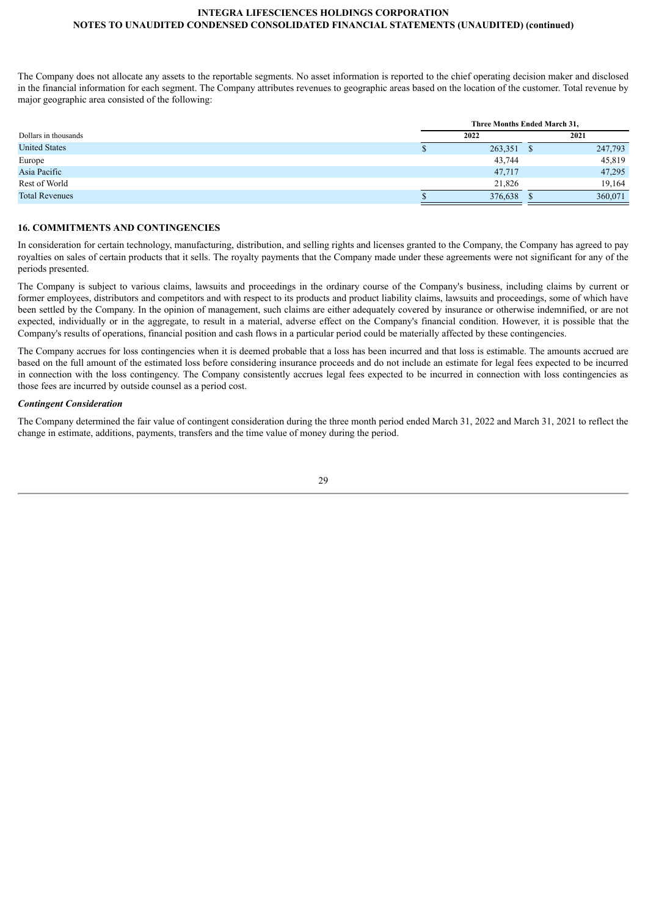The Company does not allocate any assets to the reportable segments. No asset information is reported to the chief operating decision maker and disclosed in the financial information for each segment. The Company attributes revenues to geographic areas based on the location of the customer. Total revenue by major geographic area consisted of the following:

|                       | Three Months Ended March 31, |            |  |         |  |  |  |  |  |
|-----------------------|------------------------------|------------|--|---------|--|--|--|--|--|
| Dollars in thousands  |                              | 2022       |  | 2021    |  |  |  |  |  |
| <b>United States</b>  |                              | 263,351 \$ |  | 247,793 |  |  |  |  |  |
| Europe                |                              | 43,744     |  | 45,819  |  |  |  |  |  |
| Asia Pacific          |                              | 47,717     |  | 47,295  |  |  |  |  |  |
| Rest of World         |                              | 21,826     |  | 19,164  |  |  |  |  |  |
| <b>Total Revenues</b> |                              | 376,638    |  | 360,071 |  |  |  |  |  |

# **16. COMMITMENTS AND CONTINGENCIES**

In consideration for certain technology, manufacturing, distribution, and selling rights and licenses granted to the Company, the Company has agreed to pay royalties on sales of certain products that it sells. The royalty payments that the Company made under these agreements were not significant for any of the periods presented.

The Company is subject to various claims, lawsuits and proceedings in the ordinary course of the Company's business, including claims by current or former employees, distributors and competitors and with respect to its products and product liability claims, lawsuits and proceedings, some of which have been settled by the Company. In the opinion of management, such claims are either adequately covered by insurance or otherwise indemnified, or are not expected, individually or in the aggregate, to result in a material, adverse effect on the Company's financial condition. However, it is possible that the Company's results of operations, financial position and cash flows in a particular period could be materially affected by these contingencies.

The Company accrues for loss contingencies when it is deemed probable that a loss has been incurred and that loss is estimable. The amounts accrued are based on the full amount of the estimated loss before considering insurance proceeds and do not include an estimate for legal fees expected to be incurred in connection with the loss contingency. The Company consistently accrues legal fees expected to be incurred in connection with loss contingencies as those fees are incurred by outside counsel as a period cost.

### *Contingent Consideration*

The Company determined the fair value of contingent consideration during the three month period ended March 31, 2022 and March 31, 2021 to reflect the change in estimate, additions, payments, transfers and the time value of money during the period.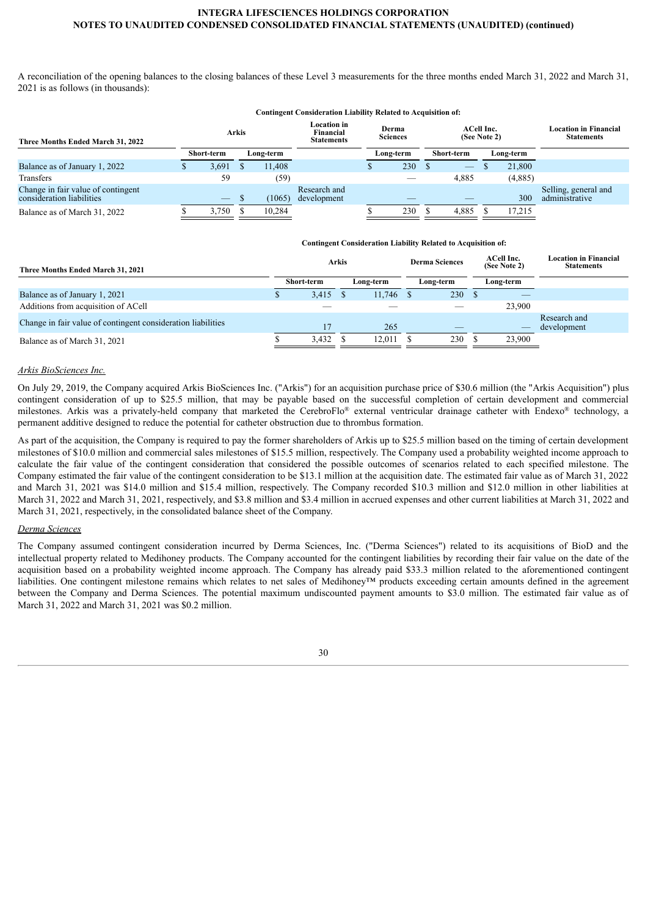A reconciliation of the opening balances to the closing balances of these Level 3 measurements for the three months ended March 31, 2022 and March 31, 2021 is as follows (in thousands):

#### **Contingent Consideration Liability Related to Acquisition of:**

| Three Months Ended March 31, 2022                               | <b>Arkis</b> |                   |    |           | <b>Location in</b><br>Financial<br><b>Statements</b> | Derma<br><b>Sciences</b> | <b>ACell Inc.</b><br>(See Note 2) |           | <b>Location in Financial</b><br><b>Statements</b> |
|-----------------------------------------------------------------|--------------|-------------------|----|-----------|------------------------------------------------------|--------------------------|-----------------------------------|-----------|---------------------------------------------------|
|                                                                 |              | Short-term        |    | Long-term |                                                      | Long-term                | Short-term                        | Long-term |                                                   |
| Balance as of January 1, 2022                                   |              | 3,691             |    | 11.408    |                                                      | 230                      | $\hspace{0.1mm}-\hspace{0.1mm}$   | 21.800    |                                                   |
| Transfers                                                       |              | 59                |    | (59)      |                                                      |                          | 4,885                             | (4,885)   |                                                   |
| Change in fair value of contingent<br>consideration liabilities |              | $\hspace{0.05cm}$ | .D | (1065)    | Research and<br>development                          |                          |                                   | 300       | Selling, general and<br>administrative            |
| Balance as of March 31, 2022                                    |              | 3,750             |    | 10.284    |                                                      | 230                      | 4,885                             | 17.215    |                                                   |

|                                                              |  | <b>Contingent Consideration Liability Related to Acquisition of:</b> |           |             |                       |           |                            |                                                   |                             |
|--------------------------------------------------------------|--|----------------------------------------------------------------------|-----------|-------------|-----------------------|-----------|----------------------------|---------------------------------------------------|-----------------------------|
| Three Months Ended March 31, 2021                            |  | <b>Arkis</b>                                                         |           |             | <b>Derma Sciences</b> |           | ACell Inc.<br>(See Note 2) | <b>Location in Financial</b><br><b>Statements</b> |                             |
|                                                              |  | Short-term                                                           | Long-term |             |                       | Long-term | Long-term                  |                                                   |                             |
| Balance as of January 1, 2021                                |  | $3,415$ \$                                                           |           | $11,746$ \$ |                       | 230       |                            |                                                   |                             |
| Additions from acquisition of ACell                          |  |                                                                      |           |             |                       |           |                            | 23.900                                            |                             |
| Change in fair value of contingent consideration liabilities |  |                                                                      |           | 265         |                       |           |                            |                                                   | Research and<br>development |
| Balance as of March 31, 2021                                 |  | $3,432$ \$                                                           |           | 12.011      |                       | 230       |                            | 23,900                                            |                             |

#### *Arkis BioSciences Inc.*

On July 29, 2019, the Company acquired Arkis BioSciences Inc. ("Arkis") for an acquisition purchase price of \$30.6 million (the "Arkis Acquisition") plus contingent consideration of up to \$25.5 million, that may be payable based on the successful completion of certain development and commercial milestones. Arkis was a privately-held company that marketed the CerebroFlo® external ventricular drainage catheter with Endexo® technology, a permanent additive designed to reduce the potential for catheter obstruction due to thrombus formation.

As part of the acquisition, the Company is required to pay the former shareholders of Arkis up to \$25.5 million based on the timing of certain development milestones of \$10.0 million and commercial sales milestones of \$15.5 million, respectively. The Company used a probability weighted income approach to calculate the fair value of the contingent consideration that considered the possible outcomes of scenarios related to each specified milestone. The Company estimated the fair value of the contingent consideration to be \$13.1 million at the acquisition date. The estimated fair value as of March 31, 2022 and March 31, 2021 was \$14.0 million and \$15.4 million, respectively. The Company recorded \$10.3 million and \$12.0 million in other liabilities at March 31, 2022 and March 31, 2021, respectively, and \$3.8 million and \$3.4 million in accrued expenses and other current liabilities at March 31, 2022 and March 31, 2021, respectively, in the consolidated balance sheet of the Company.

# *Derma Sciences*

<span id="page-29-0"></span>The Company assumed contingent consideration incurred by Derma Sciences, Inc. ("Derma Sciences") related to its acquisitions of BioD and the intellectual property related to Medihoney products. The Company accounted for the contingent liabilities by recording their fair value on the date of the acquisition based on a probability weighted income approach. The Company has already paid \$33.3 million related to the aforementioned contingent liabilities. One contingent milestone remains which relates to net sales of Medihoney™ products exceeding certain amounts defined in the agreement between the Company and Derma Sciences. The potential maximum undiscounted payment amounts to \$3.0 million. The estimated fair value as of March 31, 2022 and March 31, 2021 was \$0.2 million.

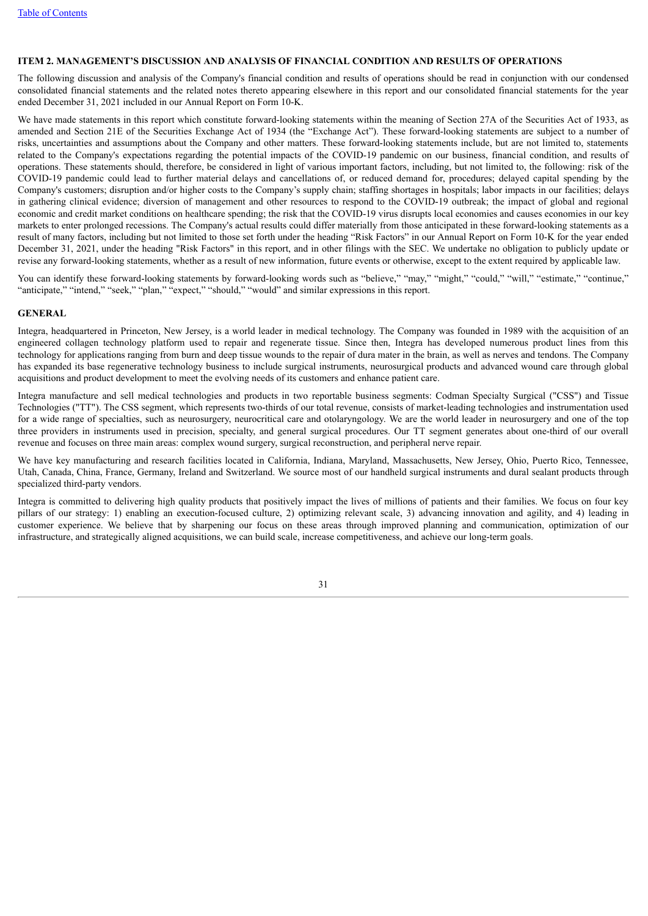### **ITEM 2. MANAGEMENT'S DISCUSSION AND ANALYSIS OF FINANCIAL CONDITION AND RESULTS OF OPERATIONS**

The following discussion and analysis of the Company's financial condition and results of operations should be read in conjunction with our condensed consolidated financial statements and the related notes thereto appearing elsewhere in this report and our consolidated financial statements for the year ended December 31, 2021 included in our Annual Report on Form 10-K.

We have made statements in this report which constitute forward-looking statements within the meaning of Section 27A of the Securities Act of 1933, as amended and Section 21E of the Securities Exchange Act of 1934 (the "Exchange Act"). These forward-looking statements are subject to a number of risks, uncertainties and assumptions about the Company and other matters. These forward-looking statements include, but are not limited to, statements related to the Company's expectations regarding the potential impacts of the COVID-19 pandemic on our business, financial condition, and results of operations. These statements should, therefore, be considered in light of various important factors, including, but not limited to, the following: risk of the COVID-19 pandemic could lead to further material delays and cancellations of, or reduced demand for, procedures; delayed capital spending by the Company's customers; disruption and/or higher costs to the Company's supply chain; staffing shortages in hospitals; labor impacts in our facilities; delays in gathering clinical evidence; diversion of management and other resources to respond to the COVID-19 outbreak; the impact of global and regional economic and credit market conditions on healthcare spending; the risk that the COVID-19 virus disrupts local economies and causes economies in our key markets to enter prolonged recessions. The Company's actual results could differ materially from those anticipated in these forward-looking statements as a result of many factors, including but not limited to those set forth under the heading "Risk Factors" in our Annual Report on Form 10-K for the year ended December 31, 2021, under the heading "Risk Factors" in this report, and in other filings with the SEC. We undertake no obligation to publicly update or revise any forward-looking statements, whether as a result of new information, future events or otherwise, except to the extent required by applicable law.

You can identify these forward-looking statements by forward-looking words such as "believe," "may," "might," "could," "will," "estimate," "continue," "anticipate," "intend," "seek," "plan," "expect," "should," "would" and similar expressions in this report.

#### **GENERAL**

Integra, headquartered in Princeton, New Jersey, is a world leader in medical technology. The Company was founded in 1989 with the acquisition of an engineered collagen technology platform used to repair and regenerate tissue. Since then, Integra has developed numerous product lines from this technology for applications ranging from burn and deep tissue wounds to the repair of dura mater in the brain, as well as nerves and tendons. The Company has expanded its base regenerative technology business to include surgical instruments, neurosurgical products and advanced wound care through global acquisitions and product development to meet the evolving needs of its customers and enhance patient care.

Integra manufacture and sell medical technologies and products in two reportable business segments: Codman Specialty Surgical ("CSS") and Tissue Technologies ("TT"). The CSS segment, which represents two-thirds of our total revenue, consists of market-leading technologies and instrumentation used for a wide range of specialties, such as neurosurgery, neurocritical care and otolaryngology. We are the world leader in neurosurgery and one of the top three providers in instruments used in precision, specialty, and general surgical procedures. Our TT segment generates about one-third of our overall revenue and focuses on three main areas: complex wound surgery, surgical reconstruction, and peripheral nerve repair.

We have key manufacturing and research facilities located in California, Indiana, Maryland, Massachusetts, New Jersey, Ohio, Puerto Rico, Tennessee, Utah, Canada, China, France, Germany, Ireland and Switzerland. We source most of our handheld surgical instruments and dural sealant products through specialized third-party vendors.

Integra is committed to delivering high quality products that positively impact the lives of millions of patients and their families. We focus on four key pillars of our strategy: 1) enabling an execution-focused culture, 2) optimizing relevant scale, 3) advancing innovation and agility, and 4) leading in customer experience. We believe that by sharpening our focus on these areas through improved planning and communication, optimization of our infrastructure, and strategically aligned acquisitions, we can build scale, increase competitiveness, and achieve our long-term goals.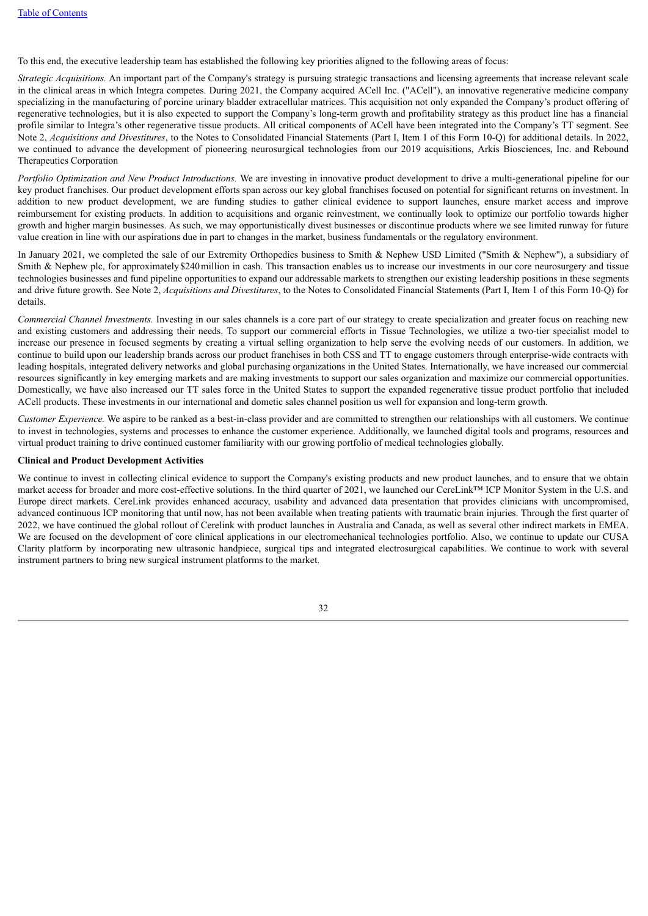To this end, the executive leadership team has established the following key priorities aligned to the following areas of focus:

*Strategic Acquisitions.* An important part of the Company's strategy is pursuing strategic transactions and licensing agreements that increase relevant scale in the clinical areas in which Integra competes. During 2021, the Company acquired ACell Inc. ("ACell"), an innovative regenerative medicine company specializing in the manufacturing of porcine urinary bladder extracellular matrices. This acquisition not only expanded the Company's product offering of regenerative technologies, but it is also expected to support the Company's long-term growth and profitability strategy as this product line has a financial profile similar to Integra's other regenerative tissue products. All critical components of ACell have been integrated into the Company's TT segment. See Note 2, *Acquisitions and Divestitures*, to the Notes to Consolidated Financial Statements (Part I, Item 1 of this Form 10-Q) for additional details. In 2022, we continued to advance the development of pioneering neurosurgical technologies from our 2019 acquisitions, Arkis Biosciences, Inc. and Rebound Therapeutics Corporation

*Portfolio Optimization and New Product Introductions.* We are investing in innovative product development to drive a multi-generational pipeline for our key product franchises. Our product development efforts span across our key global franchises focused on potential for significant returns on investment. In addition to new product development, we are funding studies to gather clinical evidence to support launches, ensure market access and improve reimbursement for existing products. In addition to acquisitions and organic reinvestment, we continually look to optimize our portfolio towards higher growth and higher margin businesses. As such, we may opportunistically divest businesses or discontinue products where we see limited runway for future value creation in line with our aspirations due in part to changes in the market, business fundamentals or the regulatory environment.

In January 2021, we completed the sale of our Extremity Orthopedics business to Smith & Nephew USD Limited ("Smith & Nephew"), a subsidiary of Smith & Nephew plc, for approximately \$240 million in cash. This transaction enables us to increase our investments in our core neurosurgery and tissue technologies businesses and fund pipeline opportunities to expand our addressable markets to strengthen our existing leadership positions in these segments and drive future growth. See Note 2, *Acquisitions and Divestitures*, to the Notes to Consolidated Financial Statements (Part I, Item 1 of this Form 10-Q) for details.

*Commercial Channel Investments.* Investing in our sales channels is a core part of our strategy to create specialization and greater focus on reaching new and existing customers and addressing their needs. To support our commercial efforts in Tissue Technologies, we utilize a two-tier specialist model to increase our presence in focused segments by creating a virtual selling organization to help serve the evolving needs of our customers. In addition, we continue to build upon our leadership brands across our product franchises in both CSS and TT to engage customers through enterprise-wide contracts with leading hospitals, integrated delivery networks and global purchasing organizations in the United States. Internationally, we have increased our commercial resources significantly in key emerging markets and are making investments to support our sales organization and maximize our commercial opportunities. Domestically, we have also increased our TT sales force in the United States to support the expanded regenerative tissue product portfolio that included ACell products. These investments in our international and dometic sales channel position us well for expansion and long-term growth.

*Customer Experience.* We aspire to be ranked as a best-in-class provider and are committed to strengthen our relationships with all customers. We continue to invest in technologies, systems and processes to enhance the customer experience. Additionally, we launched digital tools and programs, resources and virtual product training to drive continued customer familiarity with our growing portfolio of medical technologies globally.

#### **Clinical and Product Development Activities**

We continue to invest in collecting clinical evidence to support the Company's existing products and new product launches, and to ensure that we obtain market access for broader and more cost-effective solutions. In the third quarter of 2021, we launched our CereLink™ ICP Monitor System in the U.S. and Europe direct markets. CereLink provides enhanced accuracy, usability and advanced data presentation that provides clinicians with uncompromised, advanced continuous ICP monitoring that until now, has not been available when treating patients with traumatic brain injuries. Through the first quarter of 2022, we have continued the global rollout of Cerelink with product launches in Australia and Canada, as well as several other indirect markets in EMEA. We are focused on the development of core clinical applications in our electromechanical technologies portfolio. Also, we continue to update our CUSA Clarity platform by incorporating new ultrasonic handpiece, surgical tips and integrated electrosurgical capabilities. We continue to work with several instrument partners to bring new surgical instrument platforms to the market.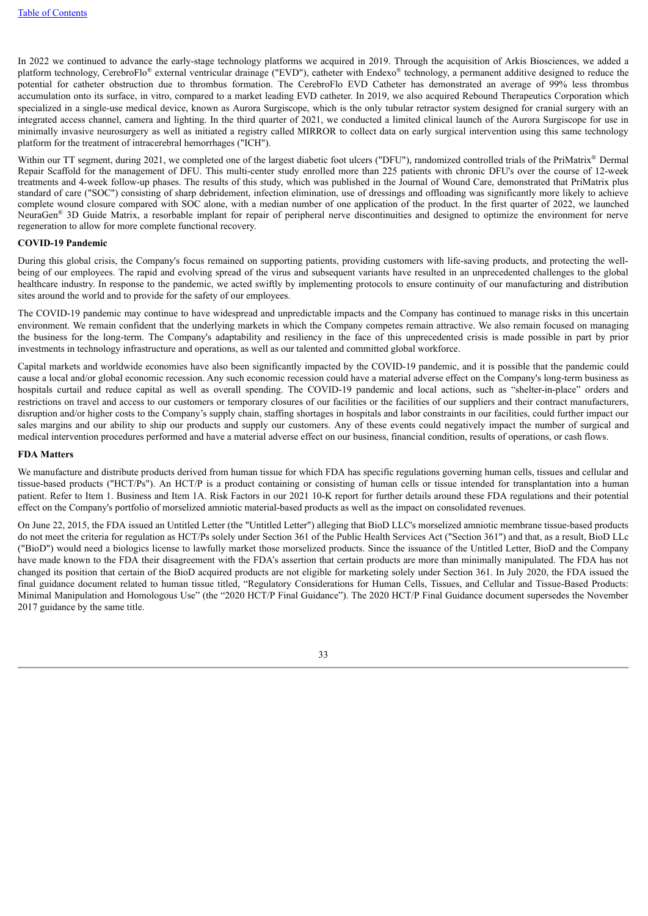In 2022 we continued to advance the early-stage technology platforms we acquired in 2019. Through the acquisition of Arkis Biosciences, we added a platform technology, CerebroFlo® external ventricular drainage ("EVD"), catheter with Endexo® technology, a permanent additive designed to reduce the potential for catheter obstruction due to thrombus formation. The CerebroFlo EVD Catheter has demonstrated an average of 99% less thrombus accumulation onto its surface, in vitro, compared to a market leading EVD catheter. In 2019, we also acquired Rebound Therapeutics Corporation which specialized in a single-use medical device, known as Aurora Surgiscope, which is the only tubular retractor system designed for cranial surgery with an integrated access channel, camera and lighting. In the third quarter of 2021, we conducted a limited clinical launch of the Aurora Surgiscope for use in minimally invasive neurosurgery as well as initiated a registry called MIRROR to collect data on early surgical intervention using this same technology platform for the treatment of intracerebral hemorrhages ("ICH").

Within our TT segment, during 2021, we completed one of the largest diabetic foot ulcers ("DFU"), randomized controlled trials of the PriMatrix® Dermal Repair Scaffold for the management of DFU. This multi-center study enrolled more than 225 patients with chronic DFU's over the course of 12-week treatments and 4-week follow-up phases. The results of this study, which was published in the Journal of Wound Care, demonstrated that PriMatrix plus standard of care ("SOC") consisting of sharp debridement, infection elimination, use of dressings and offloading was significantly more likely to achieve complete wound closure compared with SOC alone, with a median number of one application of the product. In the first quarter of 2022, we launched NeuraGen<sup>®</sup> 3D Guide Matrix, a resorbable implant for repair of peripheral nerve discontinuities and designed to optimize the environment for nerve regeneration to allow for more complete functional recovery.

#### **COVID-19 Pandemic**

During this global crisis, the Company's focus remained on supporting patients, providing customers with life-saving products, and protecting the wellbeing of our employees. The rapid and evolving spread of the virus and subsequent variants have resulted in an unprecedented challenges to the global healthcare industry. In response to the pandemic, we acted swiftly by implementing protocols to ensure continuity of our manufacturing and distribution sites around the world and to provide for the safety of our employees.

The COVID-19 pandemic may continue to have widespread and unpredictable impacts and the Company has continued to manage risks in this uncertain environment. We remain confident that the underlying markets in which the Company competes remain attractive. We also remain focused on managing the business for the long-term. The Company's adaptability and resiliency in the face of this unprecedented crisis is made possible in part by prior investments in technology infrastructure and operations, as well as our talented and committed global workforce.

Capital markets and worldwide economies have also been significantly impacted by the COVID-19 pandemic, and it is possible that the pandemic could cause a local and/or global economic recession. Any such economic recession could have a material adverse effect on the Company's long-term business as hospitals curtail and reduce capital as well as overall spending. The COVID-19 pandemic and local actions, such as "shelter-in-place" orders and restrictions on travel and access to our customers or temporary closures of our facilities or the facilities of our suppliers and their contract manufacturers, disruption and/or higher costs to the Company's supply chain, staffing shortages in hospitals and labor constraints in our facilities, could further impact our sales margins and our ability to ship our products and supply our customers. Any of these events could negatively impact the number of surgical and medical intervention procedures performed and have a material adverse effect on our business, financial condition, results of operations, or cash flows.

#### **FDA Matters**

We manufacture and distribute products derived from human tissue for which FDA has specific regulations governing human cells, tissues and cellular and tissue-based products ("HCT/Ps"). An HCT/P is a product containing or consisting of human cells or tissue intended for transplantation into a human patient. Refer to Item 1. Business and Item 1A. Risk Factors in our 2021 10-K report for further details around these FDA regulations and their potential effect on the Company's portfolio of morselized amniotic material-based products as well as the impact on consolidated revenues.

On June 22, 2015, the FDA issued an Untitled Letter (the "Untitled Letter") alleging that BioD LLC's morselized amniotic membrane tissue-based products do not meet the criteria for regulation as HCT/Ps solely under Section 361 of the Public Health Services Act ("Section 361") and that, as a result, BioD LLc ("BioD") would need a biologics license to lawfully market those morselized products. Since the issuance of the Untitled Letter, BioD and the Company have made known to the FDA their disagreement with the FDA's assertion that certain products are more than minimally manipulated. The FDA has not changed its position that certain of the BioD acquired products are not eligible for marketing solely under Section 361. In July 2020, the FDA issued the final guidance document related to human tissue titled, "Regulatory Considerations for Human Cells, Tissues, and Cellular and Tissue-Based Products: Minimal Manipulation and Homologous Use" (the "2020 HCT/P Final Guidance"). The 2020 HCT/P Final Guidance document supersedes the November 2017 guidance by the same title.

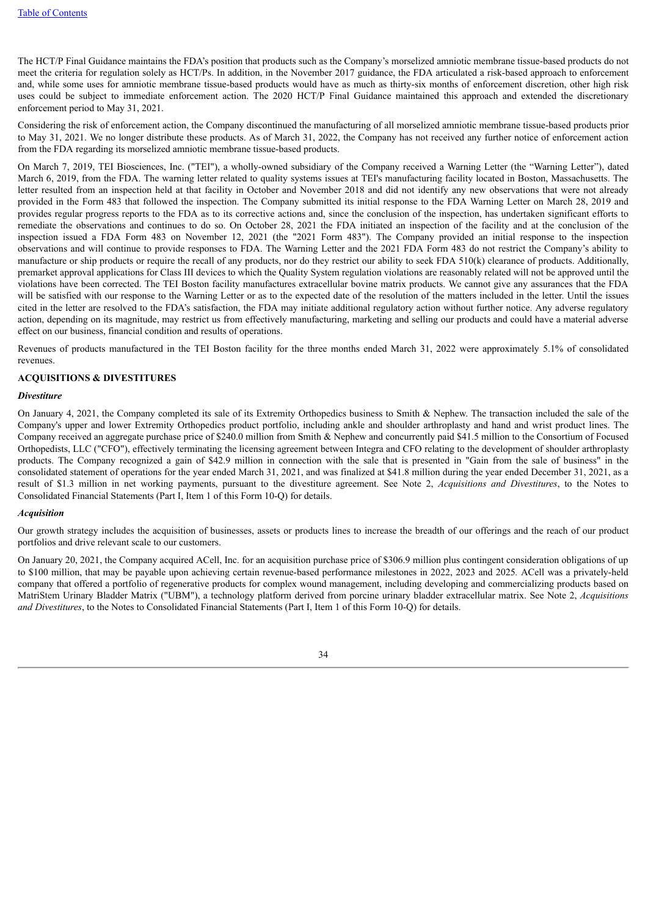The HCT/P Final Guidance maintains the FDA's position that products such as the Company's morselized amniotic membrane tissue-based products do not meet the criteria for regulation solely as HCT/Ps. In addition, in the November 2017 guidance, the FDA articulated a risk-based approach to enforcement and, while some uses for amniotic membrane tissue-based products would have as much as thirty-six months of enforcement discretion, other high risk uses could be subject to immediate enforcement action. The 2020 HCT/P Final Guidance maintained this approach and extended the discretionary enforcement period to May 31, 2021.

Considering the risk of enforcement action, the Company discontinued the manufacturing of all morselized amniotic membrane tissue-based products prior to May 31, 2021. We no longer distribute these products. As of March 31, 2022, the Company has not received any further notice of enforcement action from the FDA regarding its morselized amniotic membrane tissue-based products.

On March 7, 2019, TEI Biosciences, Inc. ("TEI"), a wholly-owned subsidiary of the Company received a Warning Letter (the "Warning Letter"), dated March 6, 2019, from the FDA. The warning letter related to quality systems issues at TEI's manufacturing facility located in Boston, Massachusetts. The letter resulted from an inspection held at that facility in October and November 2018 and did not identify any new observations that were not already provided in the Form 483 that followed the inspection. The Company submitted its initial response to the FDA Warning Letter on March 28, 2019 and provides regular progress reports to the FDA as to its corrective actions and, since the conclusion of the inspection, has undertaken significant efforts to remediate the observations and continues to do so. On October 28, 2021 the FDA initiated an inspection of the facility and at the conclusion of the inspection issued a FDA Form 483 on November 12, 2021 (the "2021 Form 483"). The Company provided an initial response to the inspection observations and will continue to provide responses to FDA. The Warning Letter and the 2021 FDA Form 483 do not restrict the Company's ability to manufacture or ship products or require the recall of any products, nor do they restrict our ability to seek FDA 510(k) clearance of products. Additionally, premarket approval applications for Class III devices to which the Quality System regulation violations are reasonably related will not be approved until the violations have been corrected. The TEI Boston facility manufactures extracellular bovine matrix products. We cannot give any assurances that the FDA will be satisfied with our response to the Warning Letter or as to the expected date of the resolution of the matters included in the letter. Until the issues cited in the letter are resolved to the FDA's satisfaction, the FDA may initiate additional regulatory action without further notice. Any adverse regulatory action, depending on its magnitude, may restrict us from effectively manufacturing, marketing and selling our products and could have a material adverse effect on our business, financial condition and results of operations.

Revenues of products manufactured in the TEI Boston facility for the three months ended March 31, 2022 were approximately 5.1% of consolidated revenues.

## **ACQUISITIONS & DIVESTITURES**

#### *Divestiture*

On January 4, 2021, the Company completed its sale of its Extremity Orthopedics business to Smith & Nephew. The transaction included the sale of the Company's upper and lower Extremity Orthopedics product portfolio, including ankle and shoulder arthroplasty and hand and wrist product lines. The Company received an aggregate purchase price of \$240.0 million from Smith & Nephew and concurrently paid \$41.5 million to the Consortium of Focused Orthopedists, LLC ("CFO"), effectively terminating the licensing agreement between Integra and CFO relating to the development of shoulder arthroplasty products. The Company recognized a gain of \$42.9 million in connection with the sale that is presented in "Gain from the sale of business" in the consolidated statement of operations for the year ended March 31, 2021, and was finalized at \$41.8 million during the year ended December 31, 2021, as a result of \$1.3 million in net working payments, pursuant to the divestiture agreement. See Note 2, *Acquisitions and Divestitures*, to the Notes to Consolidated Financial Statements (Part I, Item 1 of this Form 10-Q) for details.

#### *Acquisition*

Our growth strategy includes the acquisition of businesses, assets or products lines to increase the breadth of our offerings and the reach of our product portfolios and drive relevant scale to our customers.

On January 20, 2021, the Company acquired ACell, Inc. for an acquisition purchase price of \$306.9 million plus contingent consideration obligations of up to \$100 million, that may be payable upon achieving certain revenue-based performance milestones in 2022, 2023 and 2025*.* ACell was a privately-held company that offered a portfolio of regenerative products for complex wound management, including developing and commercializing products based on MatriStem Urinary Bladder Matrix ("UBM"), a technology platform derived from porcine urinary bladder extracellular matrix. See Note 2, *Acquisitions and Divestitures*, to the Notes to Consolidated Financial Statements (Part I, Item 1 of this Form 10-Q) for details.

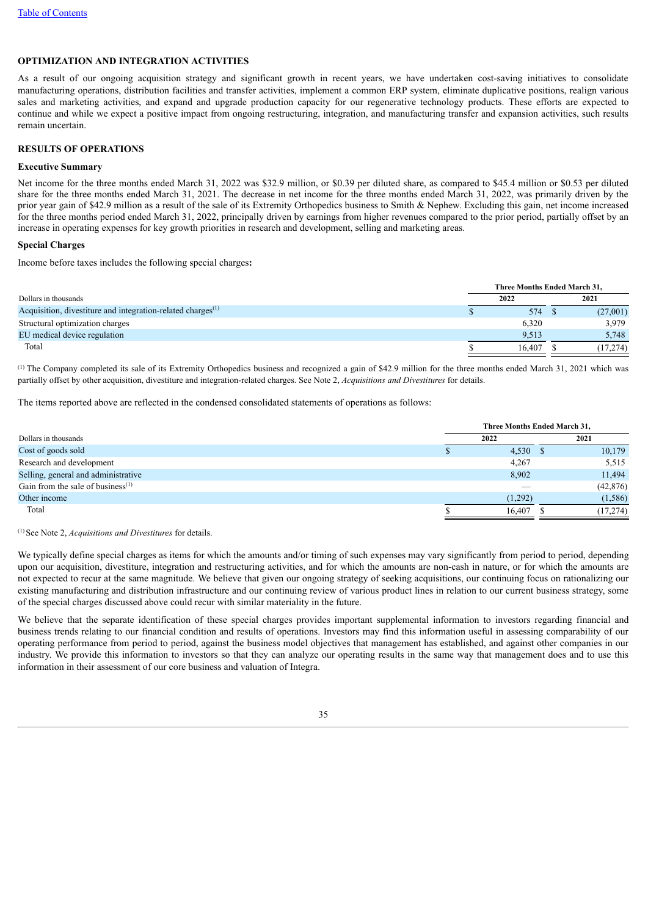# **OPTIMIZATION AND INTEGRATION ACTIVITIES**

As a result of our ongoing acquisition strategy and significant growth in recent years, we have undertaken cost-saving initiatives to consolidate manufacturing operations, distribution facilities and transfer activities, implement a common ERP system, eliminate duplicative positions, realign various sales and marketing activities, and expand and upgrade production capacity for our regenerative technology products. These efforts are expected to continue and while we expect a positive impact from ongoing restructuring, integration, and manufacturing transfer and expansion activities, such results remain uncertain.

### **RESULTS OF OPERATIONS**

#### **Executive Summary**

Net income for the three months ended March 31, 2022 was \$32.9 million, or \$0.39 per diluted share, as compared to \$45.4 million or \$0.53 per diluted share for the three months ended March 31, 2021. The decrease in net income for the three months ended March 31, 2022, was primarily driven by the prior year gain of \$42.9 million as a result of the sale of its Extremity Orthopedics business to Smith & Nephew. Excluding this gain, net income increased for the three months period ended March 31, 2022, principally driven by earnings from higher revenues compared to the prior period, partially offset by an increase in operating expenses for key growth priorities in research and development, selling and marketing areas.

#### **Special Charges**

Income before taxes includes the following special charges**:**

|                                                                         | Three Months Ended March 31, |        |  |           |  |  |  |  |
|-------------------------------------------------------------------------|------------------------------|--------|--|-----------|--|--|--|--|
| Dollars in thousands                                                    |                              | 2022   |  | 2021      |  |  |  |  |
| Acquisition, divestiture and integration-related charges <sup>(1)</sup> |                              | 574    |  | (27,001)  |  |  |  |  |
| Structural optimization charges                                         |                              | 6.320  |  | 3.979     |  |  |  |  |
| EU medical device regulation                                            |                              | 9.513  |  | 5,748     |  |  |  |  |
| Total                                                                   |                              | 16.407 |  | (17, 274) |  |  |  |  |

 $(1)$  The Company completed its sale of its Extremity Orthopedics business and recognized a gain of \$42.9 million for the three months ended March 31, 2021 which was partially offset by other acquisition, divestiture and integration-related charges. See Note 2, *Acquisitions and Divestitures* for details.

The items reported above are reflected in the condensed consolidated statements of operations as follows:

|                                      |         | Three Months Ended March 31, |           |  |  |
|--------------------------------------|---------|------------------------------|-----------|--|--|
| Dollars in thousands                 | 2022    |                              | 2021      |  |  |
| Cost of goods sold                   |         | $4,530$ \$                   | 10,179    |  |  |
| Research and development             | 4,267   |                              | 5,515     |  |  |
| Selling, general and administrative  | 8,902   |                              | 11,494    |  |  |
| Gain from the sale of business $(1)$ |         |                              | (42, 876) |  |  |
| Other income                         | (1,292) |                              | (1,586)   |  |  |
| Total                                | 16.407  |                              | (17, 274) |  |  |
|                                      |         |                              |           |  |  |

<sup>(1)</sup> See Note 2, *Acquisitions and Divestitures* for details.

We typically define special charges as items for which the amounts and/or timing of such expenses may vary significantly from period to period, depending upon our acquisition, divestiture, integration and restructuring activities, and for which the amounts are non-cash in nature, or for which the amounts are not expected to recur at the same magnitude. We believe that given our ongoing strategy of seeking acquisitions, our continuing focus on rationalizing our existing manufacturing and distribution infrastructure and our continuing review of various product lines in relation to our current business strategy, some of the special charges discussed above could recur with similar materiality in the future.

We believe that the separate identification of these special charges provides important supplemental information to investors regarding financial and business trends relating to our financial condition and results of operations. Investors may find this information useful in assessing comparability of our operating performance from period to period, against the business model objectives that management has established, and against other companies in our industry. We provide this information to investors so that they can analyze our operating results in the same way that management does and to use this information in their assessment of our core business and valuation of Integra.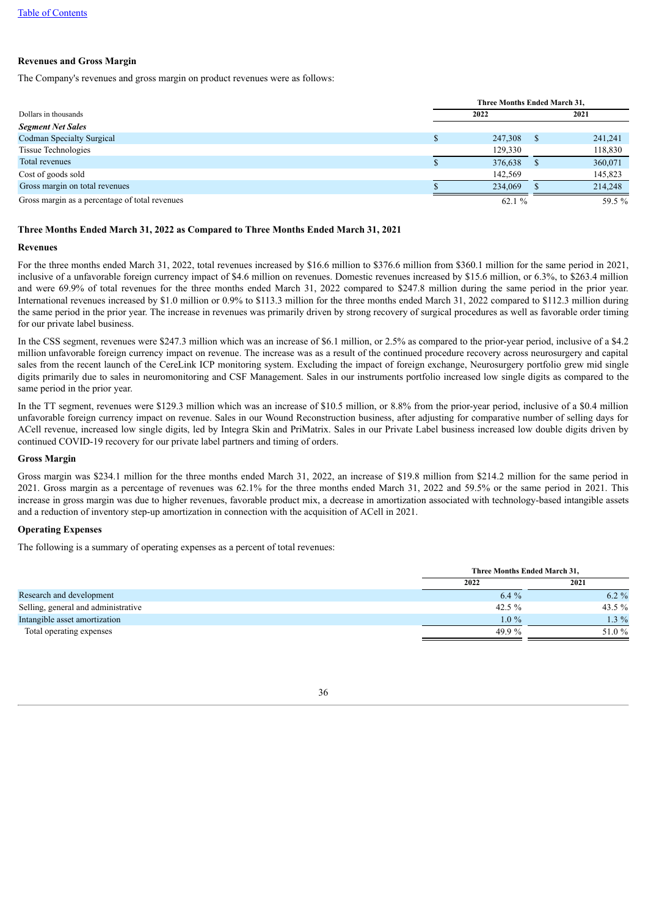# **Revenues and Gross Margin**

The Company's revenues and gross margin on product revenues were as follows:

|                                                | Three Months Ended March 31, |              |         |  |
|------------------------------------------------|------------------------------|--------------|---------|--|
| Dollars in thousands                           | 2022                         |              | 2021    |  |
| <b>Segment Net Sales</b>                       |                              |              |         |  |
| <b>Codman Specialty Surgical</b>               | 247,308                      | $\mathbf{r}$ | 241,241 |  |
| <b>Tissue Technologies</b>                     | 129,330                      |              | 118,830 |  |
| Total revenues                                 | 376,638                      |              | 360,071 |  |
| Cost of goods sold                             | 142.569                      |              | 145,823 |  |
| Gross margin on total revenues                 | 234,069                      |              | 214,248 |  |
| Gross margin as a percentage of total revenues | 62.1 %                       |              | 59.5 %  |  |

# **Three Months Ended March 31, 2022 as Compared to Three Months Ended March 31, 2021**

### **Revenues**

For the three months ended March 31, 2022, total revenues increased by \$16.6 million to \$376.6 million from \$360.1 million for the same period in 2021, inclusive of a unfavorable foreign currency impact of \$4.6 million on revenues. Domestic revenues increased by \$15.6 million, or 6.3%, to \$263.4 million and were 69.9% of total revenues for the three months ended March 31, 2022 compared to \$247.8 million during the same period in the prior year. International revenues increased by \$1.0 million or 0.9% to \$113.3 million for the three months ended March 31, 2022 compared to \$112.3 million during the same period in the prior year. The increase in revenues was primarily driven by strong recovery of surgical procedures as well as favorable order timing for our private label business.

In the CSS segment, revenues were \$247.3 million which was an increase of \$6.1 million, or 2.5% as compared to the prior-year period, inclusive of a \$4.2 million unfavorable foreign currency impact on revenue. The increase was as a result of the continued procedure recovery across neurosurgery and capital sales from the recent launch of the CereLink ICP monitoring system. Excluding the impact of foreign exchange, Neurosurgery portfolio grew mid single digits primarily due to sales in neuromonitoring and CSF Management. Sales in our instruments portfolio increased low single digits as compared to the same period in the prior year.

In the TT segment, revenues were \$129.3 million which was an increase of \$10.5 million, or 8.8% from the prior-year period, inclusive of a \$0.4 million unfavorable foreign currency impact on revenue. Sales in our Wound Reconstruction business, after adjusting for comparative number of selling days for ACell revenue, increased low single digits, led by Integra Skin and PriMatrix. Sales in our Private Label business increased low double digits driven by continued COVID-19 recovery for our private label partners and timing of orders.

#### **Gross Margin**

Gross margin was \$234.1 million for the three months ended March 31, 2022, an increase of \$19.8 million from \$214.2 million for the same period in 2021. Gross margin as a percentage of revenues was 62.1% for the three months ended March 31, 2022 and 59.5% or the same period in 2021. This increase in gross margin was due to higher revenues, favorable product mix, a decrease in amortization associated with technology-based intangible assets and a reduction of inventory step-up amortization in connection with the acquisition of ACell in 2021.

## **Operating Expenses**

The following is a summary of operating expenses as a percent of total revenues:

|                                     | Three Months Ended March 31, |          |  |
|-------------------------------------|------------------------------|----------|--|
|                                     | 2022                         | 2021     |  |
| Research and development            | $6.4\%$                      | $6.2 \%$ |  |
| Selling, general and administrative | 42.5 $%$                     | 43.5 $%$ |  |
| Intangible asset amortization       | $1.0\%$                      | $1.3\%$  |  |
| Total operating expenses            | 49.9%                        | 51.0 %   |  |

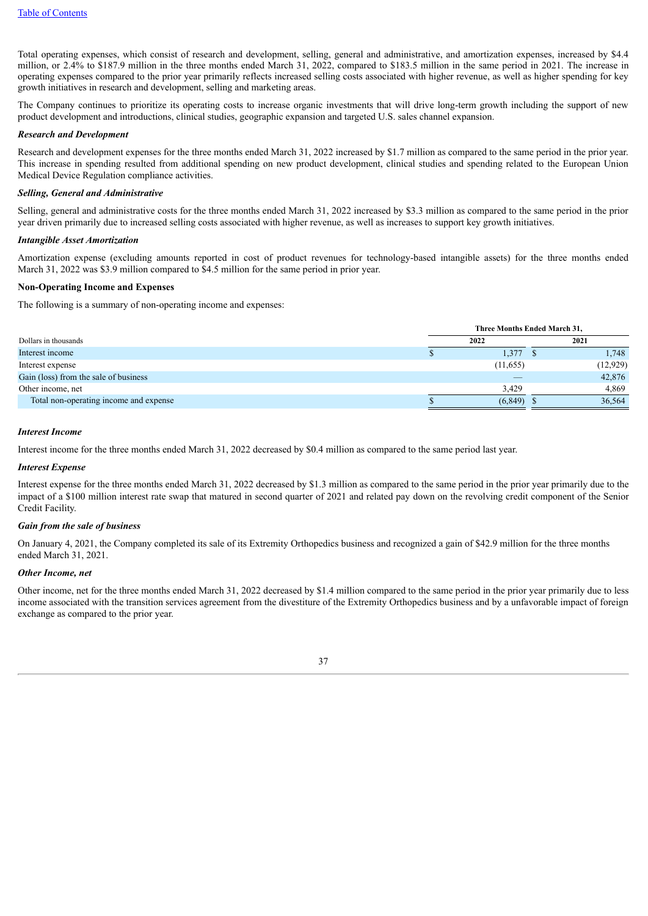Total operating expenses, which consist of research and development, selling, general and administrative, and amortization expenses, increased by \$4.4 million, or 2.4% to \$187.9 million in the three months ended March 31, 2022, compared to \$183.5 million in the same period in 2021. The increase in operating expenses compared to the prior year primarily reflects increased selling costs associated with higher revenue, as well as higher spending for key growth initiatives in research and development, selling and marketing areas.

The Company continues to prioritize its operating costs to increase organic investments that will drive long-term growth including the support of new product development and introductions, clinical studies, geographic expansion and targeted U.S. sales channel expansion.

# *Research and Development*

Research and development expenses for the three months ended March 31, 2022 increased by \$1.7 million as compared to the same period in the prior year. This increase in spending resulted from additional spending on new product development, clinical studies and spending related to the European Union Medical Device Regulation compliance activities.

### *Selling, General and Administrative*

Selling, general and administrative costs for the three months ended March 31, 2022 increased by \$3.3 million as compared to the same period in the prior year driven primarily due to increased selling costs associated with higher revenue, as well as increases to support key growth initiatives.

#### *Intangible Asset Amortization*

Amortization expense (excluding amounts reported in cost of product revenues for technology-based intangible assets) for the three months ended March 31, 2022 was \$3.9 million compared to \$4.5 million for the same period in prior year.

#### **Non-Operating Income and Expenses**

The following is a summary of non-operating income and expenses:

|                                        | Three Months Ended March 31, |  |          |
|----------------------------------------|------------------------------|--|----------|
| Dollars in thousands                   | 2022                         |  | 2021     |
| Interest income                        | 1,377                        |  | 1,748    |
| Interest expense                       | (11, 655)                    |  | (12,929) |
| Gain (loss) from the sale of business  |                              |  | 42,876   |
| Other income, net                      | 3.429                        |  | 4,869    |
| Total non-operating income and expense | (6, 849)                     |  | 36,564   |

#### *Interest Income*

Interest income for the three months ended March 31, 2022 decreased by \$0.4 million as compared to the same period last year.

## *Interest Expense*

Interest expense for the three months ended March 31, 2022 decreased by \$1.3 million as compared to the same period in the prior year primarily due to the impact of a \$100 million interest rate swap that matured in second quarter of 2021 and related pay down on the revolving credit component of the Senior Credit Facility.

## *Gain from the sale of business*

On January 4, 2021, the Company completed its sale of its Extremity Orthopedics business and recognized a gain of \$42.9 million for the three months ended March 31, 2021.

### *Other Income, net*

Other income, net for the three months ended March 31, 2022 decreased by \$1.4 million compared to the same period in the prior year primarily due to less income associated with the transition services agreement from the divestiture of the Extremity Orthopedics business and by a unfavorable impact of foreign exchange as compared to the prior year.

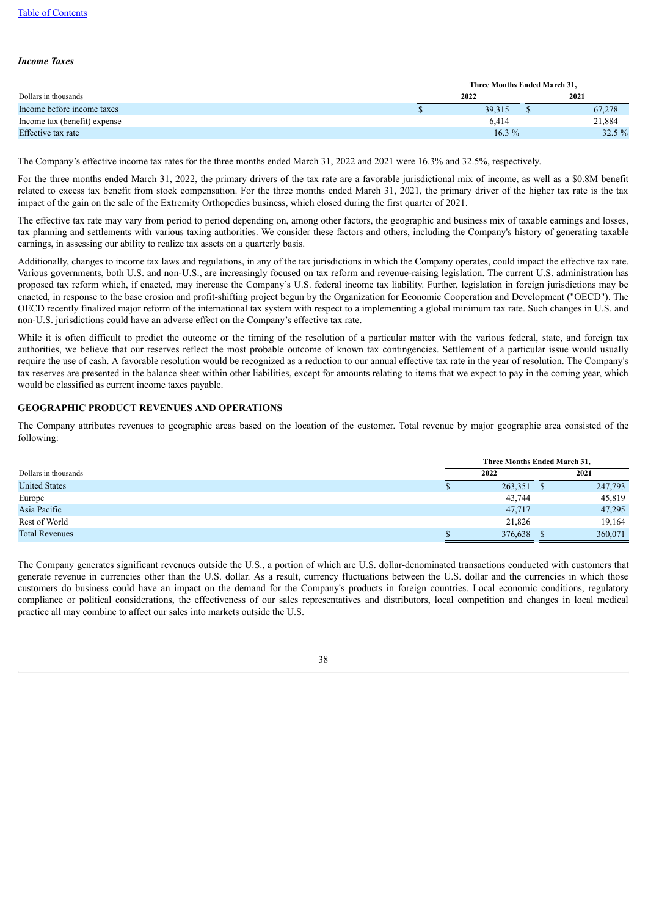### *Income Taxes*

|                              | Three Months Ended March 31. |  |           |  |
|------------------------------|------------------------------|--|-----------|--|
| Dollars in thousands         | 2022                         |  | 2021      |  |
| Income before income taxes   | 39,315                       |  | 67,278    |  |
| Income tax (benefit) expense | 6.414                        |  | 21,884    |  |
| Effective tax rate           | $16.3\%$                     |  | $32.5 \%$ |  |

The Company's effective income tax rates for the three months ended March 31, 2022 and 2021 were 16.3% and 32.5%, respectively.

For the three months ended March 31, 2022, the primary drivers of the tax rate are a favorable jurisdictional mix of income, as well as a \$0.8M benefit related to excess tax benefit from stock compensation. For the three months ended March 31, 2021, the primary driver of the higher tax rate is the tax impact of the gain on the sale of the Extremity Orthopedics business, which closed during the first quarter of 2021.

The effective tax rate may vary from period to period depending on, among other factors, the geographic and business mix of taxable earnings and losses, tax planning and settlements with various taxing authorities. We consider these factors and others, including the Company's history of generating taxable earnings, in assessing our ability to realize tax assets on a quarterly basis.

Additionally, changes to income tax laws and regulations, in any of the tax jurisdictions in which the Company operates, could impact the effective tax rate. Various governments, both U.S. and non-U.S., are increasingly focused on tax reform and revenue-raising legislation. The current U.S. administration has proposed tax reform which, if enacted, may increase the Company's U.S. federal income tax liability. Further, legislation in foreign jurisdictions may be enacted, in response to the base erosion and profit-shifting project begun by the Organization for Economic Cooperation and Development ("OECD"). The OECD recently finalized major reform of the international tax system with respect to a implementing a global minimum tax rate. Such changes in U.S. and non-U.S. jurisdictions could have an adverse effect on the Company's effective tax rate.

While it is often difficult to predict the outcome or the timing of the resolution of a particular matter with the various federal, state, and foreign tax authorities, we believe that our reserves reflect the most probable outcome of known tax contingencies. Settlement of a particular issue would usually require the use of cash. A favorable resolution would be recognized as a reduction to our annual effective tax rate in the year of resolution. The Company's tax reserves are presented in the balance sheet within other liabilities, except for amounts relating to items that we expect to pay in the coming year, which would be classified as current income taxes payable.

## **GEOGRAPHIC PRODUCT REVENUES AND OPERATIONS**

The Company attributes revenues to geographic areas based on the location of the customer. Total revenue by major geographic area consisted of the following:

|                       | Three Months Ended March 31. |  |         |
|-----------------------|------------------------------|--|---------|
| Dollars in thousands  | 2022<br>2021                 |  |         |
| <b>United States</b>  | 263,351                      |  | 247,793 |
| Europe                | 43,744                       |  | 45,819  |
| Asia Pacific          | 47,717                       |  | 47,295  |
| Rest of World         | 21,826                       |  | 19.164  |
| <b>Total Revenues</b> | 376,638                      |  | 360,071 |

The Company generates significant revenues outside the U.S., a portion of which are U.S. dollar-denominated transactions conducted with customers that generate revenue in currencies other than the U.S. dollar. As a result, currency fluctuations between the U.S. dollar and the currencies in which those customers do business could have an impact on the demand for the Company's products in foreign countries. Local economic conditions, regulatory compliance or political considerations, the effectiveness of our sales representatives and distributors, local competition and changes in local medical practice all may combine to affect our sales into markets outside the U.S.

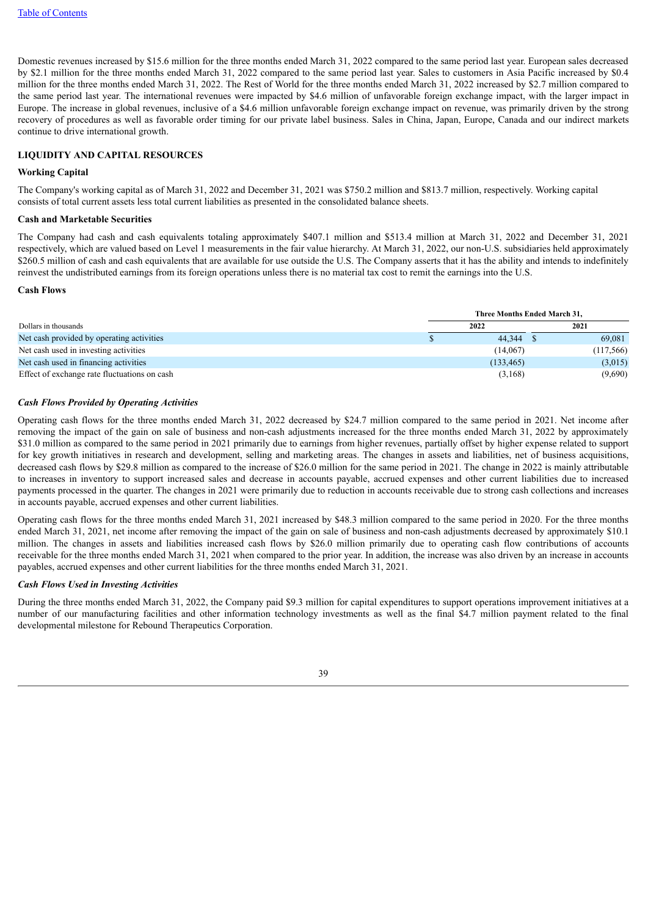Domestic revenues increased by \$15.6 million for the three months ended March 31, 2022 compared to the same period last year. European sales decreased by \$2.1 million for the three months ended March 31, 2022 compared to the same period last year. Sales to customers in Asia Pacific increased by \$0.4 million for the three months ended March 31, 2022. The Rest of World for the three months ended March 31, 2022 increased by \$2.7 million compared to the same period last year. The international revenues were impacted by \$4.6 million of unfavorable foreign exchange impact, with the larger impact in Europe. The increase in global revenues, inclusive of a \$4.6 million unfavorable foreign exchange impact on revenue, was primarily driven by the strong recovery of procedures as well as favorable order timing for our private label business. Sales in China, Japan, Europe, Canada and our indirect markets continue to drive international growth.

### **LIQUIDITY AND CAPITAL RESOURCES**

#### **Working Capital**

The Company's working capital as of March 31, 2022 and December 31, 2021 was \$750.2 million and \$813.7 million, respectively. Working capital consists of total current assets less total current liabilities as presented in the consolidated balance sheets.

# **Cash and Marketable Securities**

The Company had cash and cash equivalents totaling approximately \$407.1 million and \$513.4 million at March 31, 2022 and December 31, 2021 respectively, which are valued based on Level 1 measurements in the fair value hierarchy. At March 31, 2022, our non-U.S. subsidiaries held approximately \$260.5 million of cash and cash equivalents that are available for use outside the U.S. The Company asserts that it has the ability and intends to indefinitely reinvest the undistributed earnings from its foreign operations unless there is no material tax cost to remit the earnings into the U.S.

#### **Cash Flows**

|                                              |            | Three Months Ended March 31, |            |  |
|----------------------------------------------|------------|------------------------------|------------|--|
| Dollars in thousands                         | 2022       |                              | 2021       |  |
| Net cash provided by operating activities    | 44.344     |                              | 69,081     |  |
| Net cash used in investing activities        | (14.067)   |                              | (117, 566) |  |
| Net cash used in financing activities        | (133, 465) |                              | (3,015)    |  |
| Effect of exchange rate fluctuations on cash | (3,168)    |                              | (9,690)    |  |

#### *Cash Flows Provided by Operating Activities*

Operating cash flows for the three months ended March 31, 2022 decreased by \$24.7 million compared to the same period in 2021. Net income after removing the impact of the gain on sale of business and non-cash adjustments increased for the three months ended March 31, 2022 by approximately \$31.0 million as compared to the same period in 2021 primarily due to earnings from higher revenues, partially offset by higher expense related to support for key growth initiatives in research and development, selling and marketing areas. The changes in assets and liabilities, net of business acquisitions, decreased cash flows by \$29.8 million as compared to the increase of \$26.0 million for the same period in 2021. The change in 2022 is mainly attributable to increases in inventory to support increased sales and decrease in accounts payable, accrued expenses and other current liabilities due to increased payments processed in the quarter. The changes in 2021 were primarily due to reduction in accounts receivable due to strong cash collections and increases in accounts payable, accrued expenses and other current liabilities.

Operating cash flows for the three months ended March 31, 2021 increased by \$48.3 million compared to the same period in 2020. For the three months ended March 31, 2021, net income after removing the impact of the gain on sale of business and non-cash adjustments decreased by approximately \$10.1 million. The changes in assets and liabilities increased cash flows by \$26.0 million primarily due to operating cash flow contributions of accounts receivable for the three months ended March 31, 2021 when compared to the prior year. In addition, the increase was also driven by an increase in accounts payables, accrued expenses and other current liabilities for the three months ended March 31, 2021.

#### *Cash Flows Used in Investing Activities*

During the three months ended March 31, 2022, the Company paid \$9.3 million for capital expenditures to support operations improvement initiatives at a number of our manufacturing facilities and other information technology investments as well as the final \$4.7 million payment related to the final developmental milestone for Rebound Therapeutics Corporation.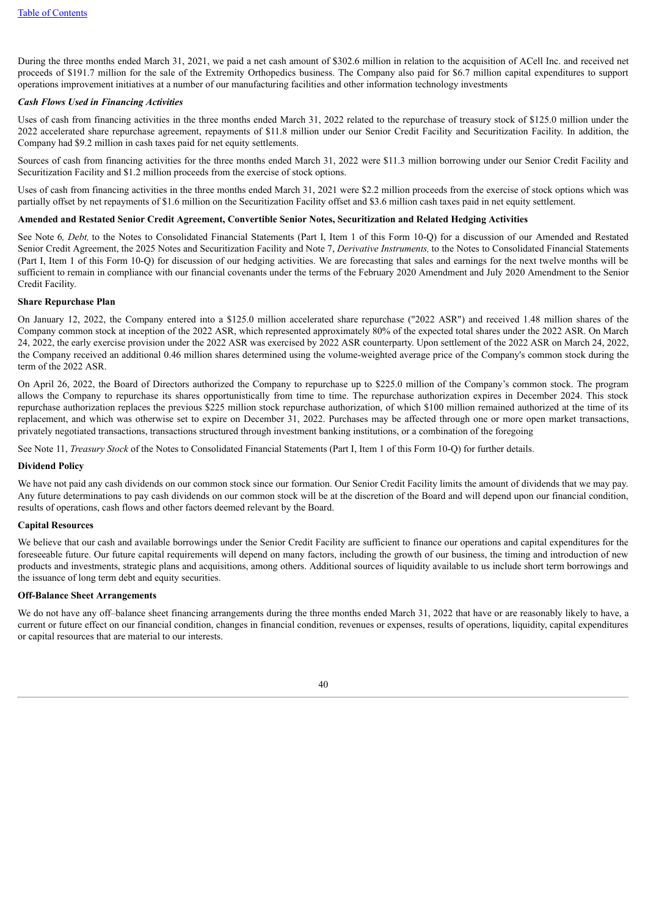During the three months ended March 31, 2021, we paid a net cash amount of \$302.6 million in relation to the acquisition of ACell Inc. and received net proceeds of \$191.7 million for the sale of the Extremity Orthopedics business. The Company also paid for \$6.7 million capital expenditures to support operations improvement initiatives at a number of our manufacturing facilities and other information technology investments

### *Cash Flows Used in Financing Activities*

Uses of cash from financing activities in the three months ended March 31, 2022 related to the repurchase of treasury stock of \$125.0 million under the 2022 accelerated share repurchase agreement, repayments of \$11.8 million under our Senior Credit Facility and Securitization Facility. In addition, the Company had \$9.2 million in cash taxes paid for net equity settlements.

Sources of cash from financing activities for the three months ended March 31, 2022 were \$11.3 million borrowing under our Senior Credit Facility and Securitization Facility and \$1.2 million proceeds from the exercise of stock options.

Uses of cash from financing activities in the three months ended March 31, 2021 were \$2.2 million proceeds from the exercise of stock options which was partially offset by net repayments of \$1.6 million on the Securitization Facility offset and \$3.6 million cash taxes paid in net equity settlement.

### **Amended and Restated Senior Credit Agreement, Convertible Senior Notes, Securitization and Related Hedging Activities**

See Note 6*, Debt,* to the Notes to Consolidated Financial Statements (Part I, Item 1 of this Form 10-Q) for a discussion of our Amended and Restated Senior Credit Agreement, the 2025 Notes and Securitization Facility and Note 7, *Derivative Instruments,* to the Notes to Consolidated Financial Statements (Part I, Item 1 of this Form 10-Q) for discussion of our hedging activities. We are forecasting that sales and earnings for the next twelve months will be sufficient to remain in compliance with our financial covenants under the terms of the February 2020 Amendment and July 2020 Amendment to the Senior Credit Facility.

# **Share Repurchase Plan**

On January 12, 2022, the Company entered into a \$125.0 million accelerated share repurchase ("2022 ASR") and received 1.48 million shares of the Company common stock at inception of the 2022 ASR, which represented approximately 80% of the expected total shares under the 2022 ASR. On March 24, 2022, the early exercise provision under the 2022 ASR was exercised by 2022 ASR counterparty. Upon settlement of the 2022 ASR on March 24, 2022, the Company received an additional 0.46 million shares determined using the volume-weighted average price of the Company's common stock during the term of the 2022 ASR.

On April 26, 2022, the Board of Directors authorized the Company to repurchase up to \$225.0 million of the Company's common stock. The program allows the Company to repurchase its shares opportunistically from time to time. The repurchase authorization expires in December 2024. This stock repurchase authorization replaces the previous \$225 million stock repurchase authorization, of which \$100 million remained authorized at the time of its replacement, and which was otherwise set to expire on December 31, 2022. Purchases may be affected through one or more open market transactions, privately negotiated transactions, transactions structured through investment banking institutions, or a combination of the foregoing

See Note 11, *Treasury Stock* of the Notes to Consolidated Financial Statements (Part I, Item 1 of this Form 10-Q) for further details.

#### **Dividend Policy**

We have not paid any cash dividends on our common stock since our formation. Our Senior Credit Facility limits the amount of dividends that we may pay. Any future determinations to pay cash dividends on our common stock will be at the discretion of the Board and will depend upon our financial condition, results of operations, cash flows and other factors deemed relevant by the Board.

#### **Capital Resources**

We believe that our cash and available borrowings under the Senior Credit Facility are sufficient to finance our operations and capital expenditures for the foreseeable future. Our future capital requirements will depend on many factors, including the growth of our business, the timing and introduction of new products and investments, strategic plans and acquisitions, among others. Additional sources of liquidity available to us include short term borrowings and the issuance of long term debt and equity securities.

### **Off-Balance Sheet Arrangements**

We do not have any off-balance sheet financing arrangements during the three months ended March 31, 2022 that have or are reasonably likely to have, a current or future effect on our financial condition, changes in financial condition, revenues or expenses, results of operations, liquidity, capital expenditures or capital resources that are material to our interests.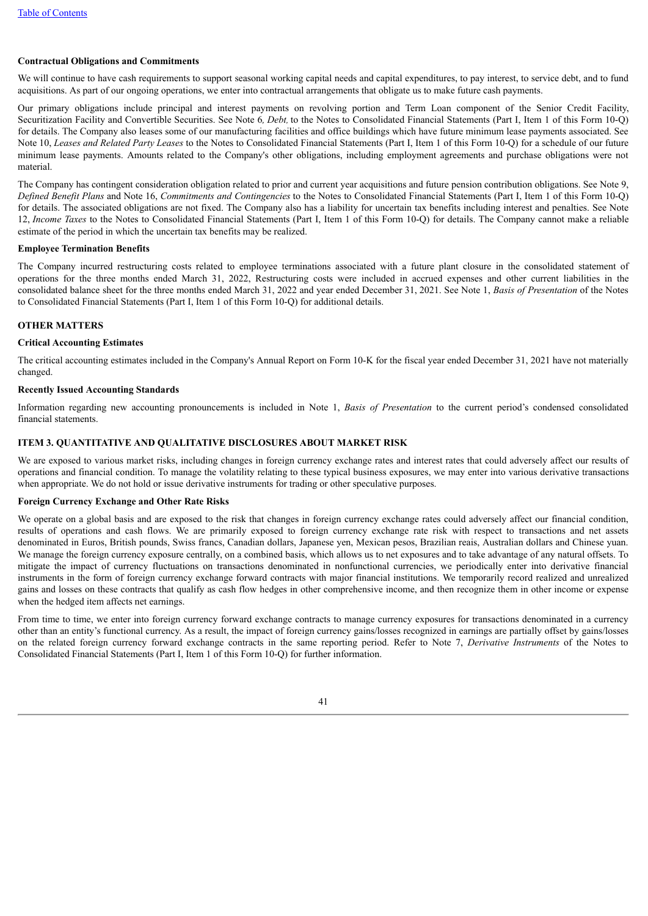# **Contractual Obligations and Commitments**

We will continue to have cash requirements to support seasonal working capital needs and capital expenditures, to pay interest, to service debt, and to fund acquisitions. As part of our ongoing operations, we enter into contractual arrangements that obligate us to make future cash payments.

Our primary obligations include principal and interest payments on revolving portion and Term Loan component of the Senior Credit Facility, Securitization Facility and Convertible Securities. See Note 6*, Debt,* to the Notes to Consolidated Financial Statements (Part I, Item 1 of this Form 10-Q) for details. The Company also leases some of our manufacturing facilities and office buildings which have future minimum lease payments associated. See Note 10, *Leases and Related Party Leases* to the Notes to Consolidated Financial Statements (Part I, Item 1 of this Form 10-Q) for a schedule of our future minimum lease payments. Amounts related to the Company's other obligations, including employment agreements and purchase obligations were not material.

The Company has contingent consideration obligation related to prior and current year acquisitions and future pension contribution obligations. See Note 9, *Defined Benefit Plans* and Note 16, *Commitments and Contingencies* to the Notes to Consolidated Financial Statements (Part I, Item 1 of this Form 10-Q) for details. The associated obligations are not fixed. The Company also has a liability for uncertain tax benefits including interest and penalties. See Note 12, *Income Taxes* to the Notes to Consolidated Financial Statements (Part I, Item 1 of this Form 10-Q) for details. The Company cannot make a reliable estimate of the period in which the uncertain tax benefits may be realized.

# **Employee Termination Benefits**

The Company incurred restructuring costs related to employee terminations associated with a future plant closure in the consolidated statement of operations for the three months ended March 31, 2022, Restructuring costs were included in accrued expenses and other current liabilities in the consolidated balance sheet for the three months ended March 31, 2022 and year ended December 31, 2021. See Note 1, *Basis of Presentation* of the Notes to Consolidated Financial Statements (Part I, Item 1 of this Form 10-Q) for additional details.

# **OTHER MATTERS**

## **Critical Accounting Estimates**

The critical accounting estimates included in the Company's Annual Report on Form 10-K for the fiscal year ended December 31, 2021 have not materially changed.

# **Recently Issued Accounting Standards**

Information regarding new accounting pronouncements is included in Note 1, *Basis of Presentation* to the current period's condensed consolidated financial statements.

## <span id="page-40-0"></span>**ITEM 3. QUANTITATIVE AND QUALITATIVE DISCLOSURES ABOUT MARKET RISK**

We are exposed to various market risks, including changes in foreign currency exchange rates and interest rates that could adversely affect our results of operations and financial condition. To manage the volatility relating to these typical business exposures, we may enter into various derivative transactions when appropriate. We do not hold or issue derivative instruments for trading or other speculative purposes.

# **Foreign Currency Exchange and Other Rate Risks**

We operate on a global basis and are exposed to the risk that changes in foreign currency exchange rates could adversely affect our financial condition. results of operations and cash flows. We are primarily exposed to foreign currency exchange rate risk with respect to transactions and net assets denominated in Euros, British pounds, Swiss francs, Canadian dollars, Japanese yen, Mexican pesos, Brazilian reais, Australian dollars and Chinese yuan. We manage the foreign currency exposure centrally, on a combined basis, which allows us to net exposures and to take advantage of any natural offsets. To mitigate the impact of currency fluctuations on transactions denominated in nonfunctional currencies, we periodically enter into derivative financial instruments in the form of foreign currency exchange forward contracts with major financial institutions. We temporarily record realized and unrealized gains and losses on these contracts that qualify as cash flow hedges in other comprehensive income, and then recognize them in other income or expense when the hedged item affects net earnings.

From time to time, we enter into foreign currency forward exchange contracts to manage currency exposures for transactions denominated in a currency other than an entity's functional currency. As a result, the impact of foreign currency gains/losses recognized in earnings are partially offset by gains/losses on the related foreign currency forward exchange contracts in the same reporting period. Refer to Note 7, *Derivative Instruments* of the Notes to Consolidated Financial Statements (Part I, Item 1 of this Form 10-Q) for further information.

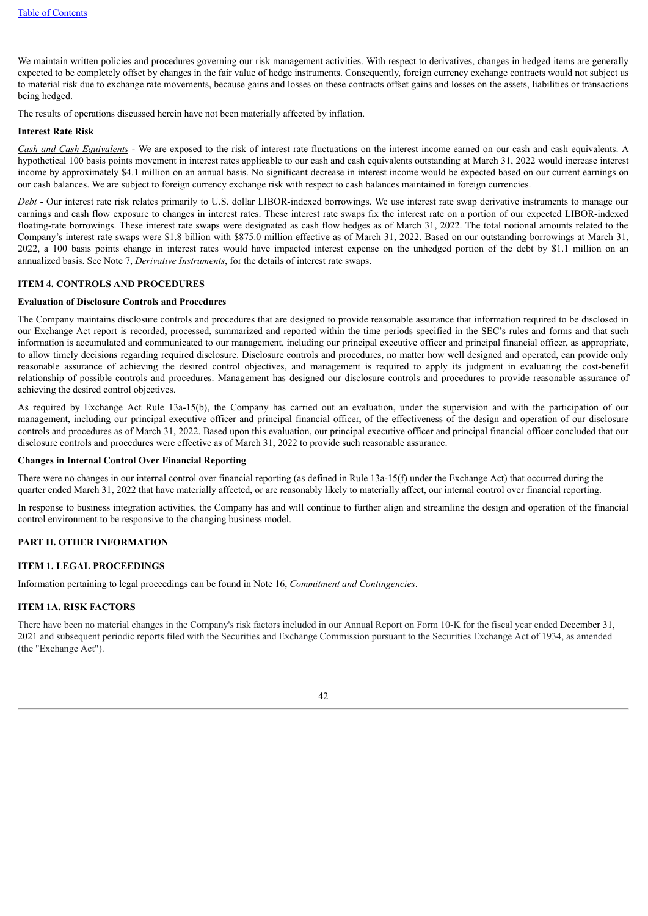We maintain written policies and procedures governing our risk management activities. With respect to derivatives, changes in hedged items are generally expected to be completely offset by changes in the fair value of hedge instruments. Consequently, foreign currency exchange contracts would not subject us to material risk due to exchange rate movements, because gains and losses on these contracts offset gains and losses on the assets, liabilities or transactions being hedged.

The results of operations discussed herein have not been materially affected by inflation.

#### **Interest Rate Risk**

*Cash and Cash Equivalents* - We are exposed to the risk of interest rate fluctuations on the interest income earned on our cash and cash equivalents. A hypothetical 100 basis points movement in interest rates applicable to our cash and cash equivalents outstanding at March 31, 2022 would increase interest income by approximately \$4.1 million on an annual basis. No significant decrease in interest income would be expected based on our current earnings on our cash balances. We are subject to foreign currency exchange risk with respect to cash balances maintained in foreign currencies.

*Debt* - Our interest rate risk relates primarily to U.S. dollar LIBOR-indexed borrowings. We use interest rate swap derivative instruments to manage our earnings and cash flow exposure to changes in interest rates. These interest rate swaps fix the interest rate on a portion of our expected LIBOR-indexed floating-rate borrowings. These interest rate swaps were designated as cash flow hedges as of March 31, 2022. The total notional amounts related to the Company's interest rate swaps were \$1.8 billion with \$875.0 million effective as of March 31, 2022. Based on our outstanding borrowings at March 31, 2022, a 100 basis points change in interest rates would have impacted interest expense on the unhedged portion of the debt by \$1.1 million on an annualized basis. See Note 7, *Derivative Instruments*, for the details of interest rate swaps.

#### <span id="page-41-0"></span>**ITEM 4. CONTROLS AND PROCEDURES**

#### **Evaluation of Disclosure Controls and Procedures**

The Company maintains disclosure controls and procedures that are designed to provide reasonable assurance that information required to be disclosed in our Exchange Act report is recorded, processed, summarized and reported within the time periods specified in the SEC's rules and forms and that such information is accumulated and communicated to our management, including our principal executive officer and principal financial officer, as appropriate, to allow timely decisions regarding required disclosure. Disclosure controls and procedures, no matter how well designed and operated, can provide only reasonable assurance of achieving the desired control objectives, and management is required to apply its judgment in evaluating the cost-benefit relationship of possible controls and procedures. Management has designed our disclosure controls and procedures to provide reasonable assurance of achieving the desired control objectives.

As required by Exchange Act Rule 13a-15(b), the Company has carried out an evaluation, under the supervision and with the participation of our management, including our principal executive officer and principal financial officer, of the effectiveness of the design and operation of our disclosure controls and procedures as of March 31, 2022. Based upon this evaluation, our principal executive officer and principal financial officer concluded that our disclosure controls and procedures were effective as of March 31, 2022 to provide such reasonable assurance.

#### **Changes in Internal Control Over Financial Reporting**

There were no changes in our internal control over financial reporting (as defined in Rule 13a-15(f) under the Exchange Act) that occurred during the quarter ended March 31, 2022 that have materially affected, or are reasonably likely to materially affect, our internal control over financial reporting.

In response to business integration activities, the Company has and will continue to further align and streamline the design and operation of the financial control environment to be responsive to the changing business model.

#### <span id="page-41-1"></span>**PART II. OTHER INFORMATION**

# <span id="page-41-2"></span>**ITEM 1. LEGAL PROCEEDINGS**

Information pertaining to legal proceedings can be found in Note 16, *Commitment and Contingencies*.

#### <span id="page-41-3"></span>**ITEM 1A. RISK FACTORS**

<span id="page-41-4"></span>There have been no material changes in the Company's risk factors included in our Annual Report on Form 10-K for the fiscal year ended December 31, 2021 and subsequent periodic reports filed with the Securities and Exchange Commission pursuant to the Securities Exchange Act of 1934, as amended (the "Exchange Act").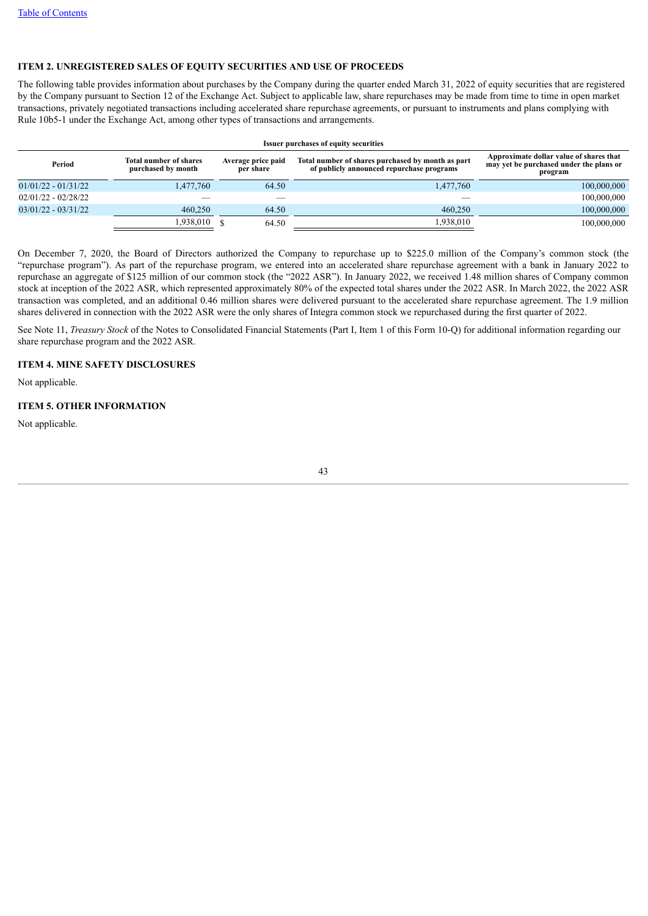# **ITEM 2. UNREGISTERED SALES OF EQUITY SECURITIES AND USE OF PROCEEDS**

The following table provides information about purchases by the Company during the quarter ended March 31, 2022 of equity securities that are registered by the Company pursuant to Section 12 of the Exchange Act. Subject to applicable law, share repurchases may be made from time to time in open market transactions, privately negotiated transactions including accelerated share repurchase agreements, or pursuant to instruments and plans complying with Rule 10b5-1 under the Exchange Act, among other types of transactions and arrangements.

| <b>Issuer purchases of equity securities</b> |                                                                                        |       |                                                                                                |             |  |
|----------------------------------------------|----------------------------------------------------------------------------------------|-------|------------------------------------------------------------------------------------------------|-------------|--|
| Period                                       | <b>Total number of shares</b><br>Average price paid<br>purchased by month<br>per share |       | Total number of shares purchased by month as part<br>of publicly announced repurchase programs |             |  |
| $01/01/22 - 01/31/22$                        | 1,477,760                                                                              | 64.50 | 1,477,760                                                                                      | 100,000,000 |  |
| $02/01/22 - 02/28/22$                        |                                                                                        |       |                                                                                                | 100,000,000 |  |
| $03/01/22 - 03/31/22$                        | 460.250                                                                                | 64.50 | 460.250                                                                                        | 100,000,000 |  |
|                                              | 1,938,010                                                                              | 64.50 | 1,938,010                                                                                      | 100,000,000 |  |

On December 7, 2020, the Board of Directors authorized the Company to repurchase up to \$225.0 million of the Company's common stock (the "repurchase program"). As part of the repurchase program, we entered into an accelerated share repurchase agreement with a bank in January 2022 to repurchase an aggregate of \$125 million of our common stock (the "2022 ASR"). In January 2022, we received 1.48 million shares of Company common stock at inception of the 2022 ASR, which represented approximately 80% of the expected total shares under the 2022 ASR. In March 2022, the 2022 ASR transaction was completed, and an additional 0.46 million shares were delivered pursuant to the accelerated share repurchase agreement. The 1.9 million shares delivered in connection with the 2022 ASR were the only shares of Integra common stock we repurchased during the first quarter of 2022.

See Note 11, *Treasury Stock* of the Notes to Consolidated Financial Statements (Part I, Item 1 of this Form 10-Q) for additional information regarding our share repurchase program and the 2022 ASR.

# <span id="page-42-0"></span>**ITEM 4. MINE SAFETY DISCLOSURES**

Not applicable.

#### <span id="page-42-1"></span>**ITEM 5. OTHER INFORMATION**

<span id="page-42-2"></span>Not applicable.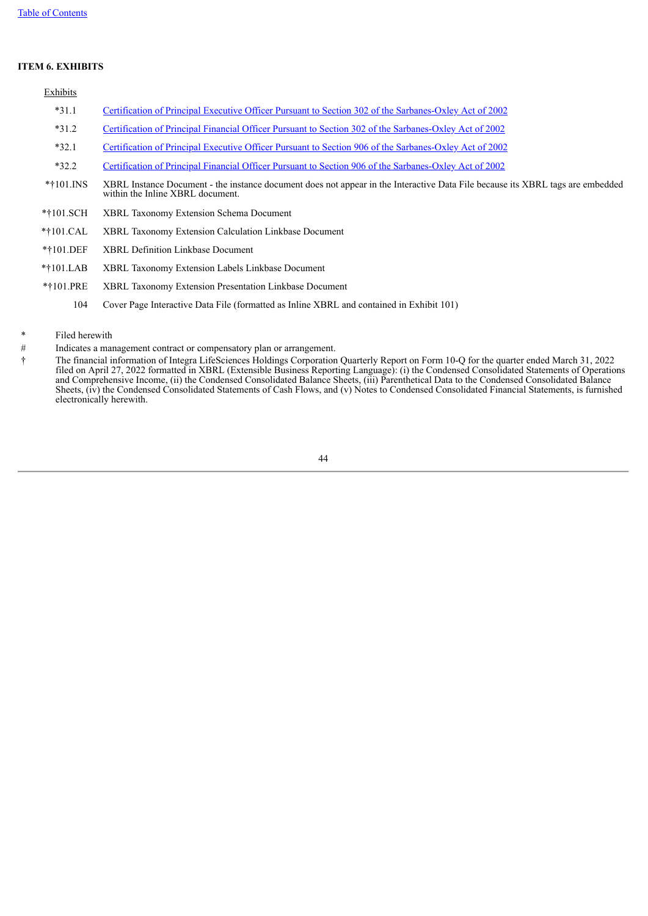# **ITEM 6. EXHIBITS**

| Exhibits    |                                                                                                                                                                    |
|-------------|--------------------------------------------------------------------------------------------------------------------------------------------------------------------|
| $*31.1$     | Certification of Principal Executive Officer Pursuant to Section 302 of the Sarbanes-Oxley Act of 2002                                                             |
| $*31.2$     | <u>Certification of Principal Financial Officer Pursuant to Section 302 of the Sarbanes-Oxley Act of 2002</u>                                                      |
| $*32.1$     | Certification of Principal Executive Officer Pursuant to Section 906 of the Sarbanes-Oxley Act of 2002                                                             |
| $*32.2$     | Certification of Principal Financial Officer Pursuant to Section 906 of the Sarbanes-Oxley Act of 2002                                                             |
| $*101$ INS  | XBRL Instance Document - the instance document does not appear in the Interactive Data File because its XBRL tags are embedded<br>within the Inline XBRL document. |
| *†101.SCH   | <b>XBRL Taxonomy Extension Schema Document</b>                                                                                                                     |
| $*101.CAL$  | <b>XBRL Taxonomy Extension Calculation Linkbase Document</b>                                                                                                       |
| $*101.$ DEF | <b>XBRL Definition Linkbase Document</b>                                                                                                                           |
| $*101.LAB$  | XBRL Taxonomy Extension Labels Linkbase Document                                                                                                                   |
| *†101.PRE   | XBRL Taxonomy Extension Presentation Linkbase Document                                                                                                             |
|             |                                                                                                                                                                    |

- 104 Cover Page Interactive Data File (formatted as Inline XBRL and contained in Exhibit 101)
- \* Filed herewith
- # Indicates a management contract or compensatory plan or arrangement.
- <span id="page-43-0"></span>† The financial information of Integra LifeSciences Holdings Corporation Quarterly Report on Form 10-Q for the quarter ended March 31, 2022 filed on April 27, 2022 formatted in XBRL (Extensible Business Reporting Language): (i) the Condensed Consolidated Statements of Operations and Comprehensive Income, (ii) the Condensed Consolidated Balance Sheets, (iii) Parenthetical Data to the Condensed Consolidated Balance Sheets, (iv) the Condensed Consolidated Statements of Cash Flows, and (v) Notes to Condensed Consolidated Financial Statements, is furnished electronically herewith.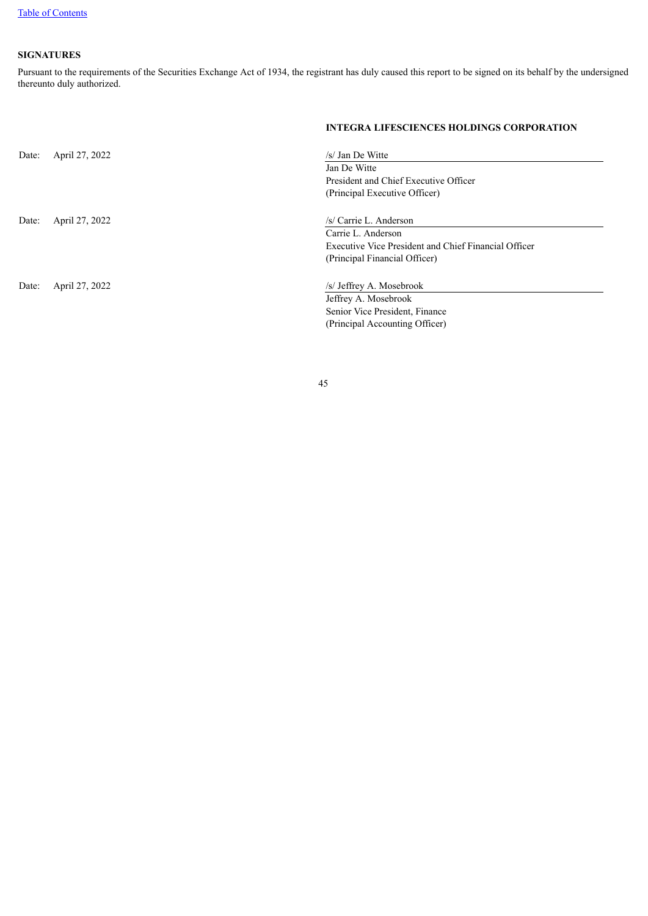# **SIGNATURES**

Pursuant to the requirements of the Securities Exchange Act of 1934, the registrant has duly caused this report to be signed on its behalf by the undersigned thereunto duly authorized.

|       |                | <b>INTEGRA LIFESCIENCES HOLDINGS CORPORATION</b>     |
|-------|----------------|------------------------------------------------------|
| Date: | April 27, 2022 | /s/ Jan De Witte                                     |
|       |                | Jan De Witte                                         |
|       |                | President and Chief Executive Officer                |
|       |                | (Principal Executive Officer)                        |
|       |                |                                                      |
| Date: | April 27, 2022 | /s/ Carrie L. Anderson                               |
|       |                | Carrie L. Anderson                                   |
|       |                | Executive Vice President and Chief Financial Officer |
|       |                | (Principal Financial Officer)                        |
|       |                |                                                      |
| Date: | April 27, 2022 | /s/ Jeffrey A. Mosebrook                             |
|       |                | Jeffrey A. Mosebrook                                 |
|       |                | Senior Vice President, Finance                       |
|       |                | (Principal Accounting Officer)                       |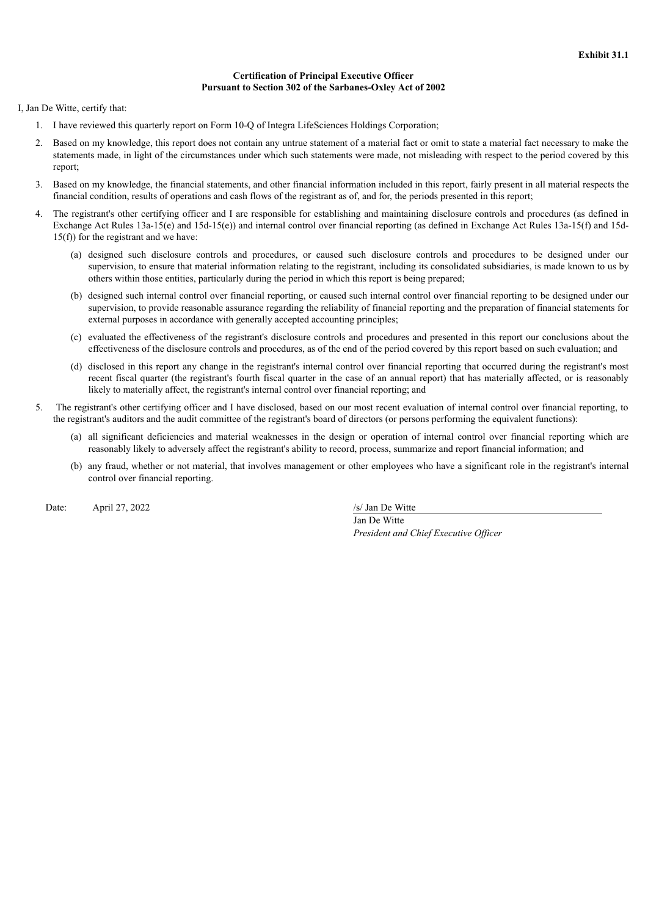# **Certification of Principal Executive Officer Pursuant to Section 302 of the Sarbanes-Oxley Act of 2002**

<span id="page-45-0"></span>I, Jan De Witte, certify that:

- 1. I have reviewed this quarterly report on Form 10-Q of Integra LifeSciences Holdings Corporation;
- 2. Based on my knowledge, this report does not contain any untrue statement of a material fact or omit to state a material fact necessary to make the statements made, in light of the circumstances under which such statements were made, not misleading with respect to the period covered by this report;
- 3. Based on my knowledge, the financial statements, and other financial information included in this report, fairly present in all material respects the financial condition, results of operations and cash flows of the registrant as of, and for, the periods presented in this report;
- 4. The registrant's other certifying officer and I are responsible for establishing and maintaining disclosure controls and procedures (as defined in Exchange Act Rules 13a-15(e) and 15d-15(e)) and internal control over financial reporting (as defined in Exchange Act Rules 13a-15(f) and 15d- $15(f)$ ) for the registrant and we have:
	- (a) designed such disclosure controls and procedures, or caused such disclosure controls and procedures to be designed under our supervision, to ensure that material information relating to the registrant, including its consolidated subsidiaries, is made known to us by others within those entities, particularly during the period in which this report is being prepared;
	- (b) designed such internal control over financial reporting, or caused such internal control over financial reporting to be designed under our supervision, to provide reasonable assurance regarding the reliability of financial reporting and the preparation of financial statements for external purposes in accordance with generally accepted accounting principles;
	- (c) evaluated the effectiveness of the registrant's disclosure controls and procedures and presented in this report our conclusions about the effectiveness of the disclosure controls and procedures, as of the end of the period covered by this report based on such evaluation; and
	- (d) disclosed in this report any change in the registrant's internal control over financial reporting that occurred during the registrant's most recent fiscal quarter (the registrant's fourth fiscal quarter in the case of an annual report) that has materially affected, or is reasonably likely to materially affect, the registrant's internal control over financial reporting; and
- 5. The registrant's other certifying officer and I have disclosed, based on our most recent evaluation of internal control over financial reporting, to the registrant's auditors and the audit committee of the registrant's board of directors (or persons performing the equivalent functions):
	- (a) all significant deficiencies and material weaknesses in the design or operation of internal control over financial reporting which are reasonably likely to adversely affect the registrant's ability to record, process, summarize and report financial information; and
	- (b) any fraud, whether or not material, that involves management or other employees who have a significant role in the registrant's internal control over financial reporting.

Date: April 27, 2022 /s/ Jan De Witte

Jan De Witte *President and Chief Executive Of icer*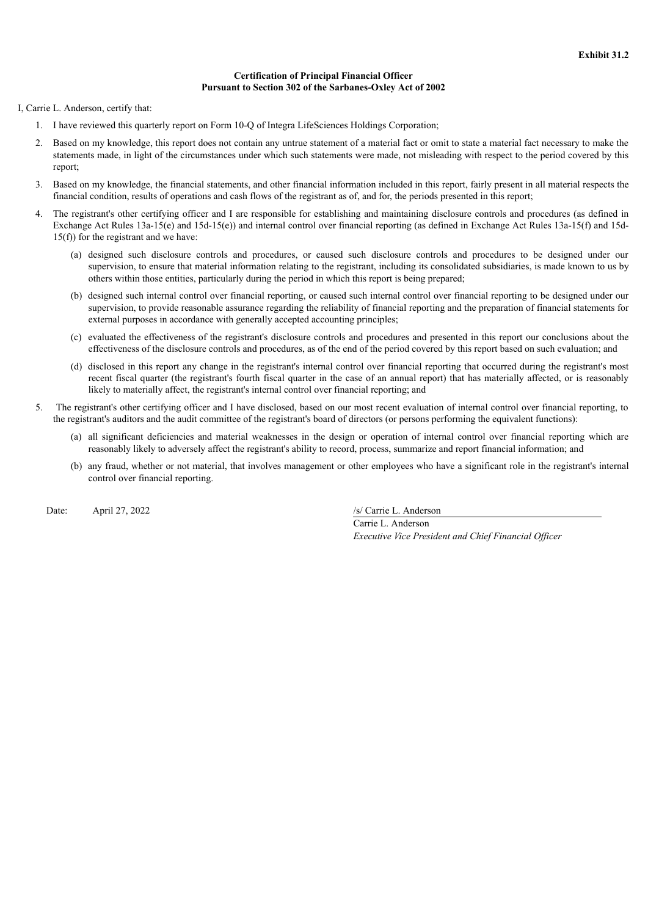# **Certification of Principal Financial Officer Pursuant to Section 302 of the Sarbanes-Oxley Act of 2002**

<span id="page-46-0"></span>I, Carrie L. Anderson, certify that:

- 1. I have reviewed this quarterly report on Form 10-Q of Integra LifeSciences Holdings Corporation;
- 2. Based on my knowledge, this report does not contain any untrue statement of a material fact or omit to state a material fact necessary to make the statements made, in light of the circumstances under which such statements were made, not misleading with respect to the period covered by this report;
- 3. Based on my knowledge, the financial statements, and other financial information included in this report, fairly present in all material respects the financial condition, results of operations and cash flows of the registrant as of, and for, the periods presented in this report;
- 4. The registrant's other certifying officer and I are responsible for establishing and maintaining disclosure controls and procedures (as defined in Exchange Act Rules 13a-15(e) and 15d-15(e)) and internal control over financial reporting (as defined in Exchange Act Rules 13a-15(f) and 15d- $15(f)$ ) for the registrant and we have:
	- (a) designed such disclosure controls and procedures, or caused such disclosure controls and procedures to be designed under our supervision, to ensure that material information relating to the registrant, including its consolidated subsidiaries, is made known to us by others within those entities, particularly during the period in which this report is being prepared;
	- (b) designed such internal control over financial reporting, or caused such internal control over financial reporting to be designed under our supervision, to provide reasonable assurance regarding the reliability of financial reporting and the preparation of financial statements for external purposes in accordance with generally accepted accounting principles;
	- (c) evaluated the effectiveness of the registrant's disclosure controls and procedures and presented in this report our conclusions about the effectiveness of the disclosure controls and procedures, as of the end of the period covered by this report based on such evaluation; and
	- (d) disclosed in this report any change in the registrant's internal control over financial reporting that occurred during the registrant's most recent fiscal quarter (the registrant's fourth fiscal quarter in the case of an annual report) that has materially affected, or is reasonably likely to materially affect, the registrant's internal control over financial reporting; and
- 5. The registrant's other certifying officer and I have disclosed, based on our most recent evaluation of internal control over financial reporting, to the registrant's auditors and the audit committee of the registrant's board of directors (or persons performing the equivalent functions):
	- (a) all significant deficiencies and material weaknesses in the design or operation of internal control over financial reporting which are reasonably likely to adversely affect the registrant's ability to record, process, summarize and report financial information; and
	- (b) any fraud, whether or not material, that involves management or other employees who have a significant role in the registrant's internal control over financial reporting.

Date: April 27, 2022 /s/ Carrie L. Anderson

Carrie L. Anderson *Executive Vice President and Chief Financial Of icer*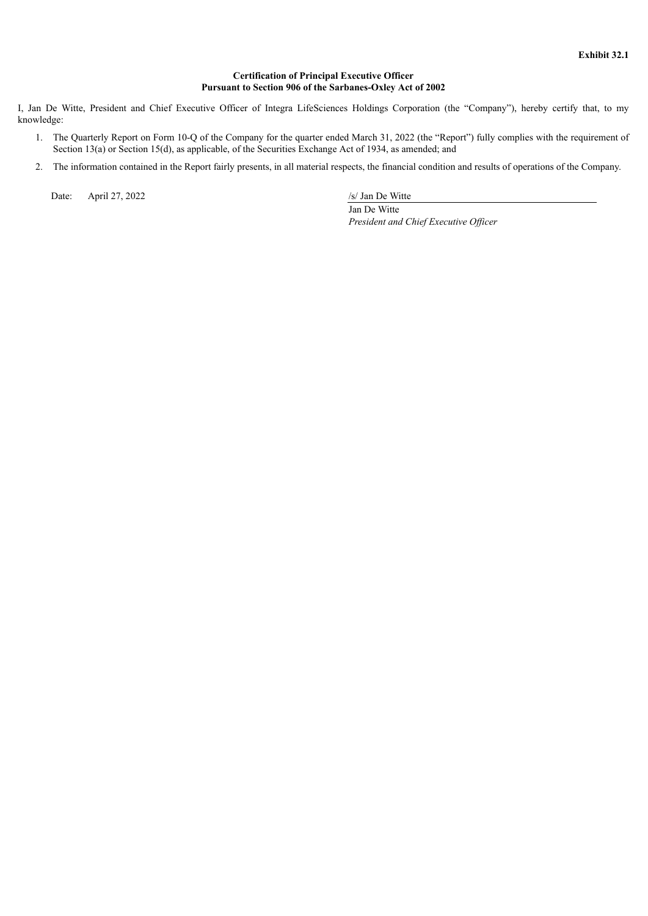# **Certification of Principal Executive Officer Pursuant to Section 906 of the Sarbanes-Oxley Act of 2002**

<span id="page-47-0"></span>I, Jan De Witte, President and Chief Executive Officer of Integra LifeSciences Holdings Corporation (the "Company"), hereby certify that, to my knowledge:

- 1. The Quarterly Report on Form 10-Q of the Company for the quarter ended March 31, 2022 (the "Report") fully complies with the requirement of Section 13(a) or Section 15(d), as applicable, of the Securities Exchange Act of 1934, as amended; and
- 2. The information contained in the Report fairly presents, in all material respects, the financial condition and results of operations of the Company.

Date: April 27, 2022 /s/ Jan De Witte

Jan De Witte *President and Chief Executive Of icer*